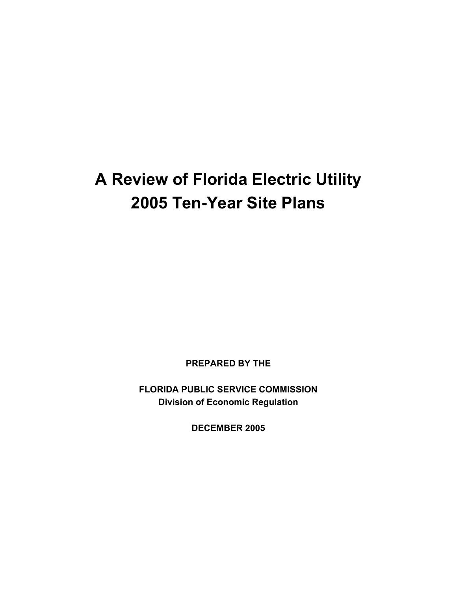# **A Review of Florida Electric Utility 2005 Ten-Year Site Plans**

**PREPARED BY THE** 

**FLORIDA PUBLIC SERVICE COMMISSION Division of Economic Regulation** 

**DECEMBER 2005**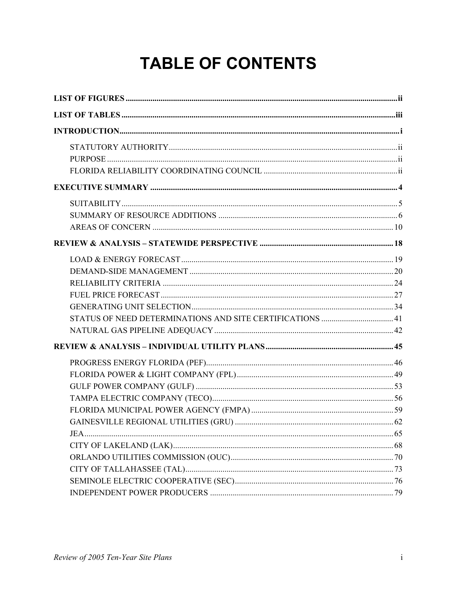# **TABLE OF CONTENTS**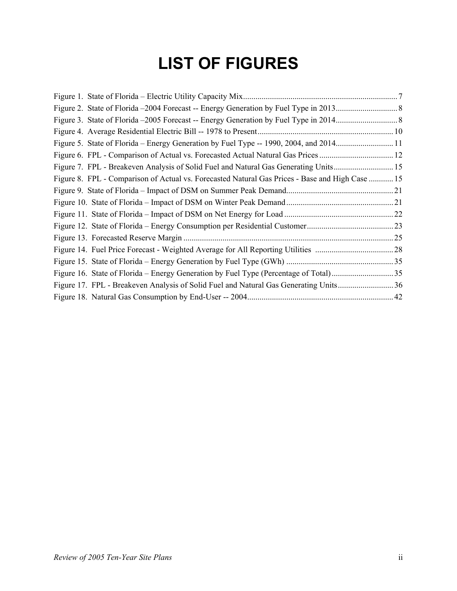# **LIST OF FIGURES**

| Figure 5. State of Florida – Energy Generation by Fuel Type -- 1990, 2004, and 201411           |  |
|-------------------------------------------------------------------------------------------------|--|
| Figure 6. FPL - Comparison of Actual vs. Forecasted Actual Natural Gas Prices  12               |  |
| Figure 7. FPL - Breakeven Analysis of Solid Fuel and Natural Gas Generating Units 15            |  |
| Figure 8. FPL - Comparison of Actual vs. Forecasted Natural Gas Prices - Base and High Case  15 |  |
|                                                                                                 |  |
|                                                                                                 |  |
|                                                                                                 |  |
|                                                                                                 |  |
|                                                                                                 |  |
|                                                                                                 |  |
|                                                                                                 |  |
|                                                                                                 |  |
|                                                                                                 |  |
|                                                                                                 |  |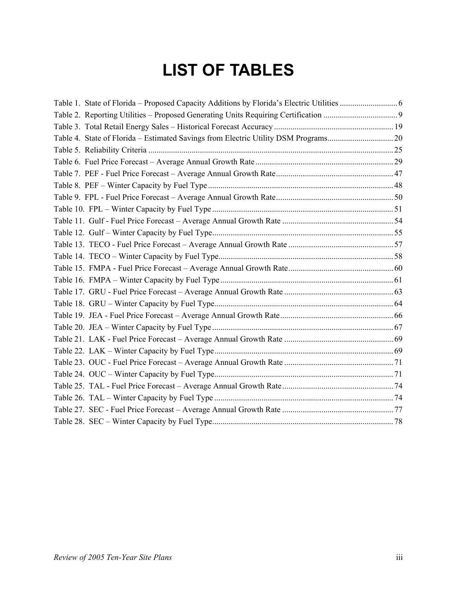# **LIST OF TABLES**

| Table 4. State of Florida - Estimated Savings from Electric Utility DSM Programs20 |  |
|------------------------------------------------------------------------------------|--|
|                                                                                    |  |
|                                                                                    |  |
|                                                                                    |  |
|                                                                                    |  |
|                                                                                    |  |
|                                                                                    |  |
|                                                                                    |  |
|                                                                                    |  |
|                                                                                    |  |
|                                                                                    |  |
|                                                                                    |  |
|                                                                                    |  |
|                                                                                    |  |
|                                                                                    |  |
|                                                                                    |  |
|                                                                                    |  |
|                                                                                    |  |
|                                                                                    |  |
|                                                                                    |  |
|                                                                                    |  |
|                                                                                    |  |
|                                                                                    |  |
|                                                                                    |  |
|                                                                                    |  |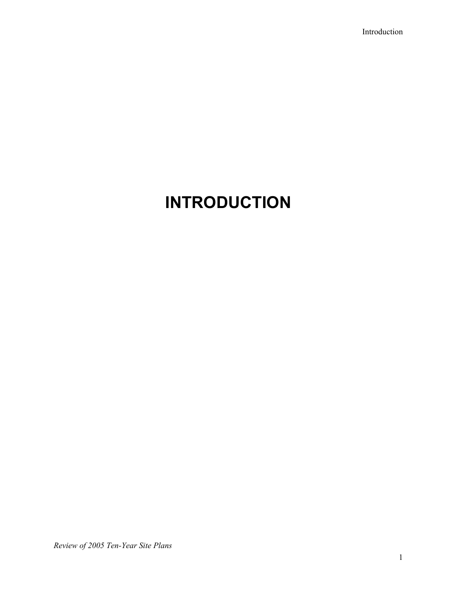Introduction

# **INTRODUCTION**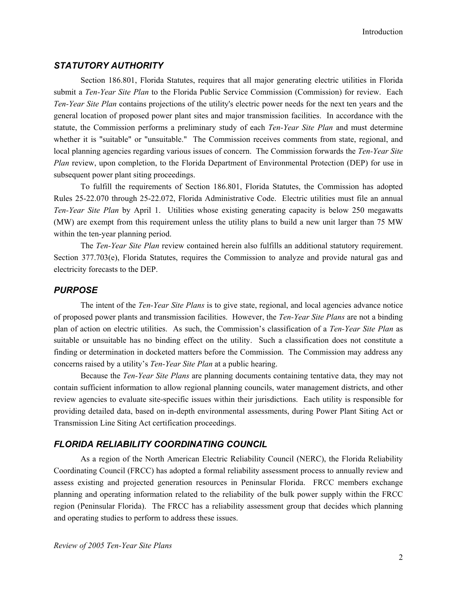# *STATUTORY AUTHORITY*

Section 186.801, Florida Statutes, requires that all major generating electric utilities in Florida submit a *Ten-Year Site Plan* to the Florida Public Service Commission (Commission) for review. Each *Ten-Year Site Plan* contains projections of the utility's electric power needs for the next ten years and the general location of proposed power plant sites and major transmission facilities. In accordance with the statute, the Commission performs a preliminary study of each *Ten-Year Site Plan* and must determine whether it is "suitable" or "unsuitable." The Commission receives comments from state, regional, and local planning agencies regarding various issues of concern. The Commission forwards the *Ten-Year Site Plan* review, upon completion, to the Florida Department of Environmental Protection (DEP) for use in subsequent power plant siting proceedings.

To fulfill the requirements of Section 186.801, Florida Statutes, the Commission has adopted Rules 25-22.070 through 25-22.072, Florida Administrative Code. Electric utilities must file an annual *Ten-Year Site Plan* by April 1. Utilities whose existing generating capacity is below 250 megawatts (MW) are exempt from this requirement unless the utility plans to build a new unit larger than 75 MW within the ten-year planning period.

The *Ten-Year Site Plan* review contained herein also fulfills an additional statutory requirement. Section 377.703(e), Florida Statutes, requires the Commission to analyze and provide natural gas and electricity forecasts to the DEP.

### *PURPOSE*

The intent of the *Ten-Year Site Plans* is to give state, regional, and local agencies advance notice of proposed power plants and transmission facilities. However, the *Ten-Year Site Plans* are not a binding plan of action on electric utilities. As such, the Commission's classification of a *Ten-Year Site Plan* as suitable or unsuitable has no binding effect on the utility. Such a classification does not constitute a finding or determination in docketed matters before the Commission. The Commission may address any concerns raised by a utility's *Ten-Year Site Plan* at a public hearing.

Because the *Ten-Year Site Plans* are planning documents containing tentative data, they may not contain sufficient information to allow regional planning councils, water management districts, and other review agencies to evaluate site-specific issues within their jurisdictions. Each utility is responsible for providing detailed data, based on in-depth environmental assessments, during Power Plant Siting Act or Transmission Line Siting Act certification proceedings.

# *FLORIDA RELIABILITY COORDINATING COUNCIL*

As a region of the North American Electric Reliability Council (NERC), the Florida Reliability Coordinating Council (FRCC) has adopted a formal reliability assessment process to annually review and assess existing and projected generation resources in Peninsular Florida. FRCC members exchange planning and operating information related to the reliability of the bulk power supply within the FRCC region (Peninsular Florida). The FRCC has a reliability assessment group that decides which planning and operating studies to perform to address these issues.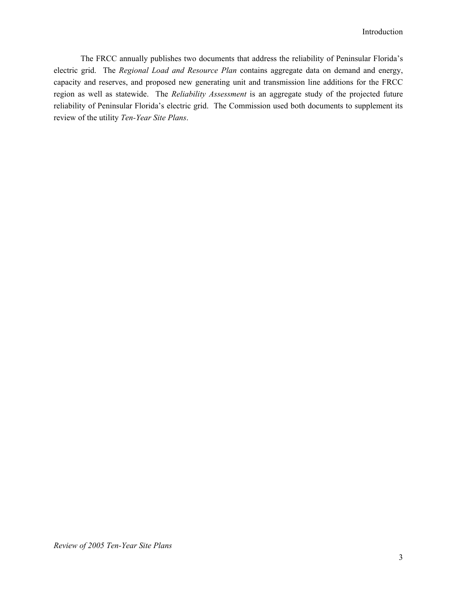The FRCC annually publishes two documents that address the reliability of Peninsular Florida's electric grid. The *Regional Load and Resource Plan* contains aggregate data on demand and energy, capacity and reserves, and proposed new generating unit and transmission line additions for the FRCC region as well as statewide. The *Reliability Assessment* is an aggregate study of the projected future reliability of Peninsular Florida's electric grid. The Commission used both documents to supplement its review of the utility *Ten-Year Site Plans*.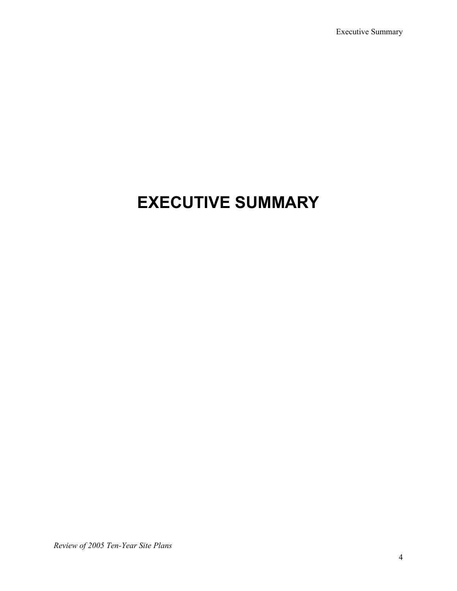Executive Summary

# **EXECUTIVE SUMMARY**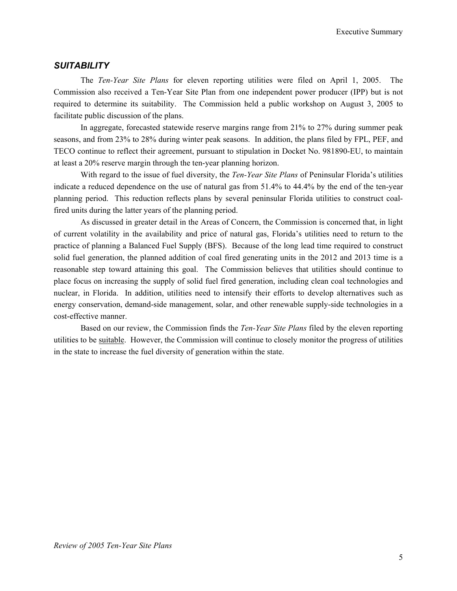# *SUITABILITY*

The *Ten-Year Site Plans* for eleven reporting utilities were filed on April 1, 2005. The Commission also received a Ten-Year Site Plan from one independent power producer (IPP) but is not required to determine its suitability. The Commission held a public workshop on August 3, 2005 to facilitate public discussion of the plans.

In aggregate, forecasted statewide reserve margins range from 21% to 27% during summer peak seasons, and from 23% to 28% during winter peak seasons. In addition, the plans filed by FPL, PEF, and TECO continue to reflect their agreement, pursuant to stipulation in Docket No. 981890-EU, to maintain at least a 20% reserve margin through the ten-year planning horizon.

With regard to the issue of fuel diversity, the *Ten-Year Site Plans* of Peninsular Florida's utilities indicate a reduced dependence on the use of natural gas from 51.4% to 44.4% by the end of the ten-year planning period. This reduction reflects plans by several peninsular Florida utilities to construct coalfired units during the latter years of the planning period.

As discussed in greater detail in the Areas of Concern, the Commission is concerned that, in light of current volatility in the availability and price of natural gas, Florida's utilities need to return to the practice of planning a Balanced Fuel Supply (BFS). Because of the long lead time required to construct solid fuel generation, the planned addition of coal fired generating units in the 2012 and 2013 time is a reasonable step toward attaining this goal. The Commission believes that utilities should continue to place focus on increasing the supply of solid fuel fired generation, including clean coal technologies and nuclear, in Florida. In addition, utilities need to intensify their efforts to develop alternatives such as energy conservation, demand-side management, solar, and other renewable supply-side technologies in a cost-effective manner.

Based on our review, the Commission finds the *Ten-Year Site Plans* filed by the eleven reporting utilities to be suitable. However, the Commission will continue to closely monitor the progress of utilities in the state to increase the fuel diversity of generation within the state.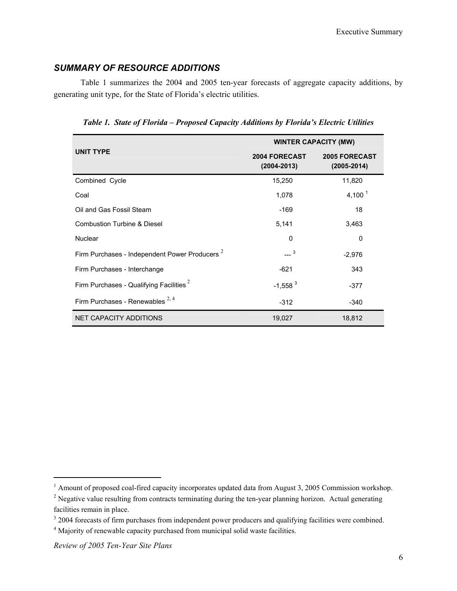# *SUMMARY OF RESOURCE ADDITIONS*

Table 1 summarizes the 2004 and 2005 ten-year forecasts of aggregate capacity additions, by generating unit type, for the State of Florida's electric utilities.

*Table 1. State of Florida – Proposed Capacity Additions by Florida's Electric Utilities* 

|                                                           | <b>WINTER CAPACITY (MW)</b>      |                                         |  |  |
|-----------------------------------------------------------|----------------------------------|-----------------------------------------|--|--|
| <b>UNIT TYPE</b>                                          | 2004 FORECAST<br>$(2004 - 2013)$ | <b>2005 FORECAST</b><br>$(2005 - 2014)$ |  |  |
| Combined Cycle                                            | 15,250                           | 11,820                                  |  |  |
| Coal                                                      | 1,078                            | 4,100 $1$                               |  |  |
| Oil and Gas Fossil Steam                                  | $-169$                           | 18                                      |  |  |
| <b>Combustion Turbine &amp; Diesel</b>                    | 5,141                            | 3,463                                   |  |  |
| <b>Nuclear</b>                                            | 0                                | 0                                       |  |  |
| Firm Purchases - Independent Power Producers <sup>2</sup> | $-2^{3}$                         | $-2,976$                                |  |  |
| Firm Purchases - Interchange                              | $-621$                           | 343                                     |  |  |
| Firm Purchases - Qualifying Facilities $2$                | $-1,558$ <sup>3</sup>            | $-377$                                  |  |  |
| Firm Purchases - Renewables $^{2,4}$                      | $-312$                           | $-340$                                  |  |  |
| NET CAPACITY ADDITIONS                                    | 19,027                           | 18,812                                  |  |  |

l

<sup>&</sup>lt;sup>1</sup> Amount of proposed coal-fired capacity incorporates updated data from August 3, 2005 Commission workshop.

 $2^{2}$  Negative value resulting from contracts terminating during the ten-year planning horizon. Actual generating facilities remain in place.

<sup>&</sup>lt;sup>3</sup> 2004 forecasts of firm purchases from independent power producers and qualifying facilities were combined.<br><sup>4</sup> Majority of ranguable canosity purchased from municipal solid wests facilities.

<sup>&</sup>lt;sup>4</sup> Majority of renewable capacity purchased from municipal solid waste facilities.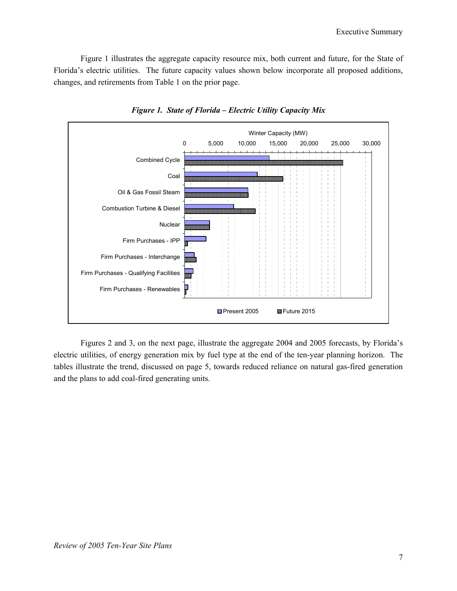Figure 1 illustrates the aggregate capacity resource mix, both current and future, for the State of Florida's electric utilities. The future capacity values shown below incorporate all proposed additions, changes, and retirements from Table 1 on the prior page.



*Figure 1. State of Florida – Electric Utility Capacity Mix* 

Figures 2 and 3, on the next page, illustrate the aggregate 2004 and 2005 forecasts, by Florida's electric utilities, of energy generation mix by fuel type at the end of the ten-year planning horizon. The tables illustrate the trend, discussed on page 5, towards reduced reliance on natural gas-fired generation and the plans to add coal-fired generating units.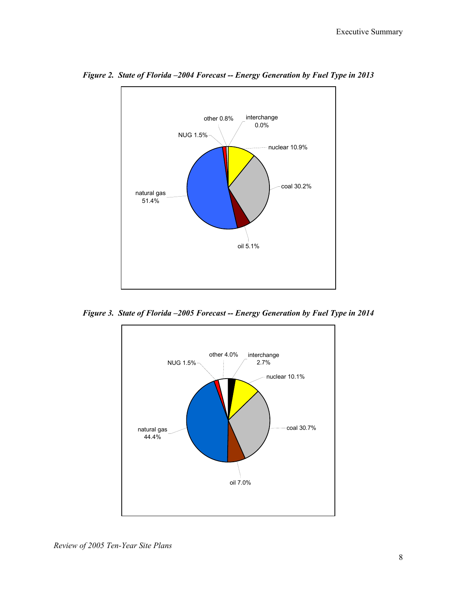

*Figure 2. State of Florida –2004 Forecast -- Energy Generation by Fuel Type in 2013* 

*Figure 3. State of Florida –2005 Forecast -- Energy Generation by Fuel Type in 2014* 

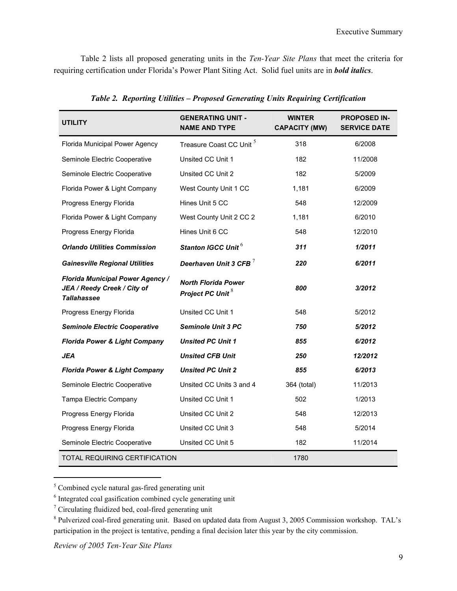Table 2 lists all proposed generating units in the *Ten-Year Site Plans* that meet the criteria for requiring certification under Florida's Power Plant Siting Act. Solid fuel units are in *bold italics*.

| <b>UTILITY</b>                                                                               | <b>GENERATING UNIT -</b><br><b>NAME AND TYPE</b>           | <b>WINTER</b><br><b>CAPACITY (MW)</b> | <b>PROPOSED IN-</b><br><b>SERVICE DATE</b> |
|----------------------------------------------------------------------------------------------|------------------------------------------------------------|---------------------------------------|--------------------------------------------|
| Florida Municipal Power Agency                                                               | Treasure Coast CC Unit <sup>5</sup>                        | 318                                   | 6/2008                                     |
| Seminole Electric Cooperative                                                                | Unsited CC Unit 1                                          | 182                                   | 11/2008                                    |
| Seminole Electric Cooperative                                                                | Unsited CC Unit 2                                          | 182                                   | 5/2009                                     |
| Florida Power & Light Company                                                                | West County Unit 1 CC                                      | 1,181                                 | 6/2009                                     |
| Progress Energy Florida                                                                      | Hines Unit 5 CC                                            | 548                                   | 12/2009                                    |
| Florida Power & Light Company                                                                | West County Unit 2 CC 2                                    | 1,181                                 | 6/2010                                     |
| Progress Energy Florida                                                                      | Hines Unit 6 CC                                            | 548                                   | 12/2010                                    |
| <b>Orlando Utilities Commission</b>                                                          | Stanton IGCC Unit <sup>6</sup>                             | 311                                   | 1/2011                                     |
| <b>Gainesville Regional Utilities</b>                                                        | Deerhaven Unit 3 CFB $^7$                                  | 220                                   | 6/2011                                     |
| <b>Florida Municipal Power Agency /</b><br>JEA / Reedy Creek / City of<br><b>Tallahassee</b> | <b>North Florida Power</b><br>Project PC Unit <sup>8</sup> | 800                                   | 3/2012                                     |
| Progress Energy Florida                                                                      | Unsited CC Unit 1                                          | 548                                   | 5/2012                                     |
| <b>Seminole Electric Cooperative</b>                                                         | <b>Seminole Unit 3 PC</b>                                  | 750                                   | 5/2012                                     |
| <b>Florida Power &amp; Light Company</b>                                                     | <b>Unsited PC Unit 1</b>                                   | 855                                   | 6/2012                                     |
| <b>JEA</b>                                                                                   | <b>Unsited CFB Unit</b>                                    | 250                                   | 12/2012                                    |
| <b>Florida Power &amp; Light Company</b>                                                     | <b>Unsited PC Unit 2</b>                                   | 855                                   | 6/2013                                     |
| Seminole Electric Cooperative                                                                | Unsited CC Units 3 and 4                                   | 364 (total)                           | 11/2013                                    |
| Tampa Electric Company                                                                       | Unsited CC Unit 1                                          | 502                                   | 1/2013                                     |
| Progress Energy Florida                                                                      | Unsited CC Unit 2                                          | 548                                   | 12/2013                                    |
| Progress Energy Florida                                                                      | Unsited CC Unit 3                                          | 548                                   | 5/2014                                     |
| Seminole Electric Cooperative                                                                | Unsited CC Unit 5                                          | 182                                   | 11/2014                                    |
| TOTAL REQUIRING CERTIFICATION                                                                |                                                            | 1780                                  |                                            |

*Table 2. Reporting Utilities – Proposed Generating Units Requiring Certification* 

<sup>5</sup> Combined cycle natural gas-fired generating unit

l

<sup>&</sup>lt;sup>6</sup> Integrated coal gasification combined cycle generating unit

 $7$  Circulating fluidized bed, coal-fired generating unit

<sup>&</sup>lt;sup>8</sup> Pulverized coal-fired generating unit. Based on updated data from August 3, 2005 Commission workshop. TAL's participation in the project is tentative, pending a final decision later this year by the city commission.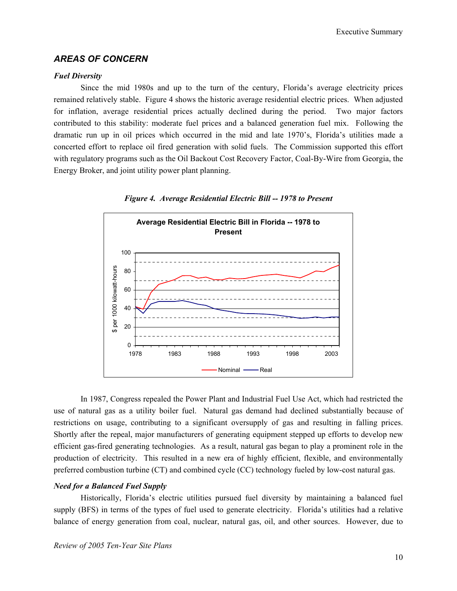# *AREAS OF CONCERN*

### *Fuel Diversity*

Since the mid 1980s and up to the turn of the century, Florida's average electricity prices remained relatively stable. Figure 4 shows the historic average residential electric prices. When adjusted for inflation, average residential prices actually declined during the period. Two major factors contributed to this stability: moderate fuel prices and a balanced generation fuel mix. Following the dramatic run up in oil prices which occurred in the mid and late 1970's, Florida's utilities made a concerted effort to replace oil fired generation with solid fuels. The Commission supported this effort with regulatory programs such as the Oil Backout Cost Recovery Factor, Coal-By-Wire from Georgia, the Energy Broker, and joint utility power plant planning.





In 1987, Congress repealed the Power Plant and Industrial Fuel Use Act, which had restricted the use of natural gas as a utility boiler fuel. Natural gas demand had declined substantially because of restrictions on usage, contributing to a significant oversupply of gas and resulting in falling prices. Shortly after the repeal, major manufacturers of generating equipment stepped up efforts to develop new efficient gas-fired generating technologies. As a result, natural gas began to play a prominent role in the production of electricity. This resulted in a new era of highly efficient, flexible, and environmentally preferred combustion turbine (CT) and combined cycle (CC) technology fueled by low-cost natural gas.

### *Need for a Balanced Fuel Supply*

Historically, Florida's electric utilities pursued fuel diversity by maintaining a balanced fuel supply (BFS) in terms of the types of fuel used to generate electricity. Florida's utilities had a relative balance of energy generation from coal, nuclear, natural gas, oil, and other sources. However, due to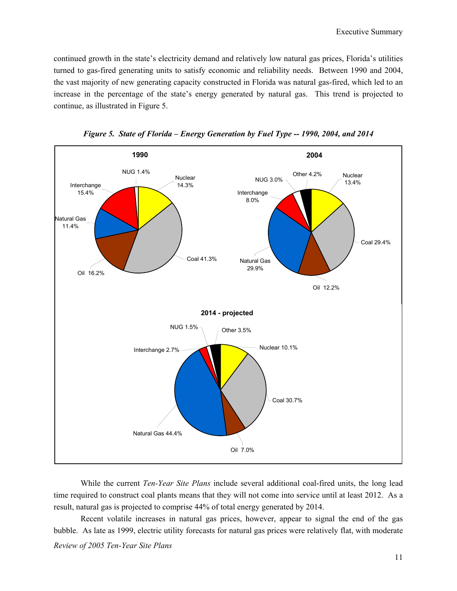continued growth in the state's electricity demand and relatively low natural gas prices, Florida's utilities turned to gas-fired generating units to satisfy economic and reliability needs. Between 1990 and 2004, the vast majority of new generating capacity constructed in Florida was natural gas-fired, which led to an increase in the percentage of the state's energy generated by natural gas. This trend is projected to continue, as illustrated in Figure 5.



*Figure 5. State of Florida – Energy Generation by Fuel Type -- 1990, 2004, and 2014* 

While the current *Ten-Year Site Plans* include several additional coal-fired units, the long lead time required to construct coal plants means that they will not come into service until at least 2012. As a result, natural gas is projected to comprise 44% of total energy generated by 2014.

*Review of 2005 Ten-Year Site Plans*  Recent volatile increases in natural gas prices, however, appear to signal the end of the gas bubble. As late as 1999, electric utility forecasts for natural gas prices were relatively flat, with moderate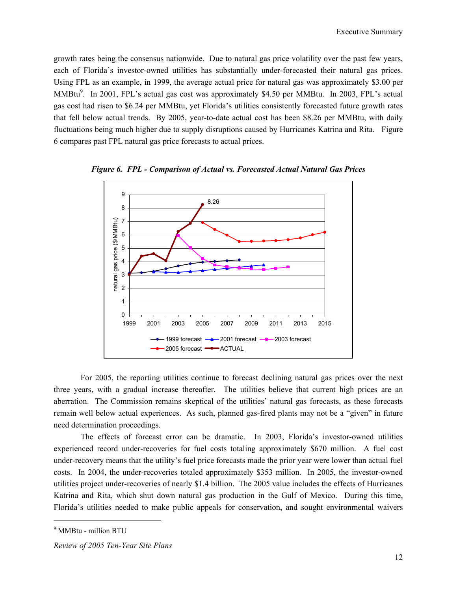growth rates being the consensus nationwide. Due to natural gas price volatility over the past few years, each of Florida's investor-owned utilities has substantially under-forecasted their natural gas prices. Using FPL as an example, in 1999, the average actual price for natural gas was approximately \$3.00 per MMBtu<sup>9</sup>. In 2001, FPL's actual gas cost was approximately \$4.50 per MMBtu. In 2003, FPL's actual gas cost had risen to \$6.24 per MMBtu, yet Florida's utilities consistently forecasted future growth rates that fell below actual trends. By 2005, year-to-date actual cost has been \$8.26 per MMBtu, with daily fluctuations being much higher due to supply disruptions caused by Hurricanes Katrina and Rita. Figure 6 compares past FPL natural gas price forecasts to actual prices.



*Figure 6. FPL - Comparison of Actual vs. Forecasted Actual Natural Gas Prices* 

For 2005, the reporting utilities continue to forecast declining natural gas prices over the next three years, with a gradual increase thereafter. The utilities believe that current high prices are an aberration. The Commission remains skeptical of the utilities' natural gas forecasts, as these forecasts remain well below actual experiences. As such, planned gas-fired plants may not be a "given" in future need determination proceedings.

The effects of forecast error can be dramatic. In 2003, Florida's investor-owned utilities experienced record under-recoveries for fuel costs totaling approximately \$670 million. A fuel cost under-recovery means that the utility's fuel price forecasts made the prior year were lower than actual fuel costs. In 2004, the under-recoveries totaled approximately \$353 million. In 2005, the investor-owned utilities project under-recoveries of nearly \$1.4 billion. The 2005 value includes the effects of Hurricanes Katrina and Rita, which shut down natural gas production in the Gulf of Mexico. During this time, Florida's utilities needed to make public appeals for conservation, and sought environmental waivers

 $\overline{\phantom{a}}$ 

<sup>9</sup> MMBtu - million BTU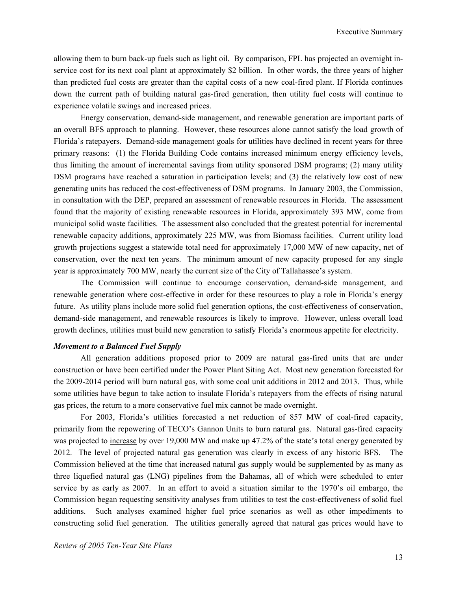allowing them to burn back-up fuels such as light oil. By comparison, FPL has projected an overnight inservice cost for its next coal plant at approximately \$2 billion. In other words, the three years of higher than predicted fuel costs are greater than the capital costs of a new coal-fired plant. If Florida continues down the current path of building natural gas-fired generation, then utility fuel costs will continue to experience volatile swings and increased prices.

Energy conservation, demand-side management, and renewable generation are important parts of an overall BFS approach to planning. However, these resources alone cannot satisfy the load growth of Florida's ratepayers. Demand-side management goals for utilities have declined in recent years for three primary reasons: (1) the Florida Building Code contains increased minimum energy efficiency levels, thus limiting the amount of incremental savings from utility sponsored DSM programs; (2) many utility DSM programs have reached a saturation in participation levels; and (3) the relatively low cost of new generating units has reduced the cost-effectiveness of DSM programs. In January 2003, the Commission, in consultation with the DEP, prepared an assessment of renewable resources in Florida. The assessment found that the majority of existing renewable resources in Florida, approximately 393 MW, come from municipal solid waste facilities. The assessment also concluded that the greatest potential for incremental renewable capacity additions, approximately 225 MW, was from Biomass facilities. Current utility load growth projections suggest a statewide total need for approximately 17,000 MW of new capacity, net of conservation, over the next ten years. The minimum amount of new capacity proposed for any single year is approximately 700 MW, nearly the current size of the City of Tallahassee's system.

The Commission will continue to encourage conservation, demand-side management, and renewable generation where cost-effective in order for these resources to play a role in Florida's energy future. As utility plans include more solid fuel generation options, the cost-effectiveness of conservation, demand-side management, and renewable resources is likely to improve. However, unless overall load growth declines, utilities must build new generation to satisfy Florida's enormous appetite for electricity.

### *Movement to a Balanced Fuel Supply*

All generation additions proposed prior to 2009 are natural gas-fired units that are under construction or have been certified under the Power Plant Siting Act. Most new generation forecasted for the 2009-2014 period will burn natural gas, with some coal unit additions in 2012 and 2013. Thus, while some utilities have begun to take action to insulate Florida's ratepayers from the effects of rising natural gas prices, the return to a more conservative fuel mix cannot be made overnight.

For 2003, Florida's utilities forecasted a net reduction of 857 MW of coal-fired capacity, primarily from the repowering of TECO's Gannon Units to burn natural gas. Natural gas-fired capacity was projected to increase by over 19,000 MW and make up 47.2% of the state's total energy generated by 2012. The level of projected natural gas generation was clearly in excess of any historic BFS. The Commission believed at the time that increased natural gas supply would be supplemented by as many as three liquefied natural gas (LNG) pipelines from the Bahamas, all of which were scheduled to enter service by as early as 2007. In an effort to avoid a situation similar to the 1970's oil embargo, the Commission began requesting sensitivity analyses from utilities to test the cost-effectiveness of solid fuel additions. Such analyses examined higher fuel price scenarios as well as other impediments to constructing solid fuel generation. The utilities generally agreed that natural gas prices would have to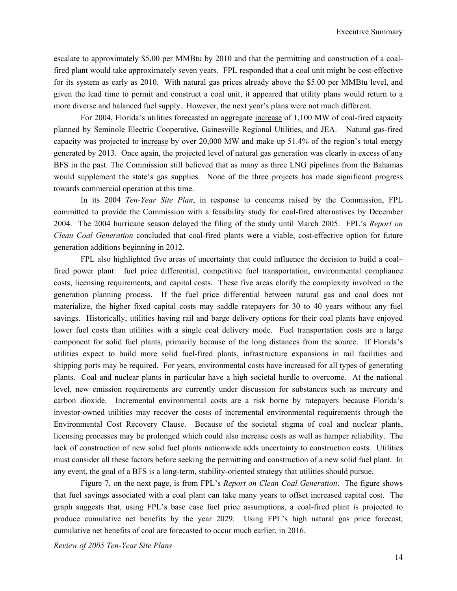escalate to approximately \$5.00 per MMBtu by 2010 and that the permitting and construction of a coalfired plant would take approximately seven years. FPL responded that a coal unit might be cost-effective for its system as early as 2010. With natural gas prices already above the \$5.00 per MMBtu level, and given the lead time to permit and construct a coal unit, it appeared that utility plans would return to a more diverse and balanced fuel supply. However, the next year's plans were not much different.

For 2004, Florida's utilities forecasted an aggregate increase of 1,100 MW of coal-fired capacity planned by Seminole Electric Cooperative, Gainesville Regional Utilities, and JEA. Natural gas-fired capacity was projected to increase by over 20,000 MW and make up 51.4% of the region's total energy generated by 2013. Once again, the projected level of natural gas generation was clearly in excess of any BFS in the past. The Commission still believed that as many as three LNG pipelines from the Bahamas would supplement the state's gas supplies. None of the three projects has made significant progress towards commercial operation at this time.

In its 2004 *Ten-Year Site Plan*, in response to concerns raised by the Commission, FPL committed to provide the Commission with a feasibility study for coal-fired alternatives by December 2004. The 2004 hurricane season delayed the filing of the study until March 2005. FPL's *Report on Clean Coal Generation* concluded that coal-fired plants were a viable, cost-effective option for future generation additions beginning in 2012.

FPL also highlighted five areas of uncertainty that could influence the decision to build a coal– fired power plant: fuel price differential, competitive fuel transportation, environmental compliance costs, licensing requirements, and capital costs. These five areas clarify the complexity involved in the generation planning process. If the fuel price differential between natural gas and coal does not materialize, the higher fixed capital costs may saddle ratepayers for 30 to 40 years without any fuel savings. Historically, utilities having rail and barge delivery options for their coal plants have enjoyed lower fuel costs than utilities with a single coal delivery mode. Fuel transportation costs are a large component for solid fuel plants, primarily because of the long distances from the source. If Florida's utilities expect to build more solid fuel-fired plants, infrastructure expansions in rail facilities and shipping ports may be required. For years, environmental costs have increased for all types of generating plants. Coal and nuclear plants in particular have a high societal hurdle to overcome. At the national level, new emission requirements are currently under discussion for substances such as mercury and carbon dioxide. Incremental environmental costs are a risk borne by ratepayers because Florida's investor-owned utilities may recover the costs of incremental environmental requirements through the Environmental Cost Recovery Clause. Because of the societal stigma of coal and nuclear plants, licensing processes may be prolonged which could also increase costs as well as hamper reliability. The lack of construction of new solid fuel plants nationwide adds uncertainty to construction costs. Utilities must consider all these factors before seeking the permitting and construction of a new solid fuel plant. In any event, the goal of a BFS is a long-term, stability-oriented strategy that utilities should pursue.

Figure 7, on the next page, is from FPL's *Report on Clean Coal Generation*. The figure shows that fuel savings associated with a coal plant can take many years to offset increased capital cost. The graph suggests that, using FPL's base case fuel price assumptions, a coal-fired plant is projected to produce cumulative net benefits by the year 2029. Using FPL's high natural gas price forecast, cumulative net benefits of coal are forecasted to occur much earlier, in 2016.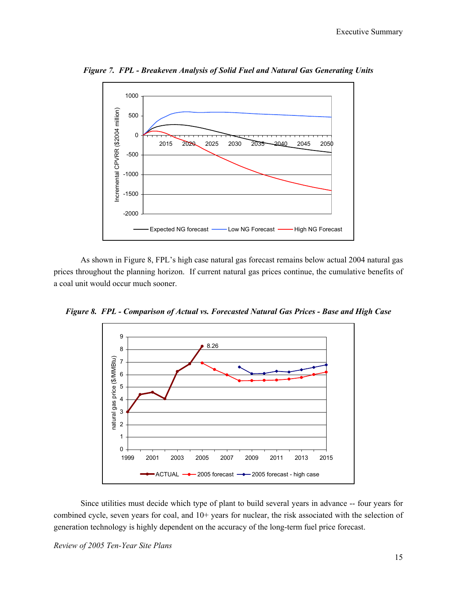

*Figure 7. FPL - Breakeven Analysis of Solid Fuel and Natural Gas Generating Units* 

As shown in Figure 8, FPL's high case natural gas forecast remains below actual 2004 natural gas prices throughout the planning horizon. If current natural gas prices continue, the cumulative benefits of a coal unit would occur much sooner.

*Figure 8. FPL - Comparison of Actual vs. Forecasted Natural Gas Prices - Base and High Case* 



Since utilities must decide which type of plant to build several years in advance -- four years for combined cycle, seven years for coal, and  $10+$  years for nuclear, the risk associated with the selection of generation technology is highly dependent on the accuracy of the long-term fuel price forecast.

*Review of 2005 Ten-Year Site Plans*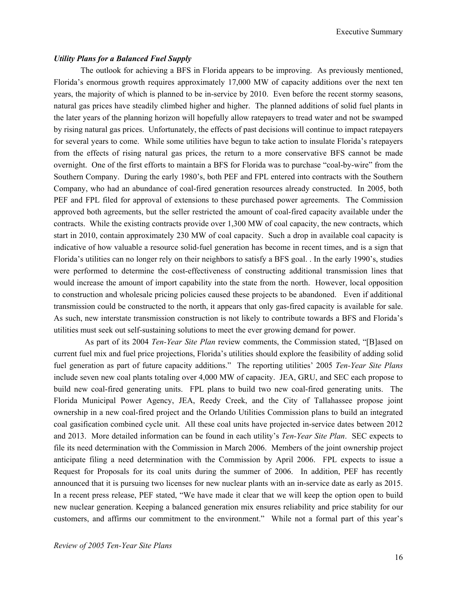Executive Summary

### *Utility Plans for a Balanced Fuel Supply*

The outlook for achieving a BFS in Florida appears to be improving. As previously mentioned, Florida's enormous growth requires approximately 17,000 MW of capacity additions over the next ten years, the majority of which is planned to be in-service by 2010. Even before the recent stormy seasons, natural gas prices have steadily climbed higher and higher. The planned additions of solid fuel plants in the later years of the planning horizon will hopefully allow ratepayers to tread water and not be swamped by rising natural gas prices. Unfortunately, the effects of past decisions will continue to impact ratepayers for several years to come. While some utilities have begun to take action to insulate Florida's ratepayers from the effects of rising natural gas prices, the return to a more conservative BFS cannot be made overnight. One of the first efforts to maintain a BFS for Florida was to purchase "coal-by-wire" from the Southern Company. During the early 1980's, both PEF and FPL entered into contracts with the Southern Company, who had an abundance of coal-fired generation resources already constructed. In 2005, both PEF and FPL filed for approval of extensions to these purchased power agreements. The Commission approved both agreements, but the seller restricted the amount of coal-fired capacity available under the contracts. While the existing contracts provide over 1,300 MW of coal capacity, the new contracts, which start in 2010, contain approximately 230 MW of coal capacity. Such a drop in available coal capacity is indicative of how valuable a resource solid-fuel generation has become in recent times, and is a sign that Florida's utilities can no longer rely on their neighbors to satisfy a BFS goal. . In the early 1990's, studies were performed to determine the cost-effectiveness of constructing additional transmission lines that would increase the amount of import capability into the state from the north. However, local opposition to construction and wholesale pricing policies caused these projects to be abandoned. Even if additional transmission could be constructed to the north, it appears that only gas-fired capacity is available for sale. As such, new interstate transmission construction is not likely to contribute towards a BFS and Florida's utilities must seek out self-sustaining solutions to meet the ever growing demand for power.

 As part of its 2004 *Ten-Year Site Plan* review comments, the Commission stated, "[B]ased on current fuel mix and fuel price projections, Florida's utilities should explore the feasibility of adding solid fuel generation as part of future capacity additions." The reporting utilities' 2005 *Ten-Year Site Plans* include seven new coal plants totaling over 4,000 MW of capacity. JEA, GRU, and SEC each propose to build new coal-fired generating units. FPL plans to build two new coal-fired generating units. The Florida Municipal Power Agency, JEA, Reedy Creek, and the City of Tallahassee propose joint ownership in a new coal-fired project and the Orlando Utilities Commission plans to build an integrated coal gasification combined cycle unit. All these coal units have projected in-service dates between 2012 and 2013. More detailed information can be found in each utility's *Ten-Year Site Plan*. SEC expects to file its need determination with the Commission in March 2006. Members of the joint ownership project anticipate filing a need determination with the Commission by April 2006. FPL expects to issue a Request for Proposals for its coal units during the summer of 2006. In addition, PEF has recently announced that it is pursuing two licenses for new nuclear plants with an in-service date as early as 2015. In a recent press release, PEF stated, "We have made it clear that we will keep the option open to build new nuclear generation. Keeping a balanced generation mix ensures reliability and price stability for our customers, and affirms our commitment to the environment." While not a formal part of this year's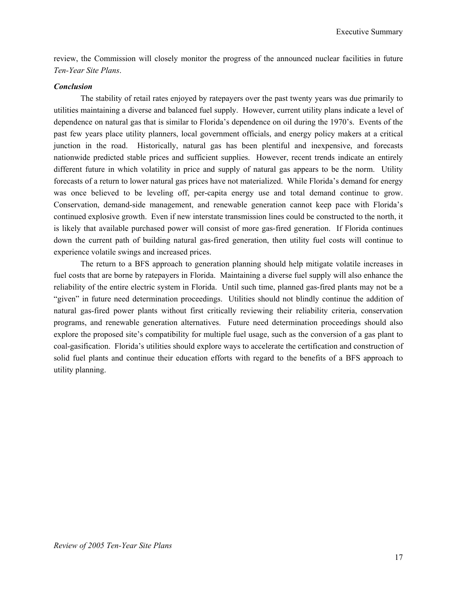review, the Commission will closely monitor the progress of the announced nuclear facilities in future *Ten-Year Site Plans*.

### *Conclusion*

The stability of retail rates enjoyed by ratepayers over the past twenty years was due primarily to utilities maintaining a diverse and balanced fuel supply. However, current utility plans indicate a level of dependence on natural gas that is similar to Florida's dependence on oil during the 1970's. Events of the past few years place utility planners, local government officials, and energy policy makers at a critical junction in the road. Historically, natural gas has been plentiful and inexpensive, and forecasts nationwide predicted stable prices and sufficient supplies. However, recent trends indicate an entirely different future in which volatility in price and supply of natural gas appears to be the norm. Utility forecasts of a return to lower natural gas prices have not materialized. While Florida's demand for energy was once believed to be leveling off, per-capita energy use and total demand continue to grow. Conservation, demand-side management, and renewable generation cannot keep pace with Florida's continued explosive growth. Even if new interstate transmission lines could be constructed to the north, it is likely that available purchased power will consist of more gas-fired generation. If Florida continues down the current path of building natural gas-fired generation, then utility fuel costs will continue to experience volatile swings and increased prices.

The return to a BFS approach to generation planning should help mitigate volatile increases in fuel costs that are borne by ratepayers in Florida. Maintaining a diverse fuel supply will also enhance the reliability of the entire electric system in Florida. Until such time, planned gas-fired plants may not be a "given" in future need determination proceedings. Utilities should not blindly continue the addition of natural gas-fired power plants without first critically reviewing their reliability criteria, conservation programs, and renewable generation alternatives. Future need determination proceedings should also explore the proposed site's compatibility for multiple fuel usage, such as the conversion of a gas plant to coal-gasification. Florida's utilities should explore ways to accelerate the certification and construction of solid fuel plants and continue their education efforts with regard to the benefits of a BFS approach to utility planning.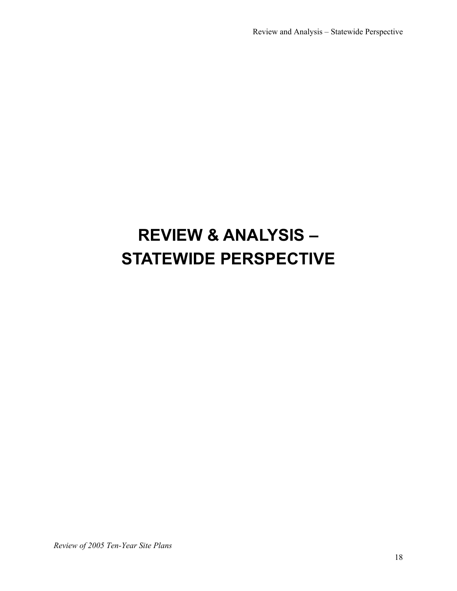# **REVIEW & ANALYSIS – STATEWIDE PERSPECTIVE**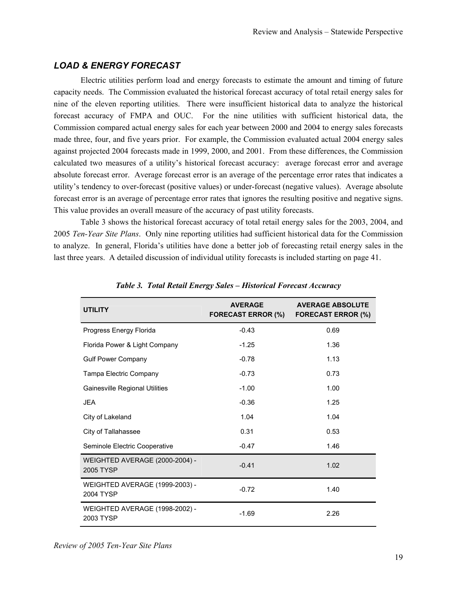# *LOAD & ENERGY FORECAST*

Electric utilities perform load and energy forecasts to estimate the amount and timing of future capacity needs. The Commission evaluated the historical forecast accuracy of total retail energy sales for nine of the eleven reporting utilities. There were insufficient historical data to analyze the historical forecast accuracy of FMPA and OUC. For the nine utilities with sufficient historical data, the Commission compared actual energy sales for each year between 2000 and 2004 to energy sales forecasts made three, four, and five years prior. For example, the Commission evaluated actual 2004 energy sales against projected 2004 forecasts made in 1999, 2000, and 2001. From these differences, the Commission calculated two measures of a utility's historical forecast accuracy: average forecast error and average absolute forecast error. Average forecast error is an average of the percentage error rates that indicates a utility's tendency to over-forecast (positive values) or under-forecast (negative values). Average absolute forecast error is an average of percentage error rates that ignores the resulting positive and negative signs. This value provides an overall measure of the accuracy of past utility forecasts.

Table 3 shows the historical forecast accuracy of total retail energy sales for the 2003, 2004, and 2005 *Ten-Year Site Plans*. Only nine reporting utilities had sufficient historical data for the Commission to analyze. In general, Florida's utilities have done a better job of forecasting retail energy sales in the last three years. A detailed discussion of individual utility forecasts is included starting on page 41.

| <b>UTILITY</b>                                     | <b>AVERAGE</b><br><b>FORECAST ERROR (%)</b> | <b>AVERAGE ABSOLUTE</b><br><b>FORECAST ERROR (%)</b> |
|----------------------------------------------------|---------------------------------------------|------------------------------------------------------|
| Progress Energy Florida                            | $-0.43$                                     | 0.69                                                 |
| Florida Power & Light Company                      | $-1.25$                                     | 1.36                                                 |
| <b>Gulf Power Company</b>                          | $-0.78$                                     | 1.13                                                 |
| Tampa Electric Company                             | $-0.73$                                     | 0.73                                                 |
| <b>Gainesville Regional Utilities</b>              | $-1.00$                                     | 1.00                                                 |
| <b>JEA</b>                                         | $-0.36$                                     | 1.25                                                 |
| City of Lakeland                                   | 1.04                                        | 1.04                                                 |
| City of Tallahassee                                | 0.31                                        | 0.53                                                 |
| Seminole Electric Cooperative                      | $-0.47$                                     | 1.46                                                 |
| <b>WEIGHTED AVERAGE (2000-2004) -</b><br>2005 TYSP | $-0.41$                                     | 1.02                                                 |
| WEIGHTED AVERAGE (1999-2003) -<br>2004 TYSP        | $-0.72$                                     | 1.40                                                 |
| WEIGHTED AVERAGE (1998-2002) -<br>2003 TYSP        | $-1.69$                                     | 2.26                                                 |

*Table 3. Total Retail Energy Sales – Historical Forecast Accuracy* 

*Review of 2005 Ten-Year Site Plans*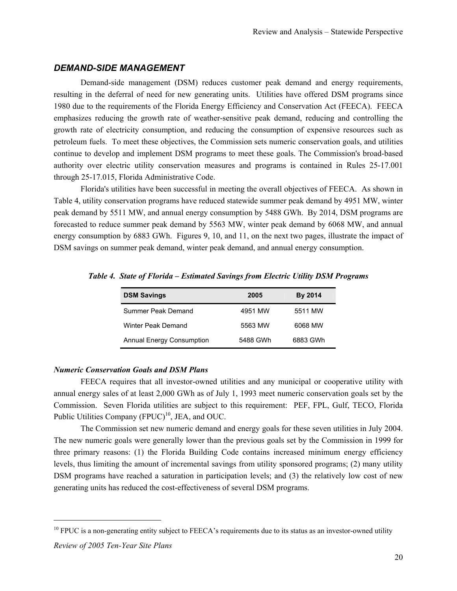## *DEMAND-SIDE MANAGEMENT*

Demand-side management (DSM) reduces customer peak demand and energy requirements, resulting in the deferral of need for new generating units. Utilities have offered DSM programs since 1980 due to the requirements of the Florida Energy Efficiency and Conservation Act (FEECA). FEECA emphasizes reducing the growth rate of weather-sensitive peak demand, reducing and controlling the growth rate of electricity consumption, and reducing the consumption of expensive resources such as petroleum fuels. To meet these objectives, the Commission sets numeric conservation goals, and utilities continue to develop and implement DSM programs to meet these goals. The Commission's broad-based authority over electric utility conservation measures and programs is contained in Rules 25-17.001 through 25-17.015, Florida Administrative Code.

Florida's utilities have been successful in meeting the overall objectives of FEECA. As shown in Table 4, utility conservation programs have reduced statewide summer peak demand by 4951 MW, winter peak demand by 5511 MW, and annual energy consumption by 5488 GWh. By 2014, DSM programs are forecasted to reduce summer peak demand by 5563 MW, winter peak demand by 6068 MW, and annual energy consumption by 6883 GWh. Figures 9, 10, and 11, on the next two pages, illustrate the impact of DSM savings on summer peak demand, winter peak demand, and annual energy consumption.

| <b>DSM Savings</b>        | 2005     | By 2014  |
|---------------------------|----------|----------|
| Summer Peak Demand        | 4951 MW  | 5511 MW  |
| Winter Peak Demand        | 5563 MW  | 6068 MW  |
| Annual Energy Consumption | 5488 GWh | 6883 GWh |

*Table 4. State of Florida – Estimated Savings from Electric Utility DSM Programs* 

### *Numeric Conservation Goals and DSM Plans*

FEECA requires that all investor-owned utilities and any municipal or cooperative utility with annual energy sales of at least 2,000 GWh as of July 1, 1993 meet numeric conservation goals set by the Commission. Seven Florida utilities are subject to this requirement: PEF, FPL, Gulf, TECO, Florida Public Utilities Company  $(FPUC)^{10}$ , JEA, and OUC.

The Commission set new numeric demand and energy goals for these seven utilities in July 2004. The new numeric goals were generally lower than the previous goals set by the Commission in 1999 for three primary reasons: (1) the Florida Building Code contains increased minimum energy efficiency levels, thus limiting the amount of incremental savings from utility sponsored programs; (2) many utility DSM programs have reached a saturation in participation levels; and (3) the relatively low cost of new generating units has reduced the cost-effectiveness of several DSM programs.

-

 $10$  FPUC is a non-generating entity subject to FEECA's requirements due to its status as an investor-owned utility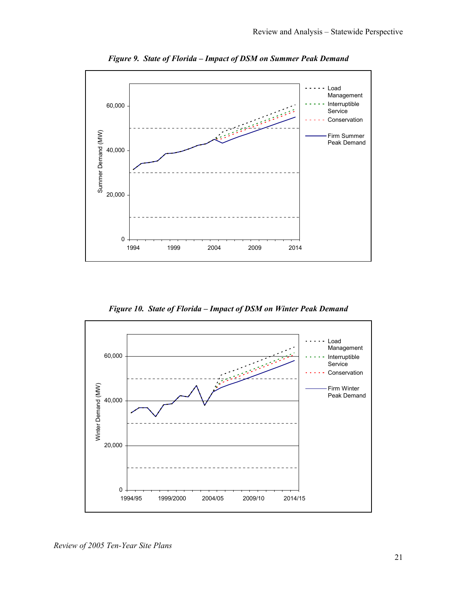

*Figure 9. State of Florida – Impact of DSM on Summer Peak Demand* 

*Figure 10. State of Florida – Impact of DSM on Winter Peak Demand* 

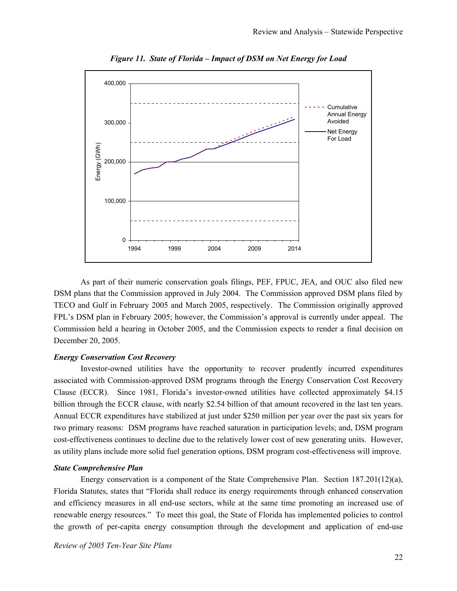

*Figure 11. State of Florida – Impact of DSM on Net Energy for Load* 

As part of their numeric conservation goals filings, PEF, FPUC, JEA, and OUC also filed new DSM plans that the Commission approved in July 2004. The Commission approved DSM plans filed by TECO and Gulf in February 2005 and March 2005, respectively. The Commission originally approved FPL's DSM plan in February 2005; however, the Commission's approval is currently under appeal. The Commission held a hearing in October 2005, and the Commission expects to render a final decision on December 20, 2005.

## *Energy Conservation Cost Recovery*

Investor-owned utilities have the opportunity to recover prudently incurred expenditures associated with Commission-approved DSM programs through the Energy Conservation Cost Recovery Clause (ECCR). Since 1981, Florida's investor-owned utilities have collected approximately \$4.15 billion through the ECCR clause, with nearly \$2.54 billion of that amount recovered in the last ten years. Annual ECCR expenditures have stabilized at just under \$250 million per year over the past six years for two primary reasons: DSM programs have reached saturation in participation levels; and, DSM program cost-effectiveness continues to decline due to the relatively lower cost of new generating units. However, as utility plans include more solid fuel generation options, DSM program cost-effectiveness will improve.

#### *State Comprehensive Plan*

Energy conservation is a component of the State Comprehensive Plan. Section 187.201(12)(a), Florida Statutes, states that "Florida shall reduce its energy requirements through enhanced conservation and efficiency measures in all end-use sectors, while at the same time promoting an increased use of renewable energy resources." To meet this goal, the State of Florida has implemented policies to control the growth of per-capita energy consumption through the development and application of end-use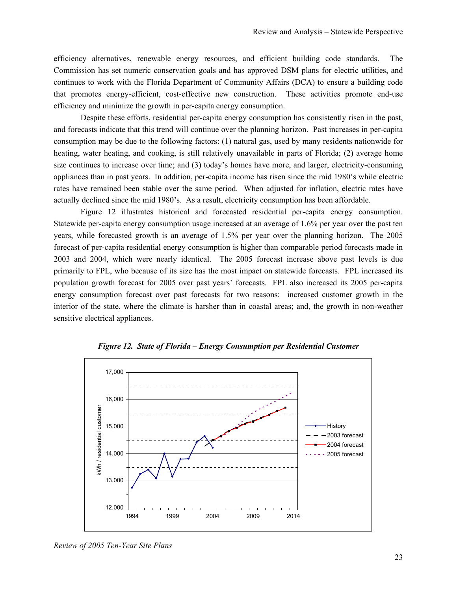efficiency alternatives, renewable energy resources, and efficient building code standards. The Commission has set numeric conservation goals and has approved DSM plans for electric utilities, and continues to work with the Florida Department of Community Affairs (DCA) to ensure a building code that promotes energy-efficient, cost-effective new construction. These activities promote end-use efficiency and minimize the growth in per-capita energy consumption.

Despite these efforts, residential per-capita energy consumption has consistently risen in the past, and forecasts indicate that this trend will continue over the planning horizon. Past increases in per-capita consumption may be due to the following factors: (1) natural gas, used by many residents nationwide for heating, water heating, and cooking, is still relatively unavailable in parts of Florida; (2) average home size continues to increase over time; and (3) today's homes have more, and larger, electricity-consuming appliances than in past years. In addition, per-capita income has risen since the mid 1980's while electric rates have remained been stable over the same period. When adjusted for inflation, electric rates have actually declined since the mid 1980's. As a result, electricity consumption has been affordable.

Figure 12 illustrates historical and forecasted residential per-capita energy consumption. Statewide per-capita energy consumption usage increased at an average of 1.6% per year over the past ten years, while forecasted growth is an average of 1.5% per year over the planning horizon. The 2005 forecast of per-capita residential energy consumption is higher than comparable period forecasts made in 2003 and 2004, which were nearly identical. The 2005 forecast increase above past levels is due primarily to FPL, who because of its size has the most impact on statewide forecasts. FPL increased its population growth forecast for 2005 over past years' forecasts. FPL also increased its 2005 per-capita energy consumption forecast over past forecasts for two reasons: increased customer growth in the interior of the state, where the climate is harsher than in coastal areas; and, the growth in non-weather sensitive electrical appliances.



*Figure 12. State of Florida – Energy Consumption per Residential Customer* 

*Review of 2005 Ten-Year Site Plans*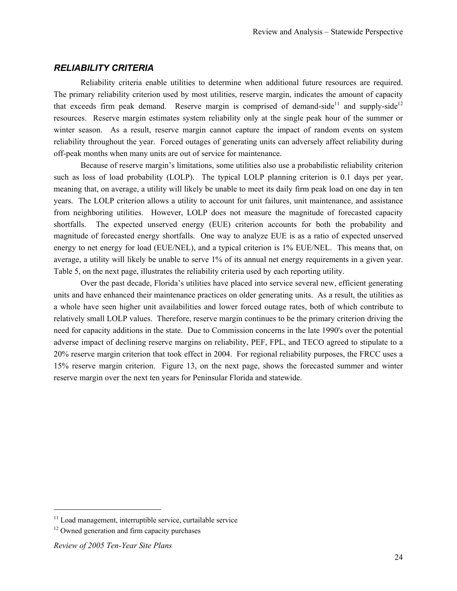# *RELIABILITY CRITERIA*

Reliability criteria enable utilities to determine when additional future resources are required. The primary reliability criterion used by most utilities, reserve margin, indicates the amount of capacity that exceeds firm peak demand. Reserve margin is comprised of demand-side<sup>11</sup> and supply-side<sup>12</sup> resources. Reserve margin estimates system reliability only at the single peak hour of the summer or winter season. As a result, reserve margin cannot capture the impact of random events on system reliability throughout the year. Forced outages of generating units can adversely affect reliability during off-peak months when many units are out of service for maintenance.

Because of reserve margin's limitations, some utilities also use a probabilistic reliability criterion such as loss of load probability (LOLP). The typical LOLP planning criterion is 0.1 days per year, meaning that, on average, a utility will likely be unable to meet its daily firm peak load on one day in ten years. The LOLP criterion allows a utility to account for unit failures, unit maintenance, and assistance from neighboring utilities. However, LOLP does not measure the magnitude of forecasted capacity shortfalls. The expected unserved energy (EUE) criterion accounts for both the probability and magnitude of forecasted energy shortfalls. One way to analyze EUE is as a ratio of expected unserved energy to net energy for load (EUE/NEL), and a typical criterion is 1% EUE/NEL. This means that, on average, a utility will likely be unable to serve 1% of its annual net energy requirements in a given year. Table 5, on the next page, illustrates the reliability criteria used by each reporting utility.

Over the past decade, Florida's utilities have placed into service several new, efficient generating units and have enhanced their maintenance practices on older generating units. As a result, the utilities as a whole have seen higher unit availabilities and lower forced outage rates, both of which contribute to relatively small LOLP values. Therefore, reserve margin continues to be the primary criterion driving the need for capacity additions in the state. Due to Commission concerns in the late 1990's over the potential adverse impact of declining reserve margins on reliability, PEF, FPL, and TECO agreed to stipulate to a 20% reserve margin criterion that took effect in 2004. For regional reliability purposes, the FRCC uses a 15% reserve margin criterion. Figure 13, on the next page, shows the forecasted summer and winter reserve margin over the next ten years for Peninsular Florida and statewide.

l

<sup>&</sup>lt;sup>11</sup> Load management, interruptible service, curtailable service  $12$  Owned generation and firm capacity purchases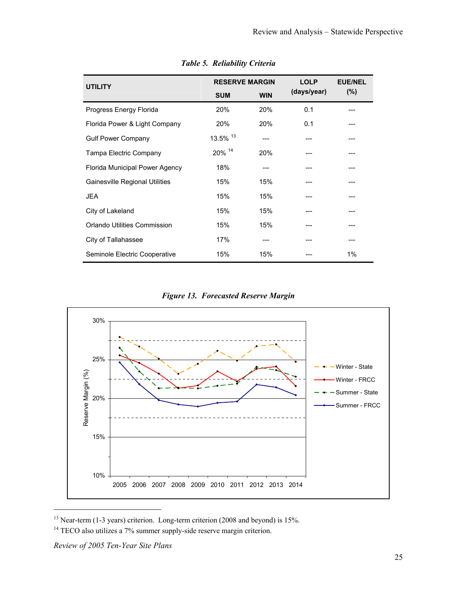| <b>UTILITY</b>                 | <b>RESERVE MARGIN</b> |            | <b>LOLP</b><br>(days/year) | <b>EUE/NEL</b> |  |
|--------------------------------|-----------------------|------------|----------------------------|----------------|--|
|                                | <b>SUM</b>            | <b>WIN</b> |                            | (%)            |  |
| Progress Energy Florida        | 20%                   | 20%        | 0.1                        |                |  |
| Florida Power & Light Company  | 20%                   | 20%        | 0.1                        |                |  |
| <b>Gulf Power Company</b>      | 13.5% 13              |            |                            |                |  |
| Tampa Electric Company         | 20% 14                | 20%        |                            |                |  |
| Florida Municipal Power Agency | 18%                   |            |                            |                |  |
| Gainesville Regional Utilities | 15%                   | 15%        |                            |                |  |
| <b>JEA</b>                     | 15%                   | 15%        |                            |                |  |
| City of Lakeland               | 15%                   | 15%        |                            |                |  |
| Orlando Utilities Commission   | 15%                   | 15%        |                            |                |  |
| City of Tallahassee            | 17%                   |            |                            |                |  |
| Seminole Electric Cooperative  | 15%                   | 15%        |                            | 1%             |  |

*Table 5. Reliability Criteria* 

*Figure 13. Forecasted Reserve Margin* 



<sup>&</sup>lt;sup>13</sup> Near-term (1-3 years) criterion. Long-term criterion (2008 and beyond) is 15%.

l

<sup>&</sup>lt;sup>14</sup> TECO also utilizes a 7% summer supply-side reserve margin criterion.

*Review of 2005 Ten-Year Site Plans*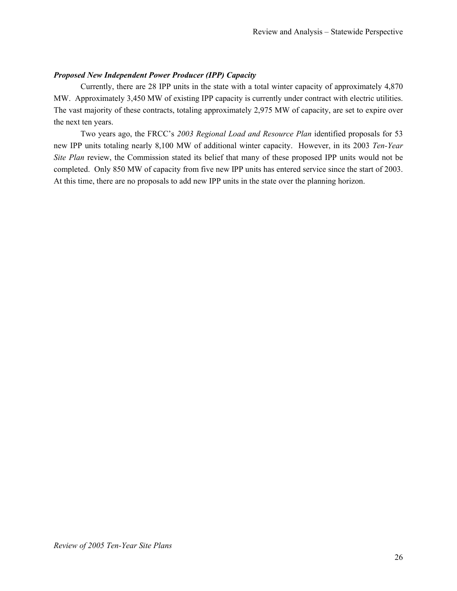## *Proposed New Independent Power Producer (IPP) Capacity*

Currently, there are 28 IPP units in the state with a total winter capacity of approximately 4,870 MW. Approximately 3,450 MW of existing IPP capacity is currently under contract with electric utilities. The vast majority of these contracts, totaling approximately 2,975 MW of capacity, are set to expire over the next ten years.

Two years ago, the FRCC's *2003 Regional Load and Resource Plan* identified proposals for 53 new IPP units totaling nearly 8,100 MW of additional winter capacity. However, in its 2003 *Ten-Year Site Plan* review, the Commission stated its belief that many of these proposed IPP units would not be completed. Only 850 MW of capacity from five new IPP units has entered service since the start of 2003. At this time, there are no proposals to add new IPP units in the state over the planning horizon.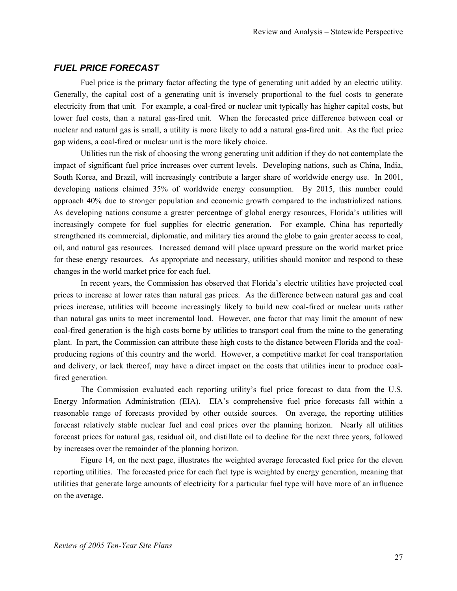# *FUEL PRICE FORECAST*

Fuel price is the primary factor affecting the type of generating unit added by an electric utility. Generally, the capital cost of a generating unit is inversely proportional to the fuel costs to generate electricity from that unit. For example, a coal-fired or nuclear unit typically has higher capital costs, but lower fuel costs, than a natural gas-fired unit. When the forecasted price difference between coal or nuclear and natural gas is small, a utility is more likely to add a natural gas-fired unit. As the fuel price gap widens, a coal-fired or nuclear unit is the more likely choice.

Utilities run the risk of choosing the wrong generating unit addition if they do not contemplate the impact of significant fuel price increases over current levels. Developing nations, such as China, India, South Korea, and Brazil, will increasingly contribute a larger share of worldwide energy use. In 2001, developing nations claimed 35% of worldwide energy consumption. By 2015, this number could approach 40% due to stronger population and economic growth compared to the industrialized nations. As developing nations consume a greater percentage of global energy resources, Florida's utilities will increasingly compete for fuel supplies for electric generation. For example, China has reportedly strengthened its commercial, diplomatic, and military ties around the globe to gain greater access to coal, oil, and natural gas resources. Increased demand will place upward pressure on the world market price for these energy resources. As appropriate and necessary, utilities should monitor and respond to these changes in the world market price for each fuel.

In recent years, the Commission has observed that Florida's electric utilities have projected coal prices to increase at lower rates than natural gas prices. As the difference between natural gas and coal prices increase, utilities will become increasingly likely to build new coal-fired or nuclear units rather than natural gas units to meet incremental load. However, one factor that may limit the amount of new coal-fired generation is the high costs borne by utilities to transport coal from the mine to the generating plant. In part, the Commission can attribute these high costs to the distance between Florida and the coalproducing regions of this country and the world. However, a competitive market for coal transportation and delivery, or lack thereof, may have a direct impact on the costs that utilities incur to produce coalfired generation.

The Commission evaluated each reporting utility's fuel price forecast to data from the U.S. Energy Information Administration (EIA). EIA's comprehensive fuel price forecasts fall within a reasonable range of forecasts provided by other outside sources. On average, the reporting utilities forecast relatively stable nuclear fuel and coal prices over the planning horizon. Nearly all utilities forecast prices for natural gas, residual oil, and distillate oil to decline for the next three years, followed by increases over the remainder of the planning horizon.

Figure 14, on the next page, illustrates the weighted average forecasted fuel price for the eleven reporting utilities. The forecasted price for each fuel type is weighted by energy generation, meaning that utilities that generate large amounts of electricity for a particular fuel type will have more of an influence on the average.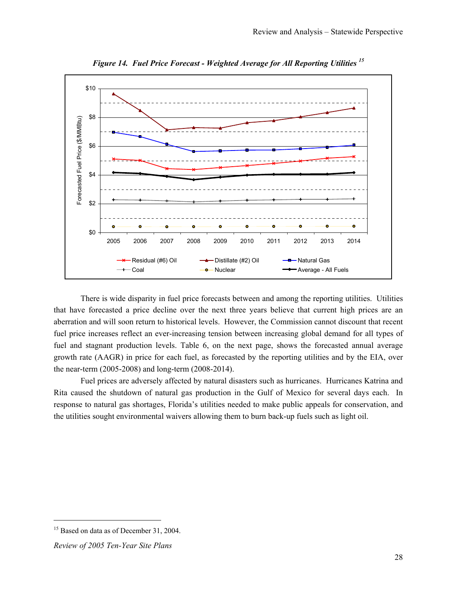

*Figure 14. Fuel Price Forecast - Weighted Average for All Reporting Utilities <sup>15</sup>*

There is wide disparity in fuel price forecasts between and among the reporting utilities. Utilities that have forecasted a price decline over the next three years believe that current high prices are an aberration and will soon return to historical levels. However, the Commission cannot discount that recent fuel price increases reflect an ever-increasing tension between increasing global demand for all types of fuel and stagnant production levels. Table 6, on the next page, shows the forecasted annual average growth rate (AAGR) in price for each fuel, as forecasted by the reporting utilities and by the EIA, over the near-term (2005-2008) and long-term (2008-2014).

Fuel prices are adversely affected by natural disasters such as hurricanes. Hurricanes Katrina and Rita caused the shutdown of natural gas production in the Gulf of Mexico for several days each. In response to natural gas shortages, Florida's utilities needed to make public appeals for conservation, and the utilities sought environmental waivers allowing them to burn back-up fuels such as light oil.

 $\overline{\phantom{a}}$ 

<sup>&</sup>lt;sup>15</sup> Based on data as of December 31, 2004.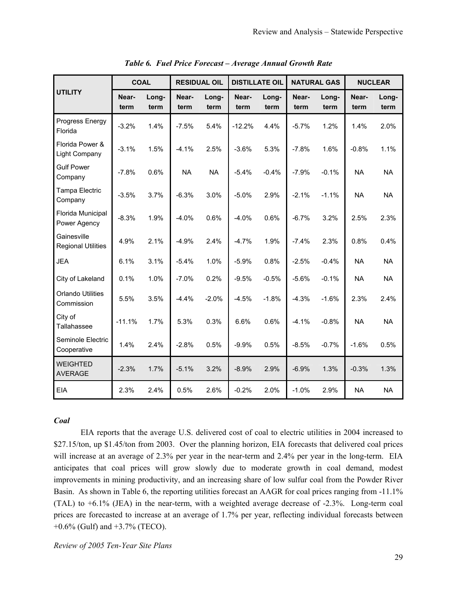|                                          | <b>COAL</b>   |               | <b>RESIDUAL OIL</b> |               | <b>DISTILLATE OIL</b> |               | <b>NATURAL GAS</b> |               | <b>NUCLEAR</b> |               |
|------------------------------------------|---------------|---------------|---------------------|---------------|-----------------------|---------------|--------------------|---------------|----------------|---------------|
| <b>UTILITY</b>                           | Near-<br>term | Long-<br>term | Near-<br>term       | Long-<br>term | Near-<br>term         | Long-<br>term | Near-<br>term      | Long-<br>term | Near-<br>term  | Long-<br>term |
| Progress Energy<br>Florida               | $-3.2%$       | 1.4%          | $-7.5%$             | 5.4%          | $-12.2%$              | 4.4%          | $-5.7%$            | 1.2%          | 1.4%           | 2.0%          |
| Florida Power &<br>Light Company         | $-3.1%$       | 1.5%          | $-4.1%$             | 2.5%          | $-3.6%$               | 5.3%          | $-7.8%$            | 1.6%          | $-0.8%$        | 1.1%          |
| <b>Gulf Power</b><br>Company             | $-7.8%$       | 0.6%          | <b>NA</b>           | <b>NA</b>     | $-5.4%$               | $-0.4%$       | $-7.9%$            | $-0.1%$       | <b>NA</b>      | <b>NA</b>     |
| Tampa Electric<br>Company                | $-3.5%$       | 3.7%          | $-6.3%$             | 3.0%          | $-5.0%$               | 2.9%          | $-2.1%$            | $-1.1%$       | <b>NA</b>      | <b>NA</b>     |
| Florida Municipal<br>Power Agency        | $-8.3%$       | 1.9%          | $-4.0%$             | 0.6%          | $-4.0%$               | 0.6%          | $-6.7%$            | 3.2%          | 2.5%           | 2.3%          |
| Gainesville<br><b>Regional Utilities</b> | 4.9%          | 2.1%          | $-4.9%$             | 2.4%          | $-4.7%$               | 1.9%          | $-7.4%$            | 2.3%          | 0.8%           | 0.4%          |
| <b>JEA</b>                               | 6.1%          | 3.1%          | $-5.4%$             | 1.0%          | $-5.9%$               | 0.8%          | $-2.5%$            | $-0.4%$       | <b>NA</b>      | <b>NA</b>     |
| City of Lakeland                         | 0.1%          | 1.0%          | $-7.0%$             | 0.2%          | $-9.5%$               | $-0.5%$       | $-5.6%$            | $-0.1%$       | <b>NA</b>      | <b>NA</b>     |
| <b>Orlando Utilities</b><br>Commission   | 5.5%          | 3.5%          | $-4.4%$             | $-2.0%$       | $-4.5%$               | $-1.8%$       | $-4.3%$            | $-1.6%$       | 2.3%           | 2.4%          |
| City of<br>Tallahassee                   | $-11.1%$      | 1.7%          | 5.3%                | 0.3%          | 6.6%                  | 0.6%          | $-4.1%$            | $-0.8%$       | <b>NA</b>      | <b>NA</b>     |
| Seminole Electric<br>Cooperative         | 1.4%          | 2.4%          | $-2.8%$             | 0.5%          | $-9.9%$               | 0.5%          | $-8.5%$            | $-0.7%$       | $-1.6%$        | 0.5%          |
| <b>WEIGHTED</b><br><b>AVERAGE</b>        | $-2.3%$       | 1.7%          | $-5.1%$             | 3.2%          | $-8.9%$               | 2.9%          | $-6.9%$            | 1.3%          | $-0.3%$        | 1.3%          |
| <b>EIA</b>                               | 2.3%          | 2.4%          | 0.5%                | 2.6%          | $-0.2%$               | 2.0%          | $-1.0%$            | 2.9%          | <b>NA</b>      | <b>NA</b>     |

*Table 6. Fuel Price Forecast – Average Annual Growth Rate* 

## *Coal*

EIA reports that the average U.S. delivered cost of coal to electric utilities in 2004 increased to \$27.15/ton, up \$1.45/ton from 2003. Over the planning horizon, EIA forecasts that delivered coal prices will increase at an average of 2.3% per year in the near-term and 2.4% per year in the long-term. EIA anticipates that coal prices will grow slowly due to moderate growth in coal demand, modest improvements in mining productivity, and an increasing share of low sulfur coal from the Powder River Basin. As shown in Table 6, the reporting utilities forecast an AAGR for coal prices ranging from -11.1% (TAL) to +6.1% (JEA) in the near-term, with a weighted average decrease of -2.3%. Long-term coal prices are forecasted to increase at an average of 1.7% per year, reflecting individual forecasts between  $+0.6\%$  (Gulf) and  $+3.7\%$  (TECO).

*Review of 2005 Ten-Year Site Plans*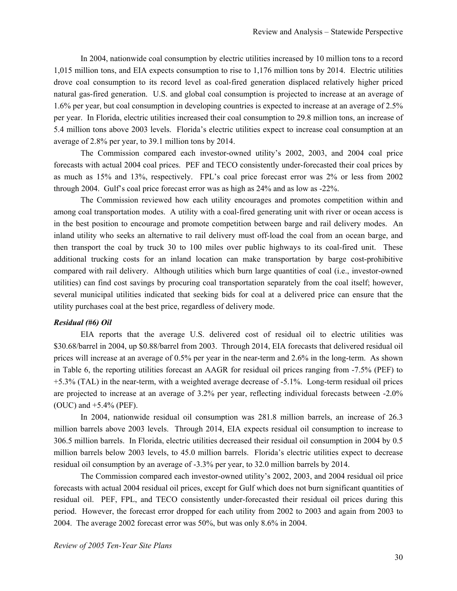In 2004, nationwide coal consumption by electric utilities increased by 10 million tons to a record 1,015 million tons, and EIA expects consumption to rise to 1,176 million tons by 2014. Electric utilities drove coal consumption to its record level as coal-fired generation displaced relatively higher priced natural gas-fired generation. U.S. and global coal consumption is projected to increase at an average of 1.6% per year, but coal consumption in developing countries is expected to increase at an average of 2.5% per year. In Florida, electric utilities increased their coal consumption to 29.8 million tons, an increase of 5.4 million tons above 2003 levels. Florida's electric utilities expect to increase coal consumption at an average of 2.8% per year, to 39.1 million tons by 2014.

The Commission compared each investor-owned utility's 2002, 2003, and 2004 coal price forecasts with actual 2004 coal prices. PEF and TECO consistently under-forecasted their coal prices by as much as 15% and 13%, respectively. FPL's coal price forecast error was 2% or less from 2002 through 2004. Gulf's coal price forecast error was as high as 24% and as low as -22%.

The Commission reviewed how each utility encourages and promotes competition within and among coal transportation modes. A utility with a coal-fired generating unit with river or ocean access is in the best position to encourage and promote competition between barge and rail delivery modes. An inland utility who seeks an alternative to rail delivery must off-load the coal from an ocean barge, and then transport the coal by truck 30 to 100 miles over public highways to its coal-fired unit. These additional trucking costs for an inland location can make transportation by barge cost-prohibitive compared with rail delivery. Although utilities which burn large quantities of coal (i.e., investor-owned utilities) can find cost savings by procuring coal transportation separately from the coal itself; however, several municipal utilities indicated that seeking bids for coal at a delivered price can ensure that the utility purchases coal at the best price, regardless of delivery mode.

### *Residual (#6) Oil*

EIA reports that the average U.S. delivered cost of residual oil to electric utilities was \$30.68/barrel in 2004, up \$0.88/barrel from 2003. Through 2014, EIA forecasts that delivered residual oil prices will increase at an average of 0.5% per year in the near-term and 2.6% in the long-term. As shown in Table 6, the reporting utilities forecast an AAGR for residual oil prices ranging from -7.5% (PEF) to +5.3% (TAL) in the near-term, with a weighted average decrease of -5.1%. Long-term residual oil prices are projected to increase at an average of 3.2% per year, reflecting individual forecasts between -2.0% (OUC) and +5.4% (PEF).

In 2004, nationwide residual oil consumption was 281.8 million barrels, an increase of 26.3 million barrels above 2003 levels. Through 2014, EIA expects residual oil consumption to increase to 306.5 million barrels. In Florida, electric utilities decreased their residual oil consumption in 2004 by 0.5 million barrels below 2003 levels, to 45.0 million barrels. Florida's electric utilities expect to decrease residual oil consumption by an average of -3.3% per year, to 32.0 million barrels by 2014.

The Commission compared each investor-owned utility's 2002, 2003, and 2004 residual oil price forecasts with actual 2004 residual oil prices, except for Gulf which does not burn significant quantities of residual oil. PEF, FPL, and TECO consistently under-forecasted their residual oil prices during this period. However, the forecast error dropped for each utility from 2002 to 2003 and again from 2003 to 2004. The average 2002 forecast error was 50%, but was only 8.6% in 2004.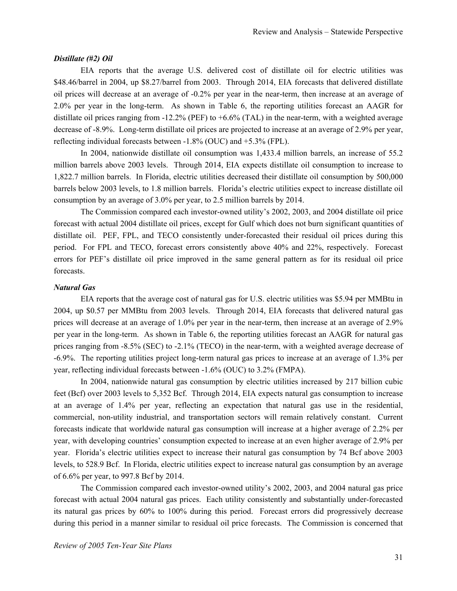#### *Distillate (#2) Oil*

EIA reports that the average U.S. delivered cost of distillate oil for electric utilities was \$48.46/barrel in 2004, up \$8.27/barrel from 2003. Through 2014, EIA forecasts that delivered distillate oil prices will decrease at an average of -0.2% per year in the near-term, then increase at an average of 2.0% per year in the long-term. As shown in Table 6, the reporting utilities forecast an AAGR for distillate oil prices ranging from  $-12.2\%$  (PEF) to  $+6.6\%$  (TAL) in the near-term, with a weighted average decrease of -8.9%. Long-term distillate oil prices are projected to increase at an average of 2.9% per year, reflecting individual forecasts between -1.8% (OUC) and +5.3% (FPL).

In 2004, nationwide distillate oil consumption was 1,433.4 million barrels, an increase of 55.2 million barrels above 2003 levels. Through 2014, EIA expects distillate oil consumption to increase to 1,822.7 million barrels. In Florida, electric utilities decreased their distillate oil consumption by 500,000 barrels below 2003 levels, to 1.8 million barrels. Florida's electric utilities expect to increase distillate oil consumption by an average of 3.0% per year, to 2.5 million barrels by 2014.

The Commission compared each investor-owned utility's 2002, 2003, and 2004 distillate oil price forecast with actual 2004 distillate oil prices, except for Gulf which does not burn significant quantities of distillate oil. PEF, FPL, and TECO consistently under-forecasted their residual oil prices during this period. For FPL and TECO, forecast errors consistently above 40% and 22%, respectively. Forecast errors for PEF's distillate oil price improved in the same general pattern as for its residual oil price forecasts.

## *Natural Gas*

EIA reports that the average cost of natural gas for U.S. electric utilities was \$5.94 per MMBtu in 2004, up \$0.57 per MMBtu from 2003 levels. Through 2014, EIA forecasts that delivered natural gas prices will decrease at an average of 1.0% per year in the near-term, then increase at an average of 2.9% per year in the long-term. As shown in Table 6, the reporting utilities forecast an AAGR for natural gas prices ranging from -8.5% (SEC) to -2.1% (TECO) in the near-term, with a weighted average decrease of -6.9%. The reporting utilities project long-term natural gas prices to increase at an average of 1.3% per year, reflecting individual forecasts between -1.6% (OUC) to 3.2% (FMPA).

In 2004, nationwide natural gas consumption by electric utilities increased by 217 billion cubic feet (Bcf) over 2003 levels to 5,352 Bcf. Through 2014, EIA expects natural gas consumption to increase at an average of 1.4% per year, reflecting an expectation that natural gas use in the residential, commercial, non-utility industrial, and transportation sectors will remain relatively constant. Current forecasts indicate that worldwide natural gas consumption will increase at a higher average of 2.2% per year, with developing countries' consumption expected to increase at an even higher average of 2.9% per year. Florida's electric utilities expect to increase their natural gas consumption by 74 Bcf above 2003 levels, to 528.9 Bcf. In Florida, electric utilities expect to increase natural gas consumption by an average of 6.6% per year, to 997.8 Bcf by 2014.

The Commission compared each investor-owned utility's 2002, 2003, and 2004 natural gas price forecast with actual 2004 natural gas prices. Each utility consistently and substantially under-forecasted its natural gas prices by 60% to 100% during this period. Forecast errors did progressively decrease during this period in a manner similar to residual oil price forecasts. The Commission is concerned that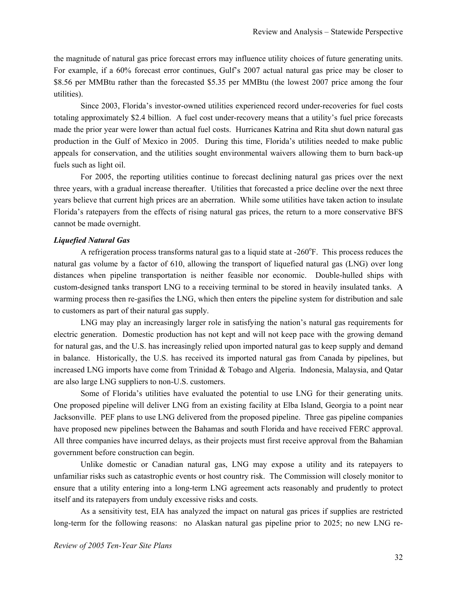the magnitude of natural gas price forecast errors may influence utility choices of future generating units. For example, if a 60% forecast error continues, Gulf's 2007 actual natural gas price may be closer to \$8.56 per MMBtu rather than the forecasted \$5.35 per MMBtu (the lowest 2007 price among the four utilities).

Since 2003, Florida's investor-owned utilities experienced record under-recoveries for fuel costs totaling approximately \$2.4 billion. A fuel cost under-recovery means that a utility's fuel price forecasts made the prior year were lower than actual fuel costs. Hurricanes Katrina and Rita shut down natural gas production in the Gulf of Mexico in 2005. During this time, Florida's utilities needed to make public appeals for conservation, and the utilities sought environmental waivers allowing them to burn back-up fuels such as light oil.

For 2005, the reporting utilities continue to forecast declining natural gas prices over the next three years, with a gradual increase thereafter. Utilities that forecasted a price decline over the next three years believe that current high prices are an aberration. While some utilities have taken action to insulate Florida's ratepayers from the effects of rising natural gas prices, the return to a more conservative BFS cannot be made overnight.

### *Liquefied Natural Gas*

A refrigeration process transforms natural gas to a liquid state at  $-260^{\circ}$ F. This process reduces the natural gas volume by a factor of 610, allowing the transport of liquefied natural gas (LNG) over long distances when pipeline transportation is neither feasible nor economic. Double-hulled ships with custom-designed tanks transport LNG to a receiving terminal to be stored in heavily insulated tanks. A warming process then re-gasifies the LNG, which then enters the pipeline system for distribution and sale to customers as part of their natural gas supply.

LNG may play an increasingly larger role in satisfying the nation's natural gas requirements for electric generation. Domestic production has not kept and will not keep pace with the growing demand for natural gas, and the U.S. has increasingly relied upon imported natural gas to keep supply and demand in balance. Historically, the U.S. has received its imported natural gas from Canada by pipelines, but increased LNG imports have come from Trinidad & Tobago and Algeria. Indonesia, Malaysia, and Qatar are also large LNG suppliers to non-U.S. customers.

Some of Florida's utilities have evaluated the potential to use LNG for their generating units. One proposed pipeline will deliver LNG from an existing facility at Elba Island, Georgia to a point near Jacksonville. PEF plans to use LNG delivered from the proposed pipeline. Three gas pipeline companies have proposed new pipelines between the Bahamas and south Florida and have received FERC approval. All three companies have incurred delays, as their projects must first receive approval from the Bahamian government before construction can begin.

Unlike domestic or Canadian natural gas, LNG may expose a utility and its ratepayers to unfamiliar risks such as catastrophic events or host country risk. The Commission will closely monitor to ensure that a utility entering into a long-term LNG agreement acts reasonably and prudently to protect itself and its ratepayers from unduly excessive risks and costs.

As a sensitivity test, EIA has analyzed the impact on natural gas prices if supplies are restricted long-term for the following reasons: no Alaskan natural gas pipeline prior to 2025; no new LNG re-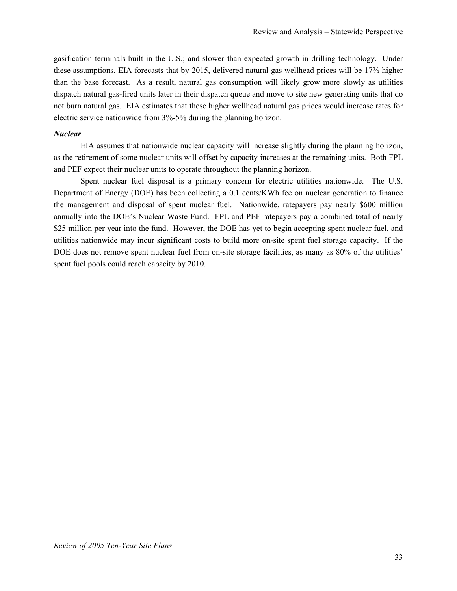gasification terminals built in the U.S.; and slower than expected growth in drilling technology. Under these assumptions, EIA forecasts that by 2015, delivered natural gas wellhead prices will be 17% higher than the base forecast. As a result, natural gas consumption will likely grow more slowly as utilities dispatch natural gas-fired units later in their dispatch queue and move to site new generating units that do not burn natural gas. EIA estimates that these higher wellhead natural gas prices would increase rates for electric service nationwide from 3%-5% during the planning horizon.

## *Nuclear*

EIA assumes that nationwide nuclear capacity will increase slightly during the planning horizon, as the retirement of some nuclear units will offset by capacity increases at the remaining units. Both FPL and PEF expect their nuclear units to operate throughout the planning horizon.

Spent nuclear fuel disposal is a primary concern for electric utilities nationwide. The U.S. Department of Energy (DOE) has been collecting a 0.1 cents/KWh fee on nuclear generation to finance the management and disposal of spent nuclear fuel. Nationwide, ratepayers pay nearly \$600 million annually into the DOE's Nuclear Waste Fund. FPL and PEF ratepayers pay a combined total of nearly \$25 million per year into the fund. However, the DOE has yet to begin accepting spent nuclear fuel, and utilities nationwide may incur significant costs to build more on-site spent fuel storage capacity. If the DOE does not remove spent nuclear fuel from on-site storage facilities, as many as 80% of the utilities' spent fuel pools could reach capacity by 2010.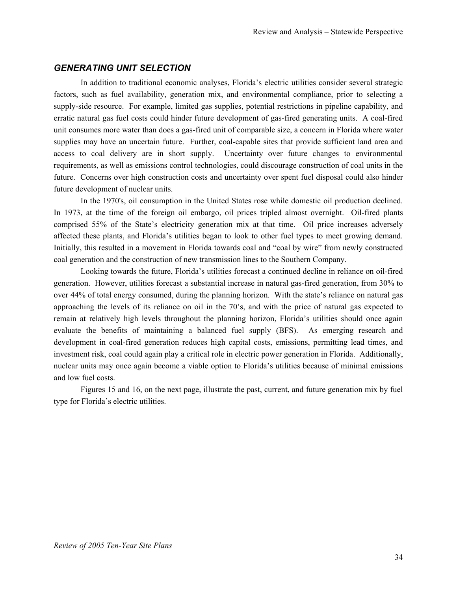# *GENERATING UNIT SELECTION*

In addition to traditional economic analyses, Florida's electric utilities consider several strategic factors, such as fuel availability, generation mix, and environmental compliance, prior to selecting a supply-side resource. For example, limited gas supplies, potential restrictions in pipeline capability, and erratic natural gas fuel costs could hinder future development of gas-fired generating units. A coal-fired unit consumes more water than does a gas-fired unit of comparable size, a concern in Florida where water supplies may have an uncertain future. Further, coal-capable sites that provide sufficient land area and access to coal delivery are in short supply. Uncertainty over future changes to environmental requirements, as well as emissions control technologies, could discourage construction of coal units in the future. Concerns over high construction costs and uncertainty over spent fuel disposal could also hinder future development of nuclear units.

In the 1970's, oil consumption in the United States rose while domestic oil production declined. In 1973, at the time of the foreign oil embargo, oil prices tripled almost overnight. Oil-fired plants comprised 55% of the State's electricity generation mix at that time. Oil price increases adversely affected these plants, and Florida's utilities began to look to other fuel types to meet growing demand. Initially, this resulted in a movement in Florida towards coal and "coal by wire" from newly constructed coal generation and the construction of new transmission lines to the Southern Company.

Looking towards the future, Florida's utilities forecast a continued decline in reliance on oil-fired generation. However, utilities forecast a substantial increase in natural gas-fired generation, from 30% to over 44% of total energy consumed, during the planning horizon. With the state's reliance on natural gas approaching the levels of its reliance on oil in the 70's, and with the price of natural gas expected to remain at relatively high levels throughout the planning horizon, Florida's utilities should once again evaluate the benefits of maintaining a balanced fuel supply (BFS). As emerging research and development in coal-fired generation reduces high capital costs, emissions, permitting lead times, and investment risk, coal could again play a critical role in electric power generation in Florida. Additionally, nuclear units may once again become a viable option to Florida's utilities because of minimal emissions and low fuel costs.

Figures 15 and 16, on the next page, illustrate the past, current, and future generation mix by fuel type for Florida's electric utilities.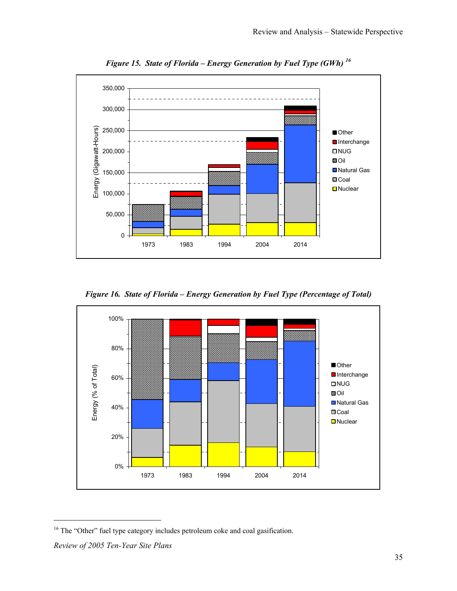

*Figure 15. State of Florida – Energy Generation by Fuel Type (GWh) 16*

*Figure 16. State of Florida – Energy Generation by Fuel Type (Percentage of Total)* 



-

<sup>&</sup>lt;sup>16</sup> The "Other" fuel type category includes petroleum coke and coal gasification.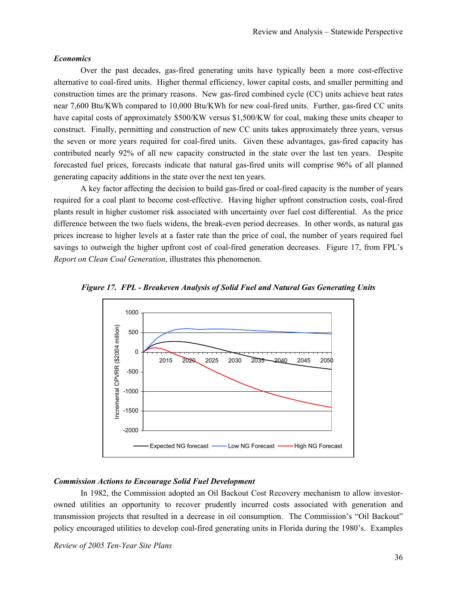#### *Economics*

Over the past decades, gas-fired generating units have typically been a more cost-effective alternative to coal-fired units. Higher thermal efficiency, lower capital costs, and smaller permitting and construction times are the primary reasons. New gas-fired combined cycle (CC) units achieve heat rates near 7,600 Btu/KWh compared to 10,000 Btu/KWh for new coal-fired units. Further, gas-fired CC units have capital costs of approximately \$500/KW versus \$1,500/KW for coal, making these units cheaper to construct. Finally, permitting and construction of new CC units takes approximately three years, versus the seven or more years required for coal-fired units. Given these advantages, gas-fired capacity has contributed nearly 92% of all new capacity constructed in the state over the last ten years. Despite forecasted fuel prices, forecasts indicate that natural gas-fired units will comprise 96% of all planned generating capacity additions in the state over the next ten years.

A key factor affecting the decision to build gas-fired or coal-fired capacity is the number of years required for a coal plant to become cost-effective. Having higher upfront construction costs, coal-fired plants result in higher customer risk associated with uncertainty over fuel cost differential. As the price difference between the two fuels widens, the break-even period decreases. In other words, as natural gas prices increase to higher levels at a faster rate than the price of coal, the number of years required fuel savings to outweigh the higher upfront cost of coal-fired generation decreases. Figure 17, from FPL's *Report on Clean Coal Generation*, illustrates this phenomenon.



*Figure 17. FPL - Breakeven Analysis of Solid Fuel and Natural Gas Generating Units* 

# *Commission Actions to Encourage Solid Fuel Development*

In 1982, the Commission adopted an Oil Backout Cost Recovery mechanism to allow investorowned utilities an opportunity to recover prudently incurred costs associated with generation and transmission projects that resulted in a decrease in oil consumption. The Commission's "Oil Backout" policy encouraged utilities to develop coal-fired generating units in Florida during the 1980's. Examples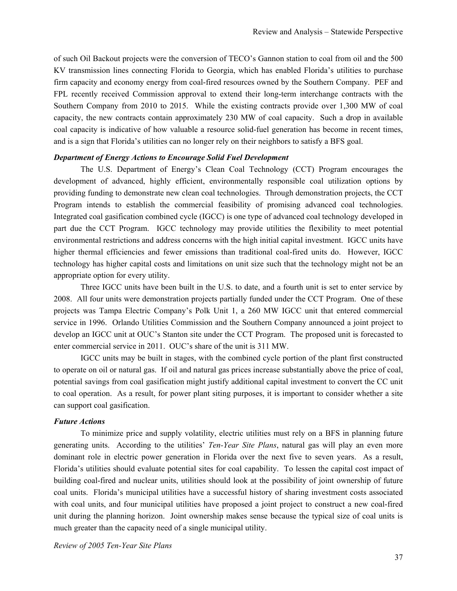of such Oil Backout projects were the conversion of TECO's Gannon station to coal from oil and the 500 KV transmission lines connecting Florida to Georgia, which has enabled Florida's utilities to purchase firm capacity and economy energy from coal-fired resources owned by the Southern Company. PEF and FPL recently received Commission approval to extend their long-term interchange contracts with the Southern Company from 2010 to 2015. While the existing contracts provide over 1,300 MW of coal capacity, the new contracts contain approximately 230 MW of coal capacity. Such a drop in available coal capacity is indicative of how valuable a resource solid-fuel generation has become in recent times, and is a sign that Florida's utilities can no longer rely on their neighbors to satisfy a BFS goal.

#### *Department of Energy Actions to Encourage Solid Fuel Development*

The U.S. Department of Energy's Clean Coal Technology (CCT) Program encourages the development of advanced, highly efficient, environmentally responsible coal utilization options by providing funding to demonstrate new clean coal technologies. Through demonstration projects, the CCT Program intends to establish the commercial feasibility of promising advanced coal technologies. Integrated coal gasification combined cycle (IGCC) is one type of advanced coal technology developed in part due the CCT Program. IGCC technology may provide utilities the flexibility to meet potential environmental restrictions and address concerns with the high initial capital investment. IGCC units have higher thermal efficiencies and fewer emissions than traditional coal-fired units do. However, IGCC technology has higher capital costs and limitations on unit size such that the technology might not be an appropriate option for every utility.

Three IGCC units have been built in the U.S. to date, and a fourth unit is set to enter service by 2008. All four units were demonstration projects partially funded under the CCT Program. One of these projects was Tampa Electric Company's Polk Unit 1, a 260 MW IGCC unit that entered commercial service in 1996. Orlando Utilities Commission and the Southern Company announced a joint project to develop an IGCC unit at OUC's Stanton site under the CCT Program. The proposed unit is forecasted to enter commercial service in 2011. OUC's share of the unit is 311 MW.

IGCC units may be built in stages, with the combined cycle portion of the plant first constructed to operate on oil or natural gas. If oil and natural gas prices increase substantially above the price of coal, potential savings from coal gasification might justify additional capital investment to convert the CC unit to coal operation. As a result, for power plant siting purposes, it is important to consider whether a site can support coal gasification.

#### *Future Actions*

To minimize price and supply volatility, electric utilities must rely on a BFS in planning future generating units. According to the utilities' *Ten-Year Site Plans*, natural gas will play an even more dominant role in electric power generation in Florida over the next five to seven years. As a result, Florida's utilities should evaluate potential sites for coal capability. To lessen the capital cost impact of building coal-fired and nuclear units, utilities should look at the possibility of joint ownership of future coal units. Florida's municipal utilities have a successful history of sharing investment costs associated with coal units, and four municipal utilities have proposed a joint project to construct a new coal-fired unit during the planning horizon. Joint ownership makes sense because the typical size of coal units is much greater than the capacity need of a single municipal utility.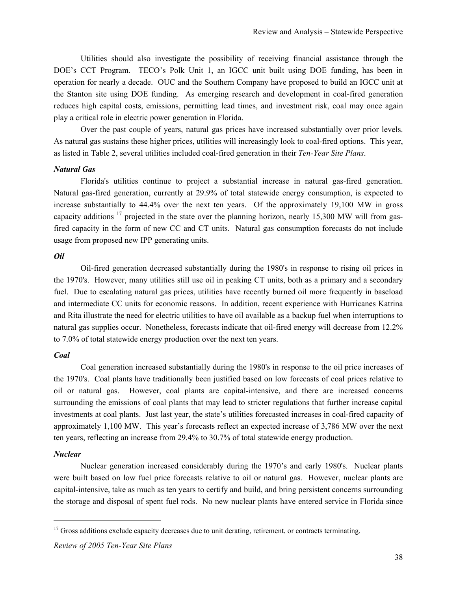Utilities should also investigate the possibility of receiving financial assistance through the DOE's CCT Program. TECO's Polk Unit 1, an IGCC unit built using DOE funding, has been in operation for nearly a decade. OUC and the Southern Company have proposed to build an IGCC unit at the Stanton site using DOE funding. As emerging research and development in coal-fired generation reduces high capital costs, emissions, permitting lead times, and investment risk, coal may once again play a critical role in electric power generation in Florida.

Over the past couple of years, natural gas prices have increased substantially over prior levels. As natural gas sustains these higher prices, utilities will increasingly look to coal-fired options. This year, as listed in Table 2, several utilities included coal-fired generation in their *Ten-Year Site Plans*.

#### *Natural Gas*

Florida's utilities continue to project a substantial increase in natural gas-fired generation. Natural gas-fired generation, currently at 29.9% of total statewide energy consumption, is expected to increase substantially to 44.4% over the next ten years. Of the approximately 19,100 MW in gross capacity additions  $17$  projected in the state over the planning horizon, nearly 15,300 MW will from gasfired capacity in the form of new CC and CT units. Natural gas consumption forecasts do not include usage from proposed new IPP generating units.

#### *Oil*

Oil-fired generation decreased substantially during the 1980's in response to rising oil prices in the 1970's. However, many utilities still use oil in peaking CT units, both as a primary and a secondary fuel. Due to escalating natural gas prices, utilities have recently burned oil more frequently in baseload and intermediate CC units for economic reasons. In addition, recent experience with Hurricanes Katrina and Rita illustrate the need for electric utilities to have oil available as a backup fuel when interruptions to natural gas supplies occur. Nonetheless, forecasts indicate that oil-fired energy will decrease from 12.2% to 7.0% of total statewide energy production over the next ten years.

## *Coal*

Coal generation increased substantially during the 1980's in response to the oil price increases of the 1970's. Coal plants have traditionally been justified based on low forecasts of coal prices relative to oil or natural gas. However, coal plants are capital-intensive, and there are increased concerns surrounding the emissions of coal plants that may lead to stricter regulations that further increase capital investments at coal plants. Just last year, the state's utilities forecasted increases in coal-fired capacity of approximately 1,100 MW. This year's forecasts reflect an expected increase of 3,786 MW over the next ten years, reflecting an increase from 29.4% to 30.7% of total statewide energy production.

## *Nuclear*

 $\overline{a}$ 

Nuclear generation increased considerably during the 1970's and early 1980's. Nuclear plants were built based on low fuel price forecasts relative to oil or natural gas. However, nuclear plants are capital-intensive, take as much as ten years to certify and build, and bring persistent concerns surrounding the storage and disposal of spent fuel rods. No new nuclear plants have entered service in Florida since

<sup>&</sup>lt;sup>17</sup> Gross additions exclude capacity decreases due to unit derating, retirement, or contracts terminating.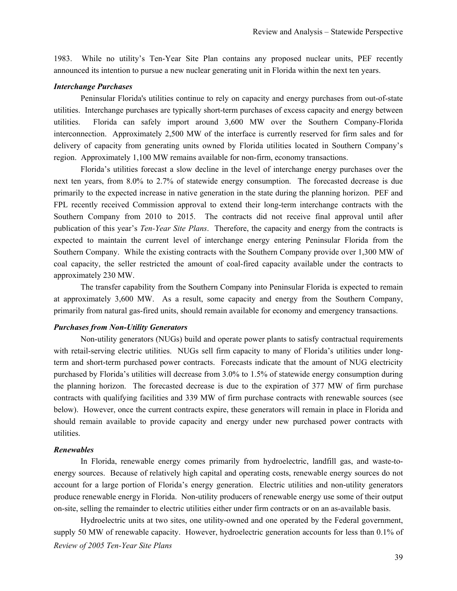1983. While no utility's Ten-Year Site Plan contains any proposed nuclear units, PEF recently announced its intention to pursue a new nuclear generating unit in Florida within the next ten years.

#### *Interchange Purchases*

Peninsular Florida's utilities continue to rely on capacity and energy purchases from out-of-state utilities. Interchange purchases are typically short-term purchases of excess capacity and energy between utilities. Florida can safely import around 3,600 MW over the Southern Company-Florida interconnection. Approximately 2,500 MW of the interface is currently reserved for firm sales and for delivery of capacity from generating units owned by Florida utilities located in Southern Company's region. Approximately 1,100 MW remains available for non-firm, economy transactions.

Florida's utilities forecast a slow decline in the level of interchange energy purchases over the next ten years, from 8.0% to 2.7% of statewide energy consumption. The forecasted decrease is due primarily to the expected increase in native generation in the state during the planning horizon. PEF and FPL recently received Commission approval to extend their long-term interchange contracts with the Southern Company from 2010 to 2015. The contracts did not receive final approval until after publication of this year's *Ten-Year Site Plans*. Therefore, the capacity and energy from the contracts is expected to maintain the current level of interchange energy entering Peninsular Florida from the Southern Company. While the existing contracts with the Southern Company provide over 1,300 MW of coal capacity, the seller restricted the amount of coal-fired capacity available under the contracts to approximately 230 MW.

The transfer capability from the Southern Company into Peninsular Florida is expected to remain at approximately 3,600 MW. As a result, some capacity and energy from the Southern Company, primarily from natural gas-fired units, should remain available for economy and emergency transactions.

#### *Purchases from Non-Utility Generators*

Non-utility generators (NUGs) build and operate power plants to satisfy contractual requirements with retail-serving electric utilities. NUGs sell firm capacity to many of Florida's utilities under longterm and short-term purchased power contracts. Forecasts indicate that the amount of NUG electricity purchased by Florida's utilities will decrease from 3.0% to 1.5% of statewide energy consumption during the planning horizon. The forecasted decrease is due to the expiration of 377 MW of firm purchase contracts with qualifying facilities and 339 MW of firm purchase contracts with renewable sources (see below). However, once the current contracts expire, these generators will remain in place in Florida and should remain available to provide capacity and energy under new purchased power contracts with utilities.

#### *Renewables*

In Florida, renewable energy comes primarily from hydroelectric, landfill gas, and waste-toenergy sources. Because of relatively high capital and operating costs, renewable energy sources do not account for a large portion of Florida's energy generation. Electric utilities and non-utility generators produce renewable energy in Florida. Non-utility producers of renewable energy use some of their output on-site, selling the remainder to electric utilities either under firm contracts or on an as-available basis.

*Review of 2005 Ten-Year Site Plans*  Hydroelectric units at two sites, one utility-owned and one operated by the Federal government, supply 50 MW of renewable capacity. However, hydroelectric generation accounts for less than 0.1% of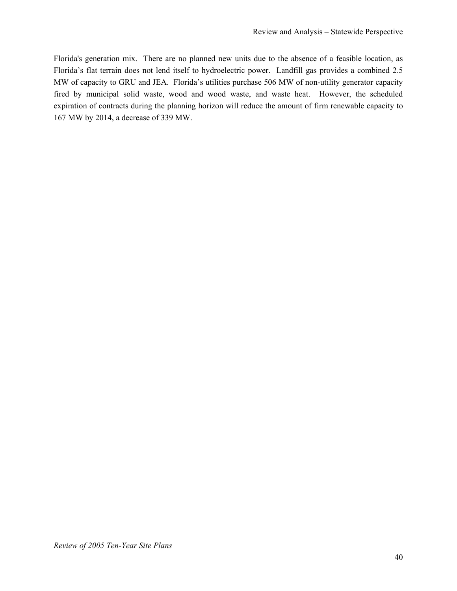Florida's generation mix. There are no planned new units due to the absence of a feasible location, as Florida's flat terrain does not lend itself to hydroelectric power. Landfill gas provides a combined 2.5 MW of capacity to GRU and JEA. Florida's utilities purchase 506 MW of non-utility generator capacity fired by municipal solid waste, wood and wood waste, and waste heat. However, the scheduled expiration of contracts during the planning horizon will reduce the amount of firm renewable capacity to 167 MW by 2014, a decrease of 339 MW.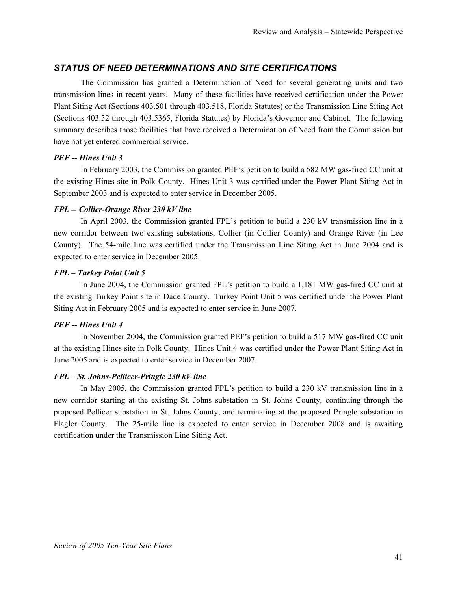# *STATUS OF NEED DETERMINATIONS AND SITE CERTIFICATIONS*

The Commission has granted a Determination of Need for several generating units and two transmission lines in recent years. Many of these facilities have received certification under the Power Plant Siting Act (Sections 403.501 through 403.518, Florida Statutes) or the Transmission Line Siting Act (Sections 403.52 through 403.5365, Florida Statutes) by Florida's Governor and Cabinet. The following summary describes those facilities that have received a Determination of Need from the Commission but have not yet entered commercial service.

# *PEF -- Hines Unit 3*

In February 2003, the Commission granted PEF's petition to build a 582 MW gas-fired CC unit at the existing Hines site in Polk County. Hines Unit 3 was certified under the Power Plant Siting Act in September 2003 and is expected to enter service in December 2005.

# *FPL -- Collier-Orange River 230 kV line*

In April 2003, the Commission granted FPL's petition to build a 230 kV transmission line in a new corridor between two existing substations, Collier (in Collier County) and Orange River (in Lee County). The 54-mile line was certified under the Transmission Line Siting Act in June 2004 and is expected to enter service in December 2005.

# *FPL – Turkey Point Unit 5*

In June 2004, the Commission granted FPL's petition to build a 1,181 MW gas-fired CC unit at the existing Turkey Point site in Dade County. Turkey Point Unit 5 was certified under the Power Plant Siting Act in February 2005 and is expected to enter service in June 2007.

# *PEF -- Hines Unit 4*

In November 2004, the Commission granted PEF's petition to build a 517 MW gas-fired CC unit at the existing Hines site in Polk County. Hines Unit 4 was certified under the Power Plant Siting Act in June 2005 and is expected to enter service in December 2007.

# *FPL – St. Johns-Pellicer-Pringle 230 kV line*

In May 2005, the Commission granted FPL's petition to build a 230 kV transmission line in a new corridor starting at the existing St. Johns substation in St. Johns County, continuing through the proposed Pellicer substation in St. Johns County, and terminating at the proposed Pringle substation in Flagler County. The 25-mile line is expected to enter service in December 2008 and is awaiting certification under the Transmission Line Siting Act.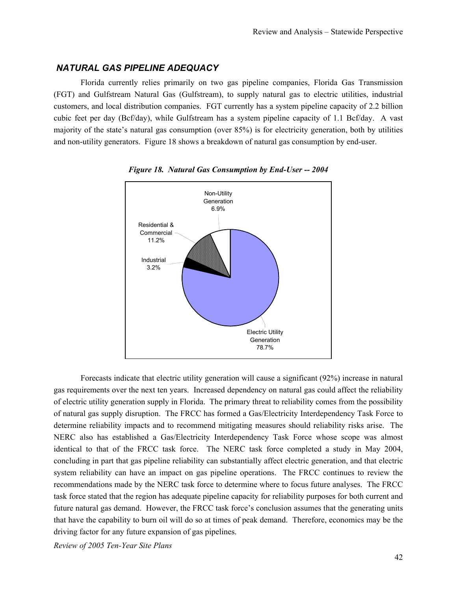# *NATURAL GAS PIPELINE ADEQUACY*

Florida currently relies primarily on two gas pipeline companies, Florida Gas Transmission (FGT) and Gulfstream Natural Gas (Gulfstream), to supply natural gas to electric utilities, industrial customers, and local distribution companies. FGT currently has a system pipeline capacity of 2.2 billion cubic feet per day (Bcf/day), while Gulfstream has a system pipeline capacity of 1.1 Bcf/day. A vast majority of the state's natural gas consumption (over 85%) is for electricity generation, both by utilities and non-utility generators. Figure 18 shows a breakdown of natural gas consumption by end-user.



*Figure 18. Natural Gas Consumption by End-User -- 2004* 

Forecasts indicate that electric utility generation will cause a significant (92%) increase in natural gas requirements over the next ten years. Increased dependency on natural gas could affect the reliability of electric utility generation supply in Florida. The primary threat to reliability comes from the possibility of natural gas supply disruption. The FRCC has formed a Gas/Electricity Interdependency Task Force to determine reliability impacts and to recommend mitigating measures should reliability risks arise. The NERC also has established a Gas/Electricity Interdependency Task Force whose scope was almost identical to that of the FRCC task force. The NERC task force completed a study in May 2004, concluding in part that gas pipeline reliability can substantially affect electric generation, and that electric system reliability can have an impact on gas pipeline operations. The FRCC continues to review the recommendations made by the NERC task force to determine where to focus future analyses. The FRCC task force stated that the region has adequate pipeline capacity for reliability purposes for both current and future natural gas demand. However, the FRCC task force's conclusion assumes that the generating units that have the capability to burn oil will do so at times of peak demand. Therefore, economics may be the driving factor for any future expansion of gas pipelines.

*Review of 2005 Ten-Year Site Plans*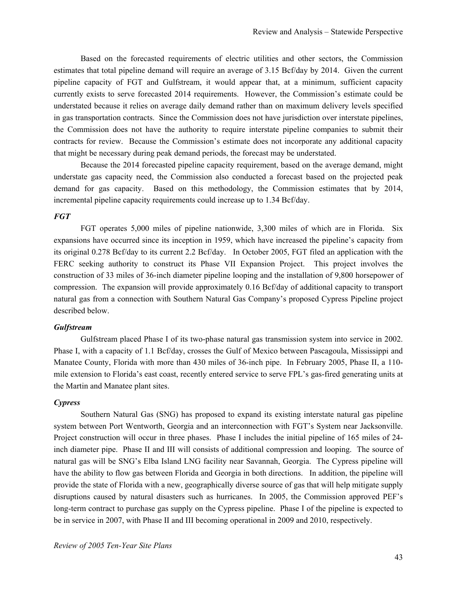Based on the forecasted requirements of electric utilities and other sectors, the Commission estimates that total pipeline demand will require an average of 3.15 Bcf/day by 2014. Given the current pipeline capacity of FGT and Gulfstream, it would appear that, at a minimum, sufficient capacity currently exists to serve forecasted 2014 requirements. However, the Commission's estimate could be understated because it relies on average daily demand rather than on maximum delivery levels specified in gas transportation contracts. Since the Commission does not have jurisdiction over interstate pipelines, the Commission does not have the authority to require interstate pipeline companies to submit their contracts for review. Because the Commission's estimate does not incorporate any additional capacity that might be necessary during peak demand periods, the forecast may be understated.

Because the 2014 forecasted pipeline capacity requirement, based on the average demand, might understate gas capacity need, the Commission also conducted a forecast based on the projected peak demand for gas capacity. Based on this methodology, the Commission estimates that by 2014, incremental pipeline capacity requirements could increase up to 1.34 Bcf/day.

#### *FGT*

FGT operates 5,000 miles of pipeline nationwide, 3,300 miles of which are in Florida. Six expansions have occurred since its inception in 1959, which have increased the pipeline's capacity from its original 0.278 Bcf/day to its current 2.2 Bcf/day. In October 2005, FGT filed an application with the FERC seeking authority to construct its Phase VII Expansion Project. This project involves the construction of 33 miles of 36-inch diameter pipeline looping and the installation of 9,800 horsepower of compression. The expansion will provide approximately 0.16 Bcf/day of additional capacity to transport natural gas from a connection with Southern Natural Gas Company's proposed Cypress Pipeline project described below.

#### *Gulfstream*

Gulfstream placed Phase I of its two-phase natural gas transmission system into service in 2002. Phase I, with a capacity of 1.1 Bcf/day, crosses the Gulf of Mexico between Pascagoula, Mississippi and Manatee County, Florida with more than 430 miles of 36-inch pipe. In February 2005, Phase II, a 110 mile extension to Florida's east coast, recently entered service to serve FPL's gas-fired generating units at the Martin and Manatee plant sites.

#### *Cypress*

Southern Natural Gas (SNG) has proposed to expand its existing interstate natural gas pipeline system between Port Wentworth, Georgia and an interconnection with FGT's System near Jacksonville. Project construction will occur in three phases. Phase I includes the initial pipeline of 165 miles of 24 inch diameter pipe. Phase II and III will consists of additional compression and looping. The source of natural gas will be SNG's Elba Island LNG facility near Savannah, Georgia. The Cypress pipeline will have the ability to flow gas between Florida and Georgia in both directions. In addition, the pipeline will provide the state of Florida with a new, geographically diverse source of gas that will help mitigate supply disruptions caused by natural disasters such as hurricanes. In 2005, the Commission approved PEF's long-term contract to purchase gas supply on the Cypress pipeline. Phase I of the pipeline is expected to be in service in 2007, with Phase II and III becoming operational in 2009 and 2010, respectively.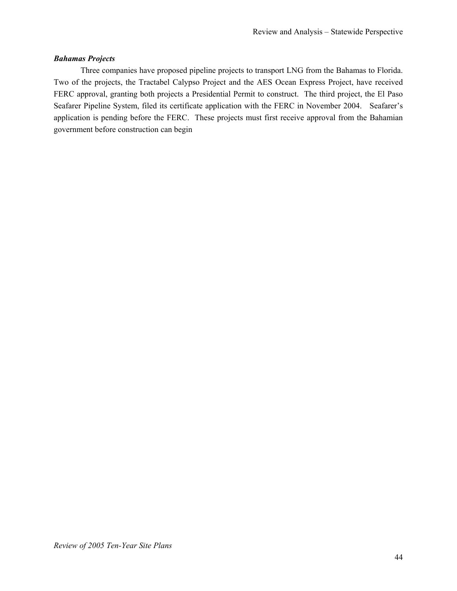# *Bahamas Projects*

Three companies have proposed pipeline projects to transport LNG from the Bahamas to Florida. Two of the projects, the Tractabel Calypso Project and the AES Ocean Express Project, have received FERC approval, granting both projects a Presidential Permit to construct. The third project, the El Paso Seafarer Pipeline System, filed its certificate application with the FERC in November 2004. Seafarer's application is pending before the FERC. These projects must first receive approval from the Bahamian government before construction can begin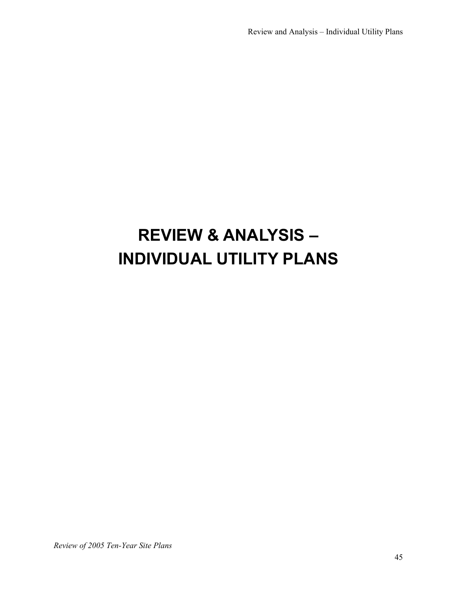# **REVIEW & ANALYSIS – INDIVIDUAL UTILITY PLANS**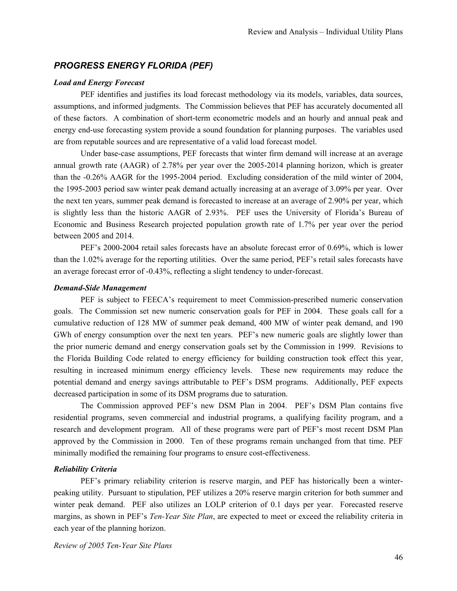# *PROGRESS ENERGY FLORIDA (PEF)*

#### *Load and Energy Forecast*

PEF identifies and justifies its load forecast methodology via its models, variables, data sources, assumptions, and informed judgments. The Commission believes that PEF has accurately documented all of these factors. A combination of short-term econometric models and an hourly and annual peak and energy end-use forecasting system provide a sound foundation for planning purposes. The variables used are from reputable sources and are representative of a valid load forecast model.

Under base-case assumptions, PEF forecasts that winter firm demand will increase at an average annual growth rate (AAGR) of 2.78% per year over the 2005-2014 planning horizon, which is greater than the -0.26% AAGR for the 1995-2004 period. Excluding consideration of the mild winter of 2004, the 1995-2003 period saw winter peak demand actually increasing at an average of 3.09% per year. Over the next ten years, summer peak demand is forecasted to increase at an average of 2.90% per year, which is slightly less than the historic AAGR of 2.93%. PEF uses the University of Florida's Bureau of Economic and Business Research projected population growth rate of 1.7% per year over the period between 2005 and 2014.

PEF's 2000-2004 retail sales forecasts have an absolute forecast error of 0.69%, which is lower than the 1.02% average for the reporting utilities. Over the same period, PEF's retail sales forecasts have an average forecast error of -0.43%, reflecting a slight tendency to under-forecast.

#### *Demand-Side Management*

PEF is subject to FEECA's requirement to meet Commission-prescribed numeric conservation goals. The Commission set new numeric conservation goals for PEF in 2004. These goals call for a cumulative reduction of 128 MW of summer peak demand, 400 MW of winter peak demand, and 190 GWh of energy consumption over the next ten years. PEF's new numeric goals are slightly lower than the prior numeric demand and energy conservation goals set by the Commission in 1999. Revisions to the Florida Building Code related to energy efficiency for building construction took effect this year, resulting in increased minimum energy efficiency levels. These new requirements may reduce the potential demand and energy savings attributable to PEF's DSM programs. Additionally, PEF expects decreased participation in some of its DSM programs due to saturation.

The Commission approved PEF's new DSM Plan in 2004. PEF's DSM Plan contains five residential programs, seven commercial and industrial programs, a qualifying facility program, and a research and development program. All of these programs were part of PEF's most recent DSM Plan approved by the Commission in 2000. Ten of these programs remain unchanged from that time. PEF minimally modified the remaining four programs to ensure cost-effectiveness.

#### *Reliability Criteria*

PEF's primary reliability criterion is reserve margin, and PEF has historically been a winterpeaking utility. Pursuant to stipulation, PEF utilizes a 20% reserve margin criterion for both summer and winter peak demand. PEF also utilizes an LOLP criterion of 0.1 days per year. Forecasted reserve margins, as shown in PEF's *Ten-Year Site Plan*, are expected to meet or exceed the reliability criteria in each year of the planning horizon.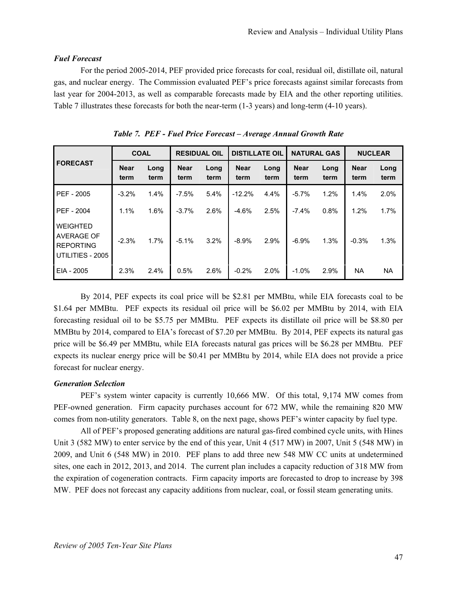# *Fuel Forecast*

For the period 2005-2014, PEF provided price forecasts for coal, residual oil, distillate oil, natural gas, and nuclear energy. The Commission evaluated PEF's price forecasts against similar forecasts from last year for 2004-2013, as well as comparable forecasts made by EIA and the other reporting utilities. Table 7 illustrates these forecasts for both the near-term (1-3 years) and long-term (4-10 years).

|                                                                              | <b>COAL</b>         |              | <b>RESIDUAL OIL</b> |              | <b>DISTILLATE OIL</b> |              |                     | <b>NATURAL GAS</b> | <b>NUCLEAR</b>      |              |
|------------------------------------------------------------------------------|---------------------|--------------|---------------------|--------------|-----------------------|--------------|---------------------|--------------------|---------------------|--------------|
| <b>FORECAST</b>                                                              | <b>Near</b><br>term | Long<br>term | <b>Near</b><br>term | Long<br>term | <b>Near</b><br>term   | Long<br>term | <b>Near</b><br>term | Long<br>term       | <b>Near</b><br>term | Long<br>term |
| PEF - 2005                                                                   | $-3.2%$             | 1.4%         | $-7.5%$             | 5.4%         | $-12.2%$              | 4.4%         | $-5.7\%$            | 1.2%               | 1.4%                | 2.0%         |
| PEF - 2004                                                                   | 1.1%                | 1.6%         | $-3.7%$             | 2.6%         | $-4.6%$               | 2.5%         | $-7.4%$             | 0.8%               | 1.2%                | 1.7%         |
| <b>WEIGHTED</b><br><b>AVERAGE OF</b><br><b>REPORTING</b><br>UTILITIES - 2005 | $-2.3%$             | 1.7%         | $-5.1\%$            | 3.2%         | $-8.9\%$              | 2.9%         | $-6.9%$             | 1.3%               | $-0.3%$             | 1.3%         |
| EIA - 2005                                                                   | 2.3%                | 2.4%         | 0.5%                | 2.6%         | $-0.2%$               | 2.0%         | $-1.0\%$            | 2.9%               | <b>NA</b>           | <b>NA</b>    |

*Table 7. PEF - Fuel Price Forecast – Average Annual Growth Rate* 

By 2014, PEF expects its coal price will be \$2.81 per MMBtu, while EIA forecasts coal to be \$1.64 per MMBtu. PEF expects its residual oil price will be \$6.02 per MMBtu by 2014, with EIA forecasting residual oil to be \$5.75 per MMBtu. PEF expects its distillate oil price will be \$8.80 per MMBtu by 2014, compared to EIA's forecast of \$7.20 per MMBtu. By 2014, PEF expects its natural gas price will be \$6.49 per MMBtu, while EIA forecasts natural gas prices will be \$6.28 per MMBtu. PEF expects its nuclear energy price will be \$0.41 per MMBtu by 2014, while EIA does not provide a price forecast for nuclear energy.

# *Generation Selection*

PEF's system winter capacity is currently 10,666 MW. Of this total, 9,174 MW comes from PEF-owned generation. Firm capacity purchases account for 672 MW, while the remaining 820 MW comes from non-utility generators. Table 8, on the next page, shows PEF's winter capacity by fuel type.

All of PEF's proposed generating additions are natural gas-fired combined cycle units, with Hines Unit 3 (582 MW) to enter service by the end of this year, Unit 4 (517 MW) in 2007, Unit 5 (548 MW) in 2009, and Unit 6 (548 MW) in 2010. PEF plans to add three new 548 MW CC units at undetermined sites, one each in 2012, 2013, and 2014. The current plan includes a capacity reduction of 318 MW from the expiration of cogeneration contracts. Firm capacity imports are forecasted to drop to increase by 398 MW. PEF does not forecast any capacity additions from nuclear, coal, or fossil steam generating units.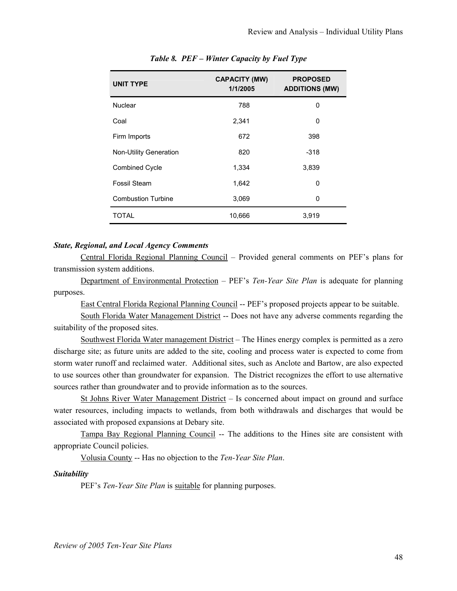| <b>UNIT TYPE</b>          | <b>CAPACITY (MW)</b><br>1/1/2005 | <b>PROPOSED</b><br><b>ADDITIONS (MW)</b> |
|---------------------------|----------------------------------|------------------------------------------|
| <b>Nuclear</b>            | 788                              | 0                                        |
| Coal                      | 2,341                            | 0                                        |
| Firm Imports              | 672                              | 398                                      |
| Non-Utility Generation    | 820                              | $-318$                                   |
| <b>Combined Cycle</b>     | 1,334                            | 3,839                                    |
| Fossil Steam              | 1,642                            | 0                                        |
| <b>Combustion Turbine</b> | 3,069                            | 0                                        |
| <b>TOTAL</b>              | 10,666                           | 3,919                                    |

*Table 8. PEF – Winter Capacity by Fuel Type* 

## *State, Regional, and Local Agency Comments*

Central Florida Regional Planning Council – Provided general comments on PEF's plans for transmission system additions.

Department of Environmental Protection – PEF's *Ten-Year Site Plan* is adequate for planning purposes.

East Central Florida Regional Planning Council -- PEF's proposed projects appear to be suitable.

South Florida Water Management District -- Does not have any adverse comments regarding the suitability of the proposed sites.

Southwest Florida Water management District – The Hines energy complex is permitted as a zero discharge site; as future units are added to the site, cooling and process water is expected to come from storm water runoff and reclaimed water. Additional sites, such as Anclote and Bartow, are also expected to use sources other than groundwater for expansion. The District recognizes the effort to use alternative sources rather than groundwater and to provide information as to the sources.

St Johns River Water Management District – Is concerned about impact on ground and surface water resources, including impacts to wetlands, from both withdrawals and discharges that would be associated with proposed expansions at Debary site.

Tampa Bay Regional Planning Council -- The additions to the Hines site are consistent with appropriate Council policies.

Volusia County -- Has no objection to the *Ten-Year Site Plan*.

#### *Suitability*

PEF's *Ten-Year Site Plan* is suitable for planning purposes.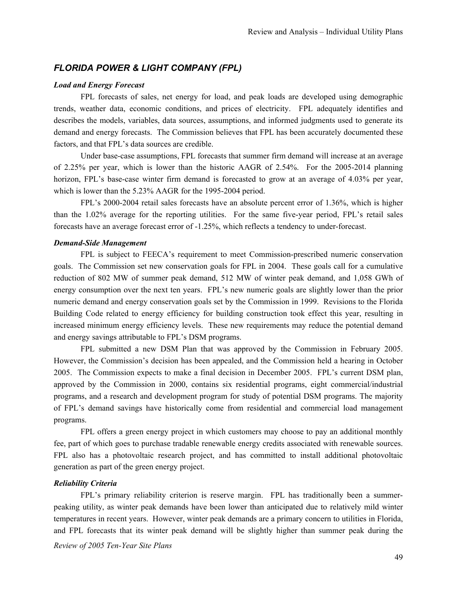# *FLORIDA POWER & LIGHT COMPANY (FPL)*

#### *Load and Energy Forecast*

FPL forecasts of sales, net energy for load, and peak loads are developed using demographic trends, weather data, economic conditions, and prices of electricity. FPL adequately identifies and describes the models, variables, data sources, assumptions, and informed judgments used to generate its demand and energy forecasts. The Commission believes that FPL has been accurately documented these factors, and that FPL's data sources are credible.

Under base-case assumptions, FPL forecasts that summer firm demand will increase at an average of 2.25% per year, which is lower than the historic AAGR of 2.54%. For the 2005-2014 planning horizon, FPL's base-case winter firm demand is forecasted to grow at an average of 4.03% per year, which is lower than the 5.23% AAGR for the 1995-2004 period.

FPL's 2000-2004 retail sales forecasts have an absolute percent error of 1.36%, which is higher than the 1.02% average for the reporting utilities. For the same five-year period, FPL's retail sales forecasts have an average forecast error of -1.25%, which reflects a tendency to under-forecast.

#### *Demand-Side Management*

FPL is subject to FEECA's requirement to meet Commission-prescribed numeric conservation goals. The Commission set new conservation goals for FPL in 2004. These goals call for a cumulative reduction of 802 MW of summer peak demand, 512 MW of winter peak demand, and 1,058 GWh of energy consumption over the next ten years. FPL's new numeric goals are slightly lower than the prior numeric demand and energy conservation goals set by the Commission in 1999. Revisions to the Florida Building Code related to energy efficiency for building construction took effect this year, resulting in increased minimum energy efficiency levels. These new requirements may reduce the potential demand and energy savings attributable to FPL's DSM programs.

FPL submitted a new DSM Plan that was approved by the Commission in February 2005. However, the Commission's decision has been appealed, and the Commission held a hearing in October 2005. The Commission expects to make a final decision in December 2005. FPL's current DSM plan, approved by the Commission in 2000, contains six residential programs, eight commercial/industrial programs, and a research and development program for study of potential DSM programs. The majority of FPL's demand savings have historically come from residential and commercial load management programs.

FPL offers a green energy project in which customers may choose to pay an additional monthly fee, part of which goes to purchase tradable renewable energy credits associated with renewable sources. FPL also has a photovoltaic research project, and has committed to install additional photovoltaic generation as part of the green energy project.

#### *Reliability Criteria*

*Review of 2005 Ten-Year Site Plans*  FPL's primary reliability criterion is reserve margin. FPL has traditionally been a summerpeaking utility, as winter peak demands have been lower than anticipated due to relatively mild winter temperatures in recent years. However, winter peak demands are a primary concern to utilities in Florida, and FPL forecasts that its winter peak demand will be slightly higher than summer peak during the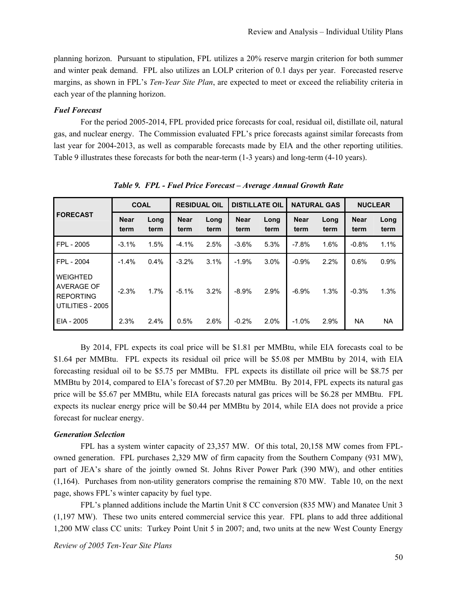planning horizon. Pursuant to stipulation, FPL utilizes a 20% reserve margin criterion for both summer and winter peak demand. FPL also utilizes an LOLP criterion of 0.1 days per year. Forecasted reserve margins, as shown in FPL's *Ten-Year Site Plan*, are expected to meet or exceed the reliability criteria in each year of the planning horizon.

#### *Fuel Forecast*

For the period 2005-2014, FPL provided price forecasts for coal, residual oil, distillate oil, natural gas, and nuclear energy. The Commission evaluated FPL's price forecasts against similar forecasts from last year for 2004-2013, as well as comparable forecasts made by EIA and the other reporting utilities. Table 9 illustrates these forecasts for both the near-term (1-3 years) and long-term (4-10 years).

|                                                                       | <b>COAL</b>         |              | <b>RESIDUAL OIL</b> |              | <b>DISTILLATE OIL</b> |              | <b>NATURAL GAS</b>  |              | <b>NUCLEAR</b>      |              |
|-----------------------------------------------------------------------|---------------------|--------------|---------------------|--------------|-----------------------|--------------|---------------------|--------------|---------------------|--------------|
| <b>FORECAST</b>                                                       | <b>Near</b><br>term | Long<br>term | <b>Near</b><br>term | Long<br>term | <b>Near</b><br>term   | Long<br>term | <b>Near</b><br>term | Long<br>term | <b>Near</b><br>term | Long<br>term |
| FPL - 2005                                                            | $-3.1%$             | 1.5%         | $-4.1\%$            | 2.5%         | $-3.6%$               | 5.3%         | $-7.8%$             | 1.6%         | $-0.8%$             | 1.1%         |
| FPL - 2004                                                            | $-1.4%$             | 0.4%         | $-3.2%$             | 3.1%         | $-1.9%$               | $3.0\%$      | $-0.9%$             | 2.2%         | 0.6%                | 0.9%         |
| <b>WEIGHTED</b><br>AVERAGE OF<br><b>REPORTING</b><br>UTILITIES - 2005 | $-2.3%$             | 1.7%         | $-5.1%$             | 3.2%         | $-8.9%$               | 2.9%         | $-6.9%$             | 1.3%         | $-0.3%$             | 1.3%         |
| EIA - 2005                                                            | 2.3%                | 2.4%         | 0.5%                | 2.6%         | $-0.2%$               | $2.0\%$      | $-1.0\%$            | 2.9%         | <b>NA</b>           | <b>NA</b>    |

*Table 9. FPL - Fuel Price Forecast – Average Annual Growth Rate* 

By 2014, FPL expects its coal price will be \$1.81 per MMBtu, while EIA forecasts coal to be \$1.64 per MMBtu. FPL expects its residual oil price will be \$5.08 per MMBtu by 2014, with EIA forecasting residual oil to be \$5.75 per MMBtu. FPL expects its distillate oil price will be \$8.75 per MMBtu by 2014, compared to EIA's forecast of \$7.20 per MMBtu. By 2014, FPL expects its natural gas price will be \$5.67 per MMBtu, while EIA forecasts natural gas prices will be \$6.28 per MMBtu. FPL expects its nuclear energy price will be \$0.44 per MMBtu by 2014, while EIA does not provide a price forecast for nuclear energy.

#### *Generation Selection*

FPL has a system winter capacity of 23,357 MW. Of this total, 20,158 MW comes from FPLowned generation. FPL purchases 2,329 MW of firm capacity from the Southern Company (931 MW), part of JEA's share of the jointly owned St. Johns River Power Park (390 MW), and other entities (1,164). Purchases from non-utility generators comprise the remaining 870 MW. Table 10, on the next page, shows FPL's winter capacity by fuel type.

FPL's planned additions include the Martin Unit 8 CC conversion (835 MW) and Manatee Unit 3 (1,197 MW). These two units entered commercial service this year. FPL plans to add three additional 1,200 MW class CC units: Turkey Point Unit 5 in 2007; and, two units at the new West County Energy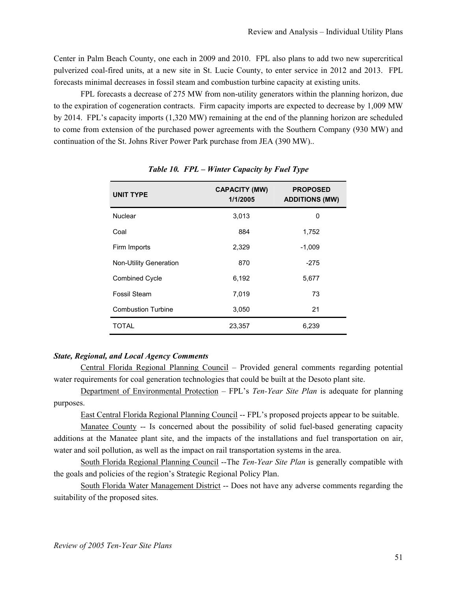Center in Palm Beach County, one each in 2009 and 2010. FPL also plans to add two new supercritical pulverized coal-fired units, at a new site in St. Lucie County, to enter service in 2012 and 2013. FPL forecasts minimal decreases in fossil steam and combustion turbine capacity at existing units.

FPL forecasts a decrease of 275 MW from non-utility generators within the planning horizon, due to the expiration of cogeneration contracts. Firm capacity imports are expected to decrease by 1,009 MW by 2014. FPL's capacity imports (1,320 MW) remaining at the end of the planning horizon are scheduled to come from extension of the purchased power agreements with the Southern Company (930 MW) and continuation of the St. Johns River Power Park purchase from JEA (390 MW)..

| <b>UNIT TYPE</b>              | <b>CAPACITY (MW)</b><br>1/1/2005 | <b>PROPOSED</b><br><b>ADDITIONS (MW)</b> |
|-------------------------------|----------------------------------|------------------------------------------|
| Nuclear                       | 3,013                            | 0                                        |
| Coal                          | 884                              | 1,752                                    |
| Firm Imports                  | 2,329                            | $-1,009$                                 |
| <b>Non-Utility Generation</b> | 870                              | $-275$                                   |
| <b>Combined Cycle</b>         | 6,192                            | 5,677                                    |
| Fossil Steam                  | 7,019                            | 73                                       |
| <b>Combustion Turbine</b>     | 3,050                            | 21                                       |
| <b>TOTAL</b>                  | 23,357                           | 6,239                                    |

*Table 10. FPL – Winter Capacity by Fuel Type* 

## *State, Regional, and Local Agency Comments*

Central Florida Regional Planning Council – Provided general comments regarding potential water requirements for coal generation technologies that could be built at the Desoto plant site.

Department of Environmental Protection – FPL's *Ten-Year Site Plan* is adequate for planning purposes.

East Central Florida Regional Planning Council -- FPL's proposed projects appear to be suitable.

Manatee County -- Is concerned about the possibility of solid fuel-based generating capacity additions at the Manatee plant site, and the impacts of the installations and fuel transportation on air, water and soil pollution, as well as the impact on rail transportation systems in the area.

South Florida Regional Planning Council --The *Ten-Year Site Plan* is generally compatible with the goals and policies of the region's Strategic Regional Policy Plan.

South Florida Water Management District -- Does not have any adverse comments regarding the suitability of the proposed sites.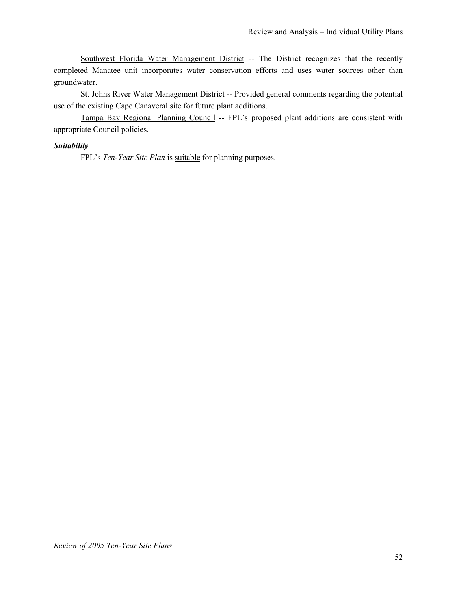Southwest Florida Water Management District -- The District recognizes that the recently completed Manatee unit incorporates water conservation efforts and uses water sources other than groundwater.

St. Johns River Water Management District -- Provided general comments regarding the potential use of the existing Cape Canaveral site for future plant additions.

Tampa Bay Regional Planning Council -- FPL's proposed plant additions are consistent with appropriate Council policies.

# *Suitability*

FPL's *Ten-Year Site Plan* is suitable for planning purposes.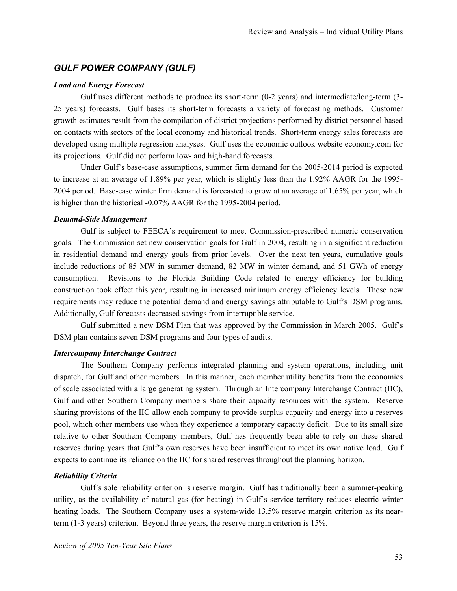# *GULF POWER COMPANY (GULF)*

## *Load and Energy Forecast*

Gulf uses different methods to produce its short-term (0-2 years) and intermediate/long-term (3- 25 years) forecasts. Gulf bases its short-term forecasts a variety of forecasting methods. Customer growth estimates result from the compilation of district projections performed by district personnel based on contacts with sectors of the local economy and historical trends. Short-term energy sales forecasts are developed using multiple regression analyses. Gulf uses the economic outlook website economy.com for its projections. Gulf did not perform low- and high-band forecasts.

Under Gulf's base-case assumptions, summer firm demand for the 2005-2014 period is expected to increase at an average of 1.89% per year, which is slightly less than the 1.92% AAGR for the 1995- 2004 period. Base-case winter firm demand is forecasted to grow at an average of 1.65% per year, which is higher than the historical -0.07% AAGR for the 1995-2004 period.

# *Demand-Side Management*

Gulf is subject to FEECA's requirement to meet Commission-prescribed numeric conservation goals. The Commission set new conservation goals for Gulf in 2004, resulting in a significant reduction in residential demand and energy goals from prior levels. Over the next ten years, cumulative goals include reductions of 85 MW in summer demand, 82 MW in winter demand, and 51 GWh of energy consumption. Revisions to the Florida Building Code related to energy efficiency for building construction took effect this year, resulting in increased minimum energy efficiency levels. These new requirements may reduce the potential demand and energy savings attributable to Gulf's DSM programs. Additionally, Gulf forecasts decreased savings from interruptible service.

Gulf submitted a new DSM Plan that was approved by the Commission in March 2005. Gulf's DSM plan contains seven DSM programs and four types of audits.

# *Intercompany Interchange Contract*

The Southern Company performs integrated planning and system operations, including unit dispatch, for Gulf and other members. In this manner, each member utility benefits from the economies of scale associated with a large generating system. Through an Intercompany Interchange Contract (IIC), Gulf and other Southern Company members share their capacity resources with the system. Reserve sharing provisions of the IIC allow each company to provide surplus capacity and energy into a reserves pool, which other members use when they experience a temporary capacity deficit. Due to its small size relative to other Southern Company members, Gulf has frequently been able to rely on these shared reserves during years that Gulf's own reserves have been insufficient to meet its own native load. Gulf expects to continue its reliance on the IIC for shared reserves throughout the planning horizon.

# *Reliability Criteria*

Gulf's sole reliability criterion is reserve margin. Gulf has traditionally been a summer-peaking utility, as the availability of natural gas (for heating) in Gulf's service territory reduces electric winter heating loads. The Southern Company uses a system-wide 13.5% reserve margin criterion as its nearterm (1-3 years) criterion. Beyond three years, the reserve margin criterion is 15%.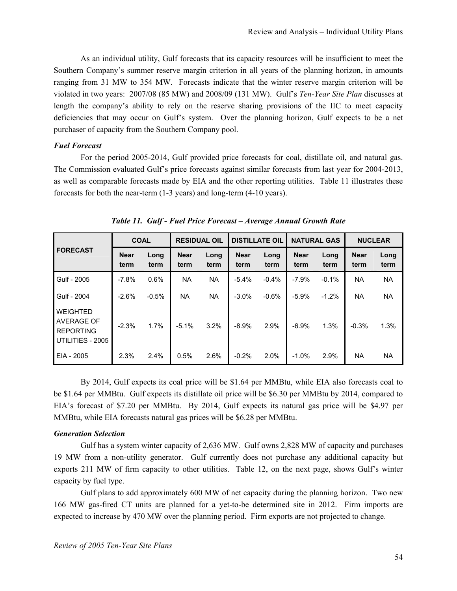As an individual utility, Gulf forecasts that its capacity resources will be insufficient to meet the Southern Company's summer reserve margin criterion in all years of the planning horizon, in amounts ranging from 31 MW to 354 MW. Forecasts indicate that the winter reserve margin criterion will be violated in two years: 2007/08 (85 MW) and 2008/09 (131 MW). Gulf's *Ten-Year Site Plan* discusses at length the company's ability to rely on the reserve sharing provisions of the IIC to meet capacity deficiencies that may occur on Gulf's system. Over the planning horizon, Gulf expects to be a net purchaser of capacity from the Southern Company pool.

#### *Fuel Forecast*

For the period 2005-2014, Gulf provided price forecasts for coal, distillate oil, and natural gas. The Commission evaluated Gulf's price forecasts against similar forecasts from last year for 2004-2013, as well as comparable forecasts made by EIA and the other reporting utilities. Table 11 illustrates these forecasts for both the near-term (1-3 years) and long-term (4-10 years).

|                                                                       | <b>COAL</b>         |              | <b>RESIDUAL OIL</b> |              | <b>DISTILLATE OIL</b> |              |                     | <b>NATURAL GAS</b> | <b>NUCLEAR</b>      |              |
|-----------------------------------------------------------------------|---------------------|--------------|---------------------|--------------|-----------------------|--------------|---------------------|--------------------|---------------------|--------------|
| <b>FORECAST</b>                                                       | <b>Near</b><br>term | Long<br>term | <b>Near</b><br>term | Long<br>term | <b>Near</b><br>term   | Long<br>term | <b>Near</b><br>term | Long<br>term       | <b>Near</b><br>term | Long<br>term |
| Gulf - 2005                                                           | $-7.8%$             | 0.6%         | <b>NA</b>           | <b>NA</b>    | $-5.4%$               | $-0.4%$      | $-7.9%$             | $-0.1%$            | <b>NA</b>           | <b>NA</b>    |
| Gulf - 2004                                                           | $-2.6%$             | $-0.5%$      | <b>NA</b>           | <b>NA</b>    | $-3.0\%$              | $-0.6%$      | $-5.9%$             | $-1.2%$            | <b>NA</b>           | <b>NA</b>    |
| <b>WEIGHTED</b><br>AVERAGE OF<br><b>REPORTING</b><br>UTILITIES - 2005 | $-2.3%$             | 1.7%         | $-5.1\%$            | 3.2%         | $-8.9%$               | 2.9%         | $-6.9%$             | 1.3%               | $-0.3%$             | 1.3%         |
| EIA - 2005                                                            | 2.3%                | 2.4%         | 0.5%                | 2.6%         | $-0.2%$               | 2.0%         | $-1.0%$             | 2.9%               | <b>NA</b>           | <b>NA</b>    |

*Table 11. Gulf - Fuel Price Forecast – Average Annual Growth Rate* 

By 2014, Gulf expects its coal price will be \$1.64 per MMBtu, while EIA also forecasts coal to be \$1.64 per MMBtu. Gulf expects its distillate oil price will be \$6.30 per MMBtu by 2014, compared to EIA's forecast of \$7.20 per MMBtu. By 2014, Gulf expects its natural gas price will be \$4.97 per MMBtu, while EIA forecasts natural gas prices will be \$6.28 per MMBtu.

#### *Generation Selection*

Gulf has a system winter capacity of 2,636 MW. Gulf owns 2,828 MW of capacity and purchases 19 MW from a non-utility generator. Gulf currently does not purchase any additional capacity but exports 211 MW of firm capacity to other utilities. Table 12, on the next page, shows Gulf's winter capacity by fuel type.

Gulf plans to add approximately 600 MW of net capacity during the planning horizon. Two new 166 MW gas-fired CT units are planned for a yet-to-be determined site in 2012. Firm imports are expected to increase by 470 MW over the planning period. Firm exports are not projected to change.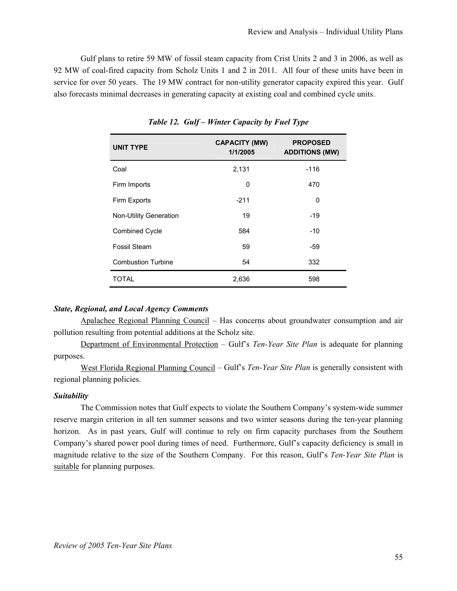Gulf plans to retire 59 MW of fossil steam capacity from Crist Units 2 and 3 in 2006, as well as 92 MW of coal-fired capacity from Scholz Units 1 and 2 in 2011. All four of these units have been in service for over 50 years. The 19 MW contract for non-utility generator capacity expired this year. Gulf also forecasts minimal decreases in generating capacity at existing coal and combined cycle units.

| <b>UNIT TYPE</b>          | <b>CAPACITY (MW)</b><br>1/1/2005 | <b>PROPOSED</b><br><b>ADDITIONS (MW)</b> |
|---------------------------|----------------------------------|------------------------------------------|
| Coal                      | 2,131                            | $-116$                                   |
| Firm Imports              | 0                                | 470                                      |
| Firm Exports              | $-211$                           | 0                                        |
| Non-Utility Generation    | 19                               | -19                                      |
| <b>Combined Cycle</b>     | 584                              | $-10$                                    |
| Fossil Steam              | 59                               | -59                                      |
| <b>Combustion Turbine</b> | 54                               | 332                                      |
| TOTAL                     | 2,636                            | 598                                      |

*Table 12. Gulf – Winter Capacity by Fuel Type* 

#### *State, Regional, and Local Agency Comments*

Apalachee Regional Planning Council – Has concerns about groundwater consumption and air pollution resulting from potential additions at the Scholz site.

Department of Environmental Protection – Gulf's *Ten-Year Site Plan* is adequate for planning purposes.

West Florida Regional Planning Council – Gulf's *Ten-Year Site Plan* is generally consistent with regional planning policies.

#### *Suitability*

The Commission notes that Gulf expects to violate the Southern Company's system-wide summer reserve margin criterion in all ten summer seasons and two winter seasons during the ten-year planning horizon. As in past years, Gulf will continue to rely on firm capacity purchases from the Southern Company's shared power pool during times of need. Furthermore, Gulf's capacity deficiency is small in magnitude relative to the size of the Southern Company. For this reason, Gulf's *Ten-Year Site Plan* is suitable for planning purposes.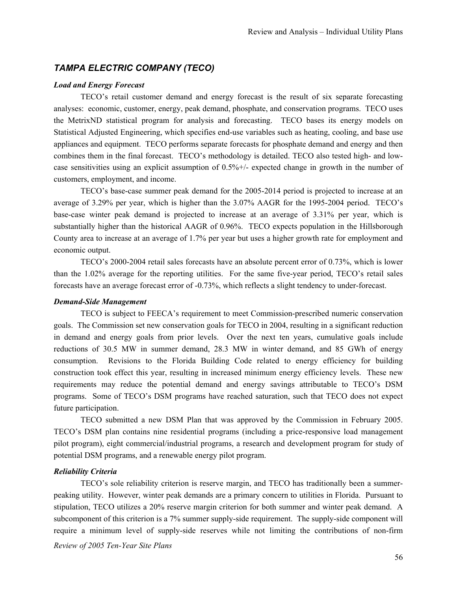# *TAMPA ELECTRIC COMPANY (TECO)*

#### *Load and Energy Forecast*

TECO's retail customer demand and energy forecast is the result of six separate forecasting analyses: economic, customer, energy, peak demand, phosphate, and conservation programs. TECO uses the MetrixND statistical program for analysis and forecasting. TECO bases its energy models on Statistical Adjusted Engineering, which specifies end-use variables such as heating, cooling, and base use appliances and equipment. TECO performs separate forecasts for phosphate demand and energy and then combines them in the final forecast. TECO's methodology is detailed. TECO also tested high- and lowcase sensitivities using an explicit assumption of 0.5%+/- expected change in growth in the number of customers, employment, and income.

TECO's base-case summer peak demand for the 2005-2014 period is projected to increase at an average of 3.29% per year, which is higher than the 3.07% AAGR for the 1995-2004 period. TECO's base-case winter peak demand is projected to increase at an average of 3.31% per year, which is substantially higher than the historical AAGR of 0.96%. TECO expects population in the Hillsborough County area to increase at an average of 1.7% per year but uses a higher growth rate for employment and economic output.

TECO's 2000-2004 retail sales forecasts have an absolute percent error of 0.73%, which is lower than the 1.02% average for the reporting utilities. For the same five-year period, TECO's retail sales forecasts have an average forecast error of -0.73%, which reflects a slight tendency to under-forecast.

#### *Demand-Side Management*

TECO is subject to FEECA's requirement to meet Commission-prescribed numeric conservation goals. The Commission set new conservation goals for TECO in 2004, resulting in a significant reduction in demand and energy goals from prior levels. Over the next ten years, cumulative goals include reductions of 30.5 MW in summer demand, 28.3 MW in winter demand, and 85 GWh of energy consumption. Revisions to the Florida Building Code related to energy efficiency for building construction took effect this year, resulting in increased minimum energy efficiency levels. These new requirements may reduce the potential demand and energy savings attributable to TECO's DSM programs. Some of TECO's DSM programs have reached saturation, such that TECO does not expect future participation.

TECO submitted a new DSM Plan that was approved by the Commission in February 2005. TECO's DSM plan contains nine residential programs (including a price-responsive load management pilot program), eight commercial/industrial programs, a research and development program for study of potential DSM programs, and a renewable energy pilot program.

#### *Reliability Criteria*

*Review of 2005 Ten-Year Site Plans*  TECO's sole reliability criterion is reserve margin, and TECO has traditionally been a summerpeaking utility. However, winter peak demands are a primary concern to utilities in Florida. Pursuant to stipulation, TECO utilizes a 20% reserve margin criterion for both summer and winter peak demand. A subcomponent of this criterion is a 7% summer supply-side requirement. The supply-side component will require a minimum level of supply-side reserves while not limiting the contributions of non-firm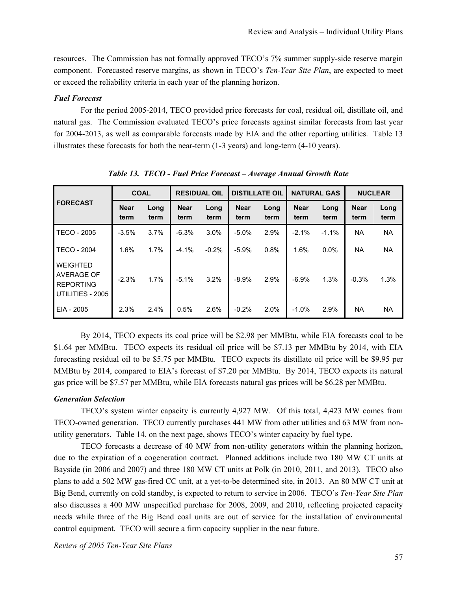resources. The Commission has not formally approved TECO's 7% summer supply-side reserve margin component. Forecasted reserve margins, as shown in TECO's *Ten-Year Site Plan*, are expected to meet or exceed the reliability criteria in each year of the planning horizon.

#### *Fuel Forecast*

For the period 2005-2014, TECO provided price forecasts for coal, residual oil, distillate oil, and natural gas. The Commission evaluated TECO's price forecasts against similar forecasts from last year for 2004-2013, as well as comparable forecasts made by EIA and the other reporting utilities. Table 13 illustrates these forecasts for both the near-term (1-3 years) and long-term (4-10 years).

|                                                                       | <b>COAL</b>         |              | <b>RESIDUAL OIL</b> |              | <b>DISTILLATE OIL</b> |              |                     | <b>NATURAL GAS</b> | <b>NUCLEAR</b>      |              |
|-----------------------------------------------------------------------|---------------------|--------------|---------------------|--------------|-----------------------|--------------|---------------------|--------------------|---------------------|--------------|
| <b>FORECAST</b>                                                       | <b>Near</b><br>term | Long<br>term | <b>Near</b><br>term | Long<br>term | <b>Near</b><br>term   | Long<br>term | <b>Near</b><br>term | Long<br>term       | <b>Near</b><br>term | Long<br>term |
| <b>TECO - 2005</b>                                                    | $-3.5%$             | 3.7%         | $-6.3%$             | 3.0%         | $-5.0\%$              | 2.9%         | $-2.1%$             | $-1.1%$            | NA.                 | NA           |
| TECO - 2004                                                           | 1.6%                | 1.7%         | $-4.1%$             | $-0.2%$      | $-5.9%$               | 0.8%         | 1.6%                | $0.0\%$            | NA.                 | NA           |
| <b>WEIGHTED</b><br>AVERAGE OF<br><b>REPORTING</b><br>UTILITIES - 2005 | $-2.3%$             | 1.7%         | $-5.1%$             | 3.2%         | $-8.9%$               | 2.9%         | $-6.9%$             | 1.3%               | $-0.3%$             | 1.3%         |
| EIA - 2005                                                            | 2.3%                | 2.4%         | 0.5%                | 2.6%         | $-0.2%$               | 2.0%         | $-1.0%$             | 2.9%               | ΝA                  | <b>NA</b>    |

*Table 13. TECO - Fuel Price Forecast – Average Annual Growth Rate* 

By 2014, TECO expects its coal price will be \$2.98 per MMBtu, while EIA forecasts coal to be \$1.64 per MMBtu. TECO expects its residual oil price will be \$7.13 per MMBtu by 2014, with EIA forecasting residual oil to be \$5.75 per MMBtu. TECO expects its distillate oil price will be \$9.95 per MMBtu by 2014, compared to EIA's forecast of \$7.20 per MMBtu. By 2014, TECO expects its natural gas price will be \$7.57 per MMBtu, while EIA forecasts natural gas prices will be \$6.28 per MMBtu.

# *Generation Selection*

TECO's system winter capacity is currently 4,927 MW. Of this total, 4,423 MW comes from TECO-owned generation. TECO currently purchases 441 MW from other utilities and 63 MW from nonutility generators. Table 14, on the next page, shows TECO's winter capacity by fuel type.

TECO forecasts a decrease of 40 MW from non-utility generators within the planning horizon, due to the expiration of a cogeneration contract. Planned additions include two 180 MW CT units at Bayside (in 2006 and 2007) and three 180 MW CT units at Polk (in 2010, 2011, and 2013). TECO also plans to add a 502 MW gas-fired CC unit, at a yet-to-be determined site, in 2013. An 80 MW CT unit at Big Bend, currently on cold standby, is expected to return to service in 2006. TECO's *Ten-Year Site Plan* also discusses a 400 MW unspecified purchase for 2008, 2009, and 2010, reflecting projected capacity needs while three of the Big Bend coal units are out of service for the installation of environmental control equipment. TECO will secure a firm capacity supplier in the near future.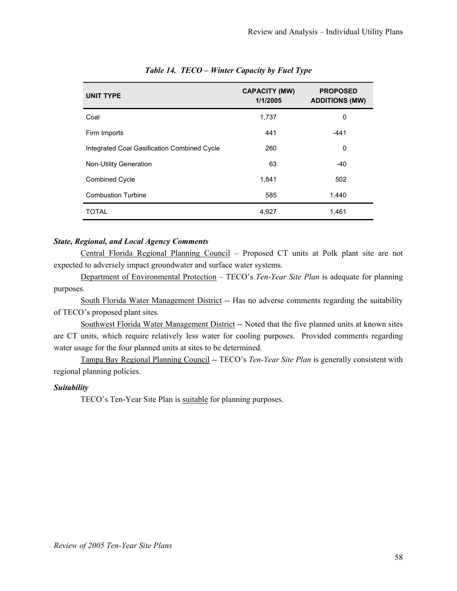| <b>UNIT TYPE</b>                            | <b>CAPACITY (MW)</b><br>1/1/2005 | <b>PROPOSED</b><br><b>ADDITIONS (MW)</b> |
|---------------------------------------------|----------------------------------|------------------------------------------|
| Coal                                        | 1,737                            | 0                                        |
| Firm Imports                                | 441                              | $-441$                                   |
| Integrated Coal Gasification Combined Cycle | 260                              | 0                                        |
| <b>Non-Utility Generation</b>               | 63                               | $-40$                                    |
| <b>Combined Cycle</b>                       | 1,841                            | 502                                      |
| <b>Combustion Turbine</b>                   | 585                              | 1,440                                    |
| <b>TOTAL</b>                                | 4,927                            | 1,461                                    |

# *Table 14. TECO – Winter Capacity by Fuel Type*

#### *State, Regional, and Local Agency Comments*

Central Florida Regional Planning Council – Proposed CT units at Polk plant site are not expected to adversely impact groundwater and surface water systems.

Department of Environmental Protection – TECO's *Ten-Year Site Plan* is adequate for planning purposes.

South Florida Water Management District -- Has no adverse comments regarding the suitability of TECO's proposed plant sites.

Southwest Florida Water Management District -- Noted that the five planned units at known sites are CT units, which require relatively less water for cooling purposes. Provided comments regarding water usage for the four planned units at sites to be determined.

Tampa Bay Regional Planning Council -- TECO's *Ten-Year Site Plan* is generally consistent with regional planning policies.

# *Suitability*

TECO's Ten-Year Site Plan is suitable for planning purposes.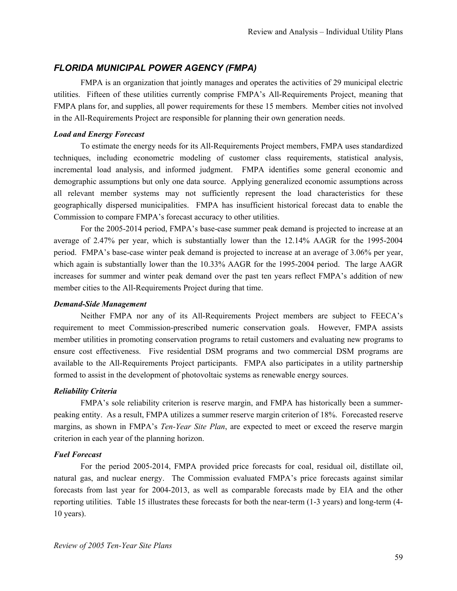# *FLORIDA MUNICIPAL POWER AGENCY (FMPA)*

FMPA is an organization that jointly manages and operates the activities of 29 municipal electric utilities. Fifteen of these utilities currently comprise FMPA's All-Requirements Project, meaning that FMPA plans for, and supplies, all power requirements for these 15 members. Member cities not involved in the All-Requirements Project are responsible for planning their own generation needs.

## *Load and Energy Forecast*

To estimate the energy needs for its All-Requirements Project members, FMPA uses standardized techniques, including econometric modeling of customer class requirements, statistical analysis, incremental load analysis, and informed judgment. FMPA identifies some general economic and demographic assumptions but only one data source. Applying generalized economic assumptions across all relevant member systems may not sufficiently represent the load characteristics for these geographically dispersed municipalities. FMPA has insufficient historical forecast data to enable the Commission to compare FMPA's forecast accuracy to other utilities.

For the 2005-2014 period, FMPA's base-case summer peak demand is projected to increase at an average of 2.47% per year, which is substantially lower than the 12.14% AAGR for the 1995-2004 period. FMPA's base-case winter peak demand is projected to increase at an average of 3.06% per year, which again is substantially lower than the 10.33% AAGR for the 1995-2004 period. The large AAGR increases for summer and winter peak demand over the past ten years reflect FMPA's addition of new member cities to the All-Requirements Project during that time.

# *Demand-Side Management*

Neither FMPA nor any of its All-Requirements Project members are subject to FEECA's requirement to meet Commission-prescribed numeric conservation goals. However, FMPA assists member utilities in promoting conservation programs to retail customers and evaluating new programs to ensure cost effectiveness. Five residential DSM programs and two commercial DSM programs are available to the All-Requirements Project participants. FMPA also participates in a utility partnership formed to assist in the development of photovoltaic systems as renewable energy sources.

## *Reliability Criteria*

FMPA's sole reliability criterion is reserve margin, and FMPA has historically been a summerpeaking entity. As a result, FMPA utilizes a summer reserve margin criterion of 18%. Forecasted reserve margins, as shown in FMPA's *Ten-Year Site Plan*, are expected to meet or exceed the reserve margin criterion in each year of the planning horizon.

#### *Fuel Forecast*

For the period 2005-2014, FMPA provided price forecasts for coal, residual oil, distillate oil, natural gas, and nuclear energy. The Commission evaluated FMPA's price forecasts against similar forecasts from last year for 2004-2013, as well as comparable forecasts made by EIA and the other reporting utilities. Table 15 illustrates these forecasts for both the near-term (1-3 years) and long-term (4- 10 years).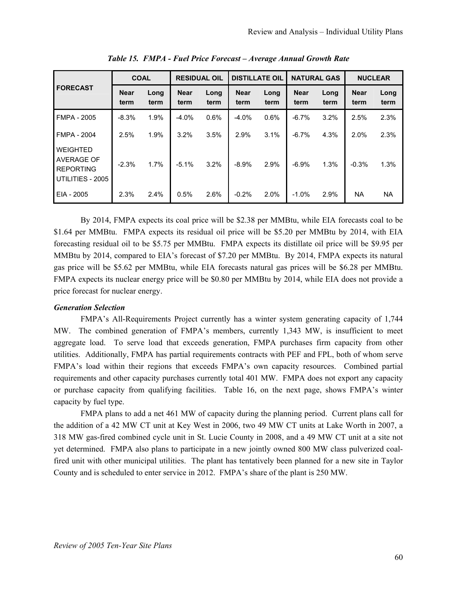|                                                                              | <b>COAL</b>         |              | <b>RESIDUAL OIL</b> |              | <b>DISTILLATE OIL</b> |              | <b>NATURAL GAS</b>  |              | <b>NUCLEAR</b>      |              |
|------------------------------------------------------------------------------|---------------------|--------------|---------------------|--------------|-----------------------|--------------|---------------------|--------------|---------------------|--------------|
| <b>FORECAST</b>                                                              | <b>Near</b><br>term | Long<br>term | <b>Near</b><br>term | Long<br>term | <b>Near</b><br>term   | Long<br>term | <b>Near</b><br>term | Long<br>term | <b>Near</b><br>term | Long<br>term |
| <b>FMPA - 2005</b>                                                           | $-8.3%$             | 1.9%         | $-4.0%$             | 0.6%         | $-4.0%$               | 0.6%         | $-6.7%$             | 3.2%         | 2.5%                | 2.3%         |
| <b>FMPA - 2004</b>                                                           | 2.5%                | 1.9%         | 3.2%                | 3.5%         | 2.9%                  | 3.1%         | $-6.7%$             | 4.3%         | 2.0%                | 2.3%         |
| <b>WEIGHTED</b><br><b>AVERAGE OF</b><br><b>REPORTING</b><br>UTILITIES - 2005 | $-2.3%$             | 1.7%         | $-5.1%$             | 3.2%         | $-8.9%$               | 2.9%         | $-6.9%$             | 1.3%         | $-0.3%$             | 1.3%         |
| EIA - 2005                                                                   | 2.3%                | 2.4%         | 0.5%                | 2.6%         | $-0.2%$               | 2.0%         | $-1.0%$             | 2.9%         | <b>NA</b>           | <b>NA</b>    |

*Table 15. FMPA - Fuel Price Forecast – Average Annual Growth Rate* 

By 2014, FMPA expects its coal price will be \$2.38 per MMBtu, while EIA forecasts coal to be \$1.64 per MMBtu. FMPA expects its residual oil price will be \$5.20 per MMBtu by 2014, with EIA forecasting residual oil to be \$5.75 per MMBtu. FMPA expects its distillate oil price will be \$9.95 per MMBtu by 2014, compared to EIA's forecast of \$7.20 per MMBtu. By 2014, FMPA expects its natural gas price will be \$5.62 per MMBtu, while EIA forecasts natural gas prices will be \$6.28 per MMBtu. FMPA expects its nuclear energy price will be \$0.80 per MMBtu by 2014, while EIA does not provide a price forecast for nuclear energy.

## *Generation Selection*

FMPA's All-Requirements Project currently has a winter system generating capacity of 1,744 MW. The combined generation of FMPA's members, currently 1,343 MW, is insufficient to meet aggregate load. To serve load that exceeds generation, FMPA purchases firm capacity from other utilities. Additionally, FMPA has partial requirements contracts with PEF and FPL, both of whom serve FMPA's load within their regions that exceeds FMPA's own capacity resources. Combined partial requirements and other capacity purchases currently total 401 MW. FMPA does not export any capacity or purchase capacity from qualifying facilities. Table 16, on the next page, shows FMPA's winter capacity by fuel type.

FMPA plans to add a net 461 MW of capacity during the planning period. Current plans call for the addition of a 42 MW CT unit at Key West in 2006, two 49 MW CT units at Lake Worth in 2007, a 318 MW gas-fired combined cycle unit in St. Lucie County in 2008, and a 49 MW CT unit at a site not yet determined. FMPA also plans to participate in a new jointly owned 800 MW class pulverized coalfired unit with other municipal utilities. The plant has tentatively been planned for a new site in Taylor County and is scheduled to enter service in 2012. FMPA's share of the plant is 250 MW.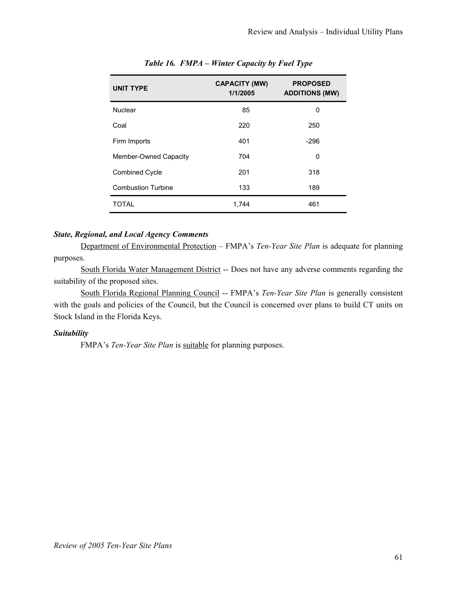| <b>UNIT TYPE</b>             | <b>CAPACITY (MW)</b><br>1/1/2005 | <b>PROPOSED</b><br><b>ADDITIONS (MW)</b> |
|------------------------------|----------------------------------|------------------------------------------|
| <b>Nuclear</b>               | 85                               | 0                                        |
| Coal                         | 220                              | 250                                      |
| Firm Imports                 | 401                              | $-296$                                   |
| <b>Member-Owned Capacity</b> | 704                              | 0                                        |
| <b>Combined Cycle</b>        | 201                              | 318                                      |
| <b>Combustion Turbine</b>    | 133                              | 189                                      |
| <b>TOTAL</b>                 | 1,744                            | 461                                      |

# *Table 16. FMPA – Winter Capacity by Fuel Type*

# *State, Regional, and Local Agency Comments*

Department of Environmental Protection – FMPA's *Ten-Year Site Plan* is adequate for planning purposes.

South Florida Water Management District -- Does not have any adverse comments regarding the suitability of the proposed sites.

South Florida Regional Planning Council -- FMPA's *Ten-Year Site Plan* is generally consistent with the goals and policies of the Council, but the Council is concerned over plans to build CT units on Stock Island in the Florida Keys.

# *Suitability*

FMPA's *Ten-Year Site Plan* is suitable for planning purposes.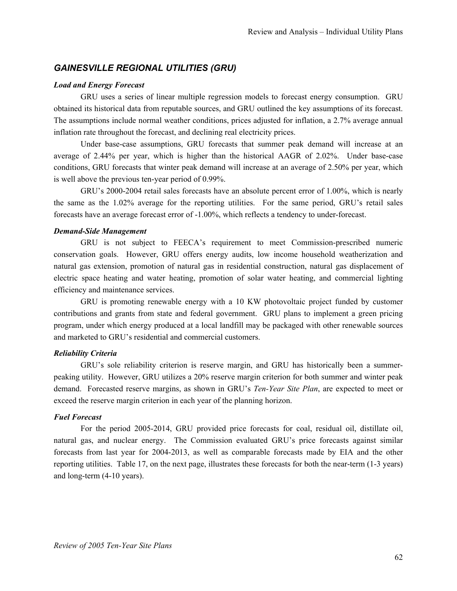# *GAINESVILLE REGIONAL UTILITIES (GRU)*

### *Load and Energy Forecast*

GRU uses a series of linear multiple regression models to forecast energy consumption. GRU obtained its historical data from reputable sources, and GRU outlined the key assumptions of its forecast. The assumptions include normal weather conditions, prices adjusted for inflation, a 2.7% average annual inflation rate throughout the forecast, and declining real electricity prices.

Under base-case assumptions, GRU forecasts that summer peak demand will increase at an average of 2.44% per year, which is higher than the historical AAGR of 2.02%. Under base-case conditions, GRU forecasts that winter peak demand will increase at an average of 2.50% per year, which is well above the previous ten-year period of 0.99%.

GRU's 2000-2004 retail sales forecasts have an absolute percent error of 1.00%, which is nearly the same as the 1.02% average for the reporting utilities. For the same period, GRU's retail sales forecasts have an average forecast error of -1.00%, which reflects a tendency to under-forecast.

# *Demand-Side Management*

GRU is not subject to FEECA's requirement to meet Commission-prescribed numeric conservation goals. However, GRU offers energy audits, low income household weatherization and natural gas extension, promotion of natural gas in residential construction, natural gas displacement of electric space heating and water heating, promotion of solar water heating, and commercial lighting efficiency and maintenance services.

GRU is promoting renewable energy with a 10 KW photovoltaic project funded by customer contributions and grants from state and federal government. GRU plans to implement a green pricing program, under which energy produced at a local landfill may be packaged with other renewable sources and marketed to GRU's residential and commercial customers.

## *Reliability Criteria*

GRU's sole reliability criterion is reserve margin, and GRU has historically been a summerpeaking utility. However, GRU utilizes a 20% reserve margin criterion for both summer and winter peak demand. Forecasted reserve margins, as shown in GRU's *Ten-Year Site Plan*, are expected to meet or exceed the reserve margin criterion in each year of the planning horizon.

### *Fuel Forecast*

For the period 2005-2014, GRU provided price forecasts for coal, residual oil, distillate oil, natural gas, and nuclear energy. The Commission evaluated GRU's price forecasts against similar forecasts from last year for 2004-2013, as well as comparable forecasts made by EIA and the other reporting utilities. Table 17, on the next page, illustrates these forecasts for both the near-term (1-3 years) and long-term (4-10 years).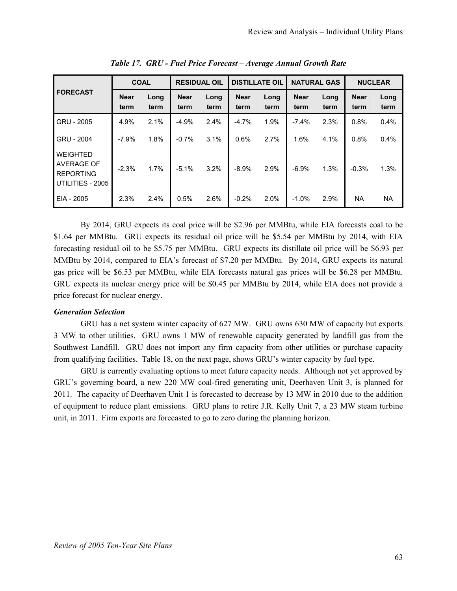|                                                                | <b>COAL</b>         |              | <b>RESIDUAL OIL</b> |              | <b>DISTILLATE OIL</b> |              | <b>NATURAL GAS</b>  |              | <b>NUCLEAR</b>      |              |
|----------------------------------------------------------------|---------------------|--------------|---------------------|--------------|-----------------------|--------------|---------------------|--------------|---------------------|--------------|
| <b>FORECAST</b>                                                | <b>Near</b><br>term | Long<br>term | <b>Near</b><br>term | Long<br>term | <b>Near</b><br>term   | Long<br>term | <b>Near</b><br>term | Long<br>term | <b>Near</b><br>term | Long<br>term |
| GRU - 2005                                                     | 4.9%                | 2.1%         | $-4.9%$             | 2.4%         | $-4.7%$               | 1.9%         | $-7.4%$             | 2.3%         | 0.8%                | 0.4%         |
| GRU - 2004                                                     | $-7.9%$             | 1.8%         | $-0.7%$             | 3.1%         | 0.6%                  | 2.7%         | 1.6%                | 4.1%         | 0.8%                | 0.4%         |
| WEIGHTED<br>AVERAGE OF<br><b>REPORTING</b><br>UTILITIES - 2005 | $-2.3%$             | 1.7%         | $-5.1%$             | 3.2%         | $-8.9%$               | 2.9%         | $-6.9%$             | 1.3%         | $-0.3%$             | 1.3%         |
| EIA - 2005                                                     | 2.3%                | 2.4%         | 0.5%                | 2.6%         | $-0.2%$               | 2.0%         | $-1.0%$             | 2.9%         | <b>NA</b>           | <b>NA</b>    |

*Table 17. GRU - Fuel Price Forecast – Average Annual Growth Rate* 

By 2014, GRU expects its coal price will be \$2.96 per MMBtu, while EIA forecasts coal to be \$1.64 per MMBtu. GRU expects its residual oil price will be \$5.54 per MMBtu by 2014, with EIA forecasting residual oil to be \$5.75 per MMBtu. GRU expects its distillate oil price will be \$6.93 per MMBtu by 2014, compared to EIA's forecast of \$7.20 per MMBtu. By 2014, GRU expects its natural gas price will be \$6.53 per MMBtu, while EIA forecasts natural gas prices will be \$6.28 per MMBtu. GRU expects its nuclear energy price will be \$0.45 per MMBtu by 2014, while EIA does not provide a price forecast for nuclear energy.

# *Generation Selection*

GRU has a net system winter capacity of 627 MW. GRU owns 630 MW of capacity but exports 3 MW to other utilities. GRU owns 1 MW of renewable capacity generated by landfill gas from the Southwest Landfill. GRU does not import any firm capacity from other utilities or purchase capacity from qualifying facilities. Table 18, on the next page, shows GRU's winter capacity by fuel type.

GRU is currently evaluating options to meet future capacity needs. Although not yet approved by GRU's governing board, a new 220 MW coal-fired generating unit, Deerhaven Unit 3, is planned for 2011. The capacity of Deerhaven Unit 1 is forecasted to decrease by 13 MW in 2010 due to the addition of equipment to reduce plant emissions. GRU plans to retire J.R. Kelly Unit 7, a 23 MW steam turbine unit, in 2011. Firm exports are forecasted to go to zero during the planning horizon.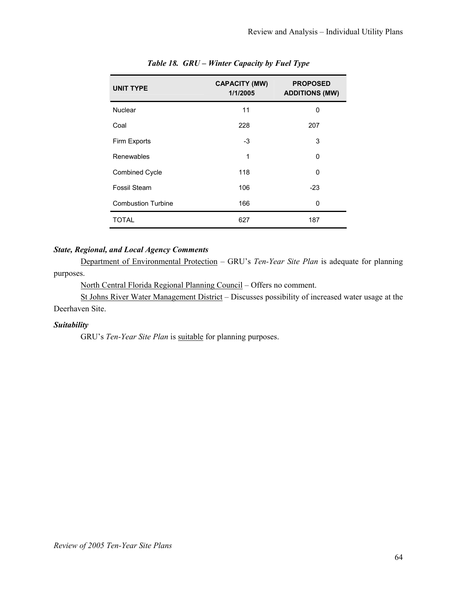| <b>UNIT TYPE</b>          | <b>CAPACITY (MW)</b><br>1/1/2005 | <b>PROPOSED</b><br><b>ADDITIONS (MW)</b> |
|---------------------------|----------------------------------|------------------------------------------|
| <b>Nuclear</b>            | 11                               | 0                                        |
| Coal                      | 228                              | 207                                      |
| Firm Exports              | -3                               | 3                                        |
| Renewables                | 1                                | 0                                        |
| <b>Combined Cycle</b>     | 118                              | 0                                        |
| Fossil Steam              | 106                              | $-23$                                    |
| <b>Combustion Turbine</b> | 166                              | $\Omega$                                 |
| TOTAL                     | 627                              | 187                                      |

# *Table 18. GRU – Winter Capacity by Fuel Type*

# *State, Regional, and Local Agency Comments*

Department of Environmental Protection – GRU's *Ten-Year Site Plan* is adequate for planning purposes.

North Central Florida Regional Planning Council – Offers no comment.

St Johns River Water Management District – Discusses possibility of increased water usage at the Deerhaven Site.

# *Suitability*

GRU's *Ten-Year Site Plan* is **suitable** for planning purposes.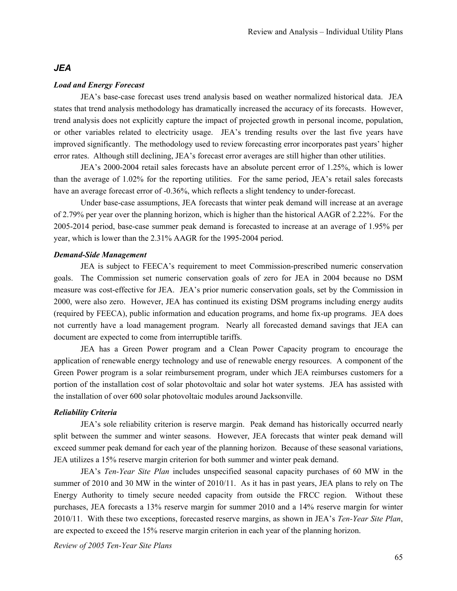# *JEA*

#### *Load and Energy Forecast*

JEA's base-case forecast uses trend analysis based on weather normalized historical data. JEA states that trend analysis methodology has dramatically increased the accuracy of its forecasts. However, trend analysis does not explicitly capture the impact of projected growth in personal income, population, or other variables related to electricity usage. JEA's trending results over the last five years have improved significantly. The methodology used to review forecasting error incorporates past years' higher error rates. Although still declining, JEA's forecast error averages are still higher than other utilities.

JEA's 2000-2004 retail sales forecasts have an absolute percent error of 1.25%, which is lower than the average of 1.02% for the reporting utilities. For the same period, JEA's retail sales forecasts have an average forecast error of -0.36%, which reflects a slight tendency to under-forecast.

Under base-case assumptions, JEA forecasts that winter peak demand will increase at an average of 2.79% per year over the planning horizon, which is higher than the historical AAGR of 2.22%. For the 2005-2014 period, base-case summer peak demand is forecasted to increase at an average of 1.95% per year, which is lower than the 2.31% AAGR for the 1995-2004 period.

#### *Demand-Side Management*

JEA is subject to FEECA's requirement to meet Commission-prescribed numeric conservation goals. The Commission set numeric conservation goals of zero for JEA in 2004 because no DSM measure was cost-effective for JEA. JEA's prior numeric conservation goals, set by the Commission in 2000, were also zero. However, JEA has continued its existing DSM programs including energy audits (required by FEECA), public information and education programs, and home fix-up programs. JEA does not currently have a load management program. Nearly all forecasted demand savings that JEA can document are expected to come from interruptible tariffs.

JEA has a Green Power program and a Clean Power Capacity program to encourage the application of renewable energy technology and use of renewable energy resources. A component of the Green Power program is a solar reimbursement program, under which JEA reimburses customers for a portion of the installation cost of solar photovoltaic and solar hot water systems. JEA has assisted with the installation of over 600 solar photovoltaic modules around Jacksonville.

#### *Reliability Criteria*

JEA's sole reliability criterion is reserve margin. Peak demand has historically occurred nearly split between the summer and winter seasons. However, JEA forecasts that winter peak demand will exceed summer peak demand for each year of the planning horizon. Because of these seasonal variations, JEA utilizes a 15% reserve margin criterion for both summer and winter peak demand.

JEA's *Ten-Year Site Plan* includes unspecified seasonal capacity purchases of 60 MW in the summer of 2010 and 30 MW in the winter of 2010/11. As it has in past years, JEA plans to rely on The Energy Authority to timely secure needed capacity from outside the FRCC region. Without these purchases, JEA forecasts a 13% reserve margin for summer 2010 and a 14% reserve margin for winter 2010/11. With these two exceptions, forecasted reserve margins, as shown in JEA's *Ten-Year Site Plan*, are expected to exceed the 15% reserve margin criterion in each year of the planning horizon.

*Review of 2005 Ten-Year Site Plans*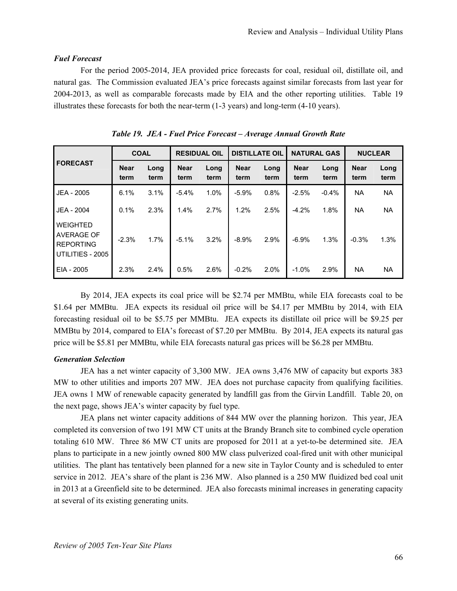## *Fuel Forecast*

For the period 2005-2014, JEA provided price forecasts for coal, residual oil, distillate oil, and natural gas. The Commission evaluated JEA's price forecasts against similar forecasts from last year for 2004-2013, as well as comparable forecasts made by EIA and the other reporting utilities. Table 19 illustrates these forecasts for both the near-term (1-3 years) and long-term (4-10 years).

| <b>FORECAST</b>                                                       | <b>COAL</b>         |              | <b>RESIDUAL OIL</b> |              | <b>DISTILLATE OIL</b> |              | <b>NATURAL GAS</b>  |              | <b>NUCLEAR</b>      |              |
|-----------------------------------------------------------------------|---------------------|--------------|---------------------|--------------|-----------------------|--------------|---------------------|--------------|---------------------|--------------|
|                                                                       | <b>Near</b><br>term | Long<br>term | <b>Near</b><br>term | Long<br>term | <b>Near</b><br>term   | Long<br>term | <b>Near</b><br>term | Long<br>term | <b>Near</b><br>term | Long<br>term |
| JEA - 2005                                                            | 6.1%                | 3.1%         | $-5.4%$             | 1.0%         | $-5.9%$               | 0.8%         | $-2.5%$             | $-0.4%$      | NA.                 | <b>NA</b>    |
| JEA - 2004                                                            | 0.1%                | 2.3%         | 1.4%                | 2.7%         | 1.2%                  | 2.5%         | $-4.2%$             | 1.8%         | NA.                 | NA.          |
| <b>WEIGHTED</b><br>AVERAGE OF<br><b>REPORTING</b><br>UTILITIES - 2005 | $-2.3%$             | 1.7%         | $-5.1%$             | 3.2%         | $-8.9%$               | 2.9%         | $-6.9%$             | 1.3%         | $-0.3%$             | 1.3%         |
| EIA - 2005                                                            | 2.3%                | 2.4%         | 0.5%                | 2.6%         | $-0.2%$               | $2.0\%$      | $-1.0\%$            | 2.9%         | NA                  | NA.          |

*Table 19. JEA - Fuel Price Forecast – Average Annual Growth Rate* 

By 2014, JEA expects its coal price will be \$2.74 per MMBtu, while EIA forecasts coal to be \$1.64 per MMBtu. JEA expects its residual oil price will be \$4.17 per MMBtu by 2014, with EIA forecasting residual oil to be \$5.75 per MMBtu. JEA expects its distillate oil price will be \$9.25 per MMBtu by 2014, compared to EIA's forecast of \$7.20 per MMBtu. By 2014, JEA expects its natural gas price will be \$5.81 per MMBtu, while EIA forecasts natural gas prices will be \$6.28 per MMBtu.

## *Generation Selection*

JEA has a net winter capacity of 3,300 MW. JEA owns 3,476 MW of capacity but exports 383 MW to other utilities and imports 207 MW. JEA does not purchase capacity from qualifying facilities. JEA owns 1 MW of renewable capacity generated by landfill gas from the Girvin Landfill. Table 20, on the next page, shows JEA's winter capacity by fuel type.

JEA plans net winter capacity additions of 844 MW over the planning horizon. This year, JEA completed its conversion of two 191 MW CT units at the Brandy Branch site to combined cycle operation totaling 610 MW. Three 86 MW CT units are proposed for 2011 at a yet-to-be determined site. JEA plans to participate in a new jointly owned 800 MW class pulverized coal-fired unit with other municipal utilities. The plant has tentatively been planned for a new site in Taylor County and is scheduled to enter service in 2012. JEA's share of the plant is 236 MW. Also planned is a 250 MW fluidized bed coal unit in 2013 at a Greenfield site to be determined. JEA also forecasts minimal increases in generating capacity at several of its existing generating units.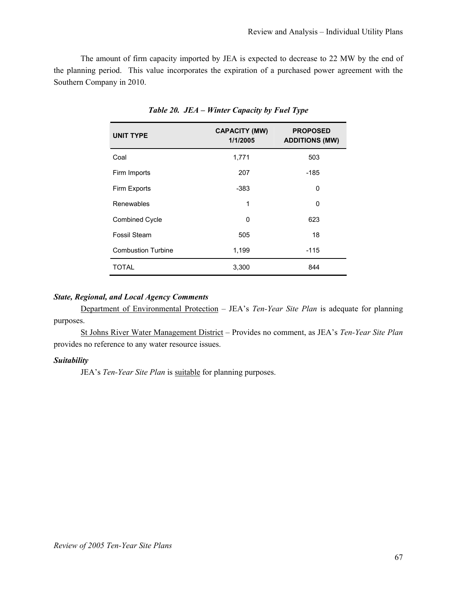The amount of firm capacity imported by JEA is expected to decrease to 22 MW by the end of the planning period. This value incorporates the expiration of a purchased power agreement with the Southern Company in 2010.

| <b>UNIT TYPE</b>          | <b>CAPACITY (MW)</b><br>1/1/2005 | <b>PROPOSED</b><br><b>ADDITIONS (MW)</b> |
|---------------------------|----------------------------------|------------------------------------------|
| Coal                      | 1,771                            | 503                                      |
| Firm Imports              | 207                              | -185                                     |
| Firm Exports              | $-383$                           | 0                                        |
| Renewables                | 1                                | 0                                        |
| <b>Combined Cycle</b>     | 0                                | 623                                      |
| Fossil Steam              | 505                              | 18                                       |
| <b>Combustion Turbine</b> | 1,199                            | $-115$                                   |
| <b>TOTAL</b>              | 3,300                            | 844                                      |

*Table 20. JEA – Winter Capacity by Fuel Type* 

# *State, Regional, and Local Agency Comments*

Department of Environmental Protection – JEA's *Ten-Year Site Plan* is adequate for planning purposes.

St Johns River Water Management District – Provides no comment, as JEA's *Ten-Year Site Plan* provides no reference to any water resource issues.

#### *Suitability*

JEA's *Ten-Year Site Plan* is suitable for planning purposes.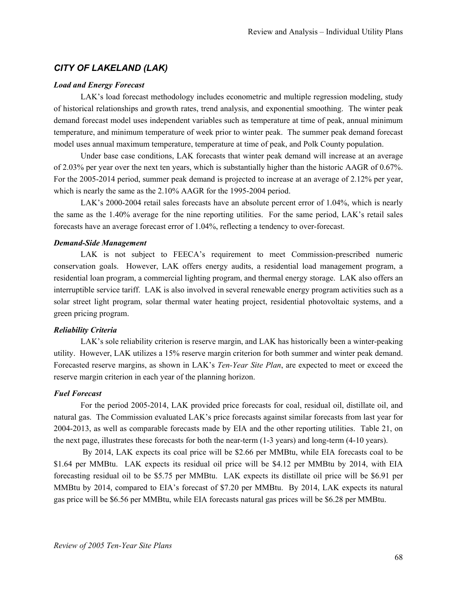# *CITY OF LAKELAND (LAK)*

#### *Load and Energy Forecast*

LAK's load forecast methodology includes econometric and multiple regression modeling, study of historical relationships and growth rates, trend analysis, and exponential smoothing. The winter peak demand forecast model uses independent variables such as temperature at time of peak, annual minimum temperature, and minimum temperature of week prior to winter peak. The summer peak demand forecast model uses annual maximum temperature, temperature at time of peak, and Polk County population.

Under base case conditions, LAK forecasts that winter peak demand will increase at an average of 2.03% per year over the next ten years, which is substantially higher than the historic AAGR of 0.67%. For the 2005-2014 period, summer peak demand is projected to increase at an average of 2.12% per year, which is nearly the same as the 2.10% AAGR for the 1995-2004 period.

LAK's 2000-2004 retail sales forecasts have an absolute percent error of 1.04%, which is nearly the same as the 1.40% average for the nine reporting utilities. For the same period, LAK's retail sales forecasts have an average forecast error of 1.04%, reflecting a tendency to over-forecast.

#### *Demand-Side Management*

LAK is not subject to FEECA's requirement to meet Commission-prescribed numeric conservation goals. However, LAK offers energy audits, a residential load management program, a residential loan program, a commercial lighting program, and thermal energy storage. LAK also offers an interruptible service tariff. LAK is also involved in several renewable energy program activities such as a solar street light program, solar thermal water heating project, residential photovoltaic systems, and a green pricing program.

#### *Reliability Criteria*

LAK's sole reliability criterion is reserve margin, and LAK has historically been a winter-peaking utility. However, LAK utilizes a 15% reserve margin criterion for both summer and winter peak demand. Forecasted reserve margins, as shown in LAK's *Ten-Year Site Plan*, are expected to meet or exceed the reserve margin criterion in each year of the planning horizon.

#### *Fuel Forecast*

For the period 2005-2014, LAK provided price forecasts for coal, residual oil, distillate oil, and natural gas. The Commission evaluated LAK's price forecasts against similar forecasts from last year for 2004-2013, as well as comparable forecasts made by EIA and the other reporting utilities. Table 21, on the next page, illustrates these forecasts for both the near-term (1-3 years) and long-term (4-10 years).

 By 2014, LAK expects its coal price will be \$2.66 per MMBtu, while EIA forecasts coal to be \$1.64 per MMBtu. LAK expects its residual oil price will be \$4.12 per MMBtu by 2014, with EIA forecasting residual oil to be \$5.75 per MMBtu. LAK expects its distillate oil price will be \$6.91 per MMBtu by 2014, compared to EIA's forecast of \$7.20 per MMBtu. By 2014, LAK expects its natural gas price will be \$6.56 per MMBtu, while EIA forecasts natural gas prices will be \$6.28 per MMBtu.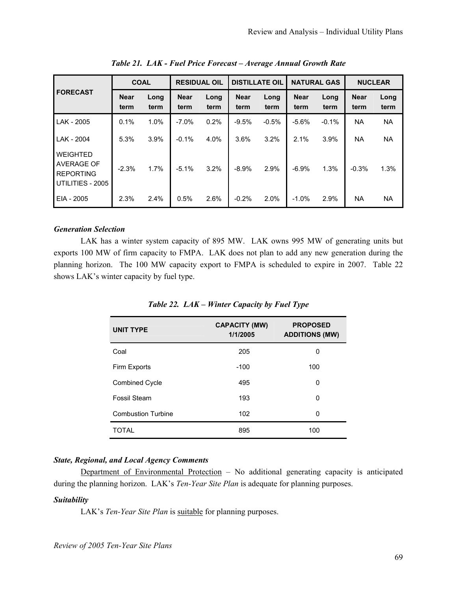|                                                                       | <b>COAL</b>         |              | <b>RESIDUAL OIL</b> |              | <b>DISTILLATE OIL</b> |              | <b>NATURAL GAS</b>  |              | <b>NUCLEAR</b>      |              |
|-----------------------------------------------------------------------|---------------------|--------------|---------------------|--------------|-----------------------|--------------|---------------------|--------------|---------------------|--------------|
| <b>FORECAST</b>                                                       | <b>Near</b><br>term | Long<br>term | <b>Near</b><br>term | Long<br>term | <b>Near</b><br>term   | Long<br>term | <b>Near</b><br>term | Long<br>term | <b>Near</b><br>term | Long<br>term |
| LAK - 2005                                                            | 0.1%                | 1.0%         | $-7.0%$             | 0.2%         | $-9.5%$               | $-0.5%$      | $-5.6%$             | $-0.1%$      | <b>NA</b>           | <b>NA</b>    |
| LAK - 2004                                                            | 5.3%                | 3.9%         | $-0.1%$             | 4.0%         | 3.6%                  | 3.2%         | 2.1%                | 3.9%         | <b>NA</b>           | <b>NA</b>    |
| <b>WEIGHTED</b><br>AVERAGE OF<br><b>REPORTING</b><br>UTILITIES - 2005 | $-2.3%$             | 1.7%         | $-5.1%$             | 3.2%         | $-8.9%$               | 2.9%         | $-6.9%$             | 1.3%         | $-0.3%$             | 1.3%         |
| EIA - 2005                                                            | 2.3%                | 2.4%         | 0.5%                | 2.6%         | $-0.2%$               | 2.0%         | $-1.0%$             | 2.9%         | <b>NA</b>           | <b>NA</b>    |

*Table 21. LAK - Fuel Price Forecast – Average Annual Growth Rate* 

### *Generation Selection*

LAK has a winter system capacity of 895 MW. LAK owns 995 MW of generating units but exports 100 MW of firm capacity to FMPA. LAK does not plan to add any new generation during the planning horizon. The 100 MW capacity export to FMPA is scheduled to expire in 2007. Table 22 shows LAK's winter capacity by fuel type.

| <b>UNIT TYPE</b>          | <b>CAPACITY (MW)</b><br>1/1/2005 | <b>PROPOSED</b><br><b>ADDITIONS (MW)</b> |
|---------------------------|----------------------------------|------------------------------------------|
| Coal                      | 205                              | 0                                        |
| Firm Exports              | $-100$                           | 100                                      |
| <b>Combined Cycle</b>     | 495                              | 0                                        |
| Fossil Steam              | 193                              | 0                                        |
| <b>Combustion Turbine</b> | 102                              | 0                                        |
| <b>TOTAL</b>              | 895                              | 100                                      |

*Table 22. LAK – Winter Capacity by Fuel Type* 

### *State, Regional, and Local Agency Comments*

Department of Environmental Protection – No additional generating capacity is anticipated during the planning horizon. LAK's *Ten-Year Site Plan* is adequate for planning purposes.

### *Suitability*

LAK's *Ten-Year Site Plan* is suitable for planning purposes.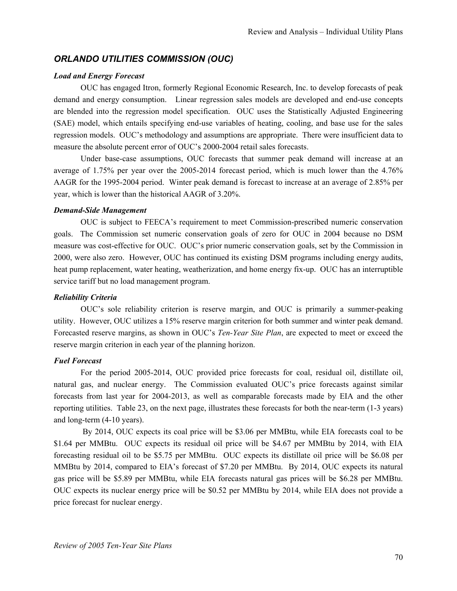# *ORLANDO UTILITIES COMMISSION (OUC)*

#### *Load and Energy Forecast*

OUC has engaged Itron, formerly Regional Economic Research, Inc. to develop forecasts of peak demand and energy consumption. Linear regression sales models are developed and end-use concepts are blended into the regression model specification. OUC uses the Statistically Adjusted Engineering (SAE) model, which entails specifying end-use variables of heating, cooling, and base use for the sales regression models. OUC's methodology and assumptions are appropriate. There were insufficient data to measure the absolute percent error of OUC's 2000-2004 retail sales forecasts.

Under base-case assumptions, OUC forecasts that summer peak demand will increase at an average of 1.75% per year over the 2005-2014 forecast period, which is much lower than the 4.76% AAGR for the 1995-2004 period. Winter peak demand is forecast to increase at an average of 2.85% per year, which is lower than the historical AAGR of 3.20%.

#### *Demand-Side Management*

OUC is subject to FEECA's requirement to meet Commission-prescribed numeric conservation goals. The Commission set numeric conservation goals of zero for OUC in 2004 because no DSM measure was cost-effective for OUC. OUC's prior numeric conservation goals, set by the Commission in 2000, were also zero. However, OUC has continued its existing DSM programs including energy audits, heat pump replacement, water heating, weatherization, and home energy fix-up. OUC has an interruptible service tariff but no load management program.

#### *Reliability Criteria*

OUC's sole reliability criterion is reserve margin, and OUC is primarily a summer-peaking utility. However, OUC utilizes a 15% reserve margin criterion for both summer and winter peak demand. Forecasted reserve margins, as shown in OUC's *Ten-Year Site Plan*, are expected to meet or exceed the reserve margin criterion in each year of the planning horizon.

### *Fuel Forecast*

For the period 2005-2014, OUC provided price forecasts for coal, residual oil, distillate oil, natural gas, and nuclear energy. The Commission evaluated OUC's price forecasts against similar forecasts from last year for 2004-2013, as well as comparable forecasts made by EIA and the other reporting utilities. Table 23, on the next page, illustrates these forecasts for both the near-term (1-3 years) and long-term (4-10 years).

 By 2014, OUC expects its coal price will be \$3.06 per MMBtu, while EIA forecasts coal to be \$1.64 per MMBtu. OUC expects its residual oil price will be \$4.67 per MMBtu by 2014, with EIA forecasting residual oil to be \$5.75 per MMBtu. OUC expects its distillate oil price will be \$6.08 per MMBtu by 2014, compared to EIA's forecast of \$7.20 per MMBtu. By 2014, OUC expects its natural gas price will be \$5.89 per MMBtu, while EIA forecasts natural gas prices will be \$6.28 per MMBtu. OUC expects its nuclear energy price will be \$0.52 per MMBtu by 2014, while EIA does not provide a price forecast for nuclear energy.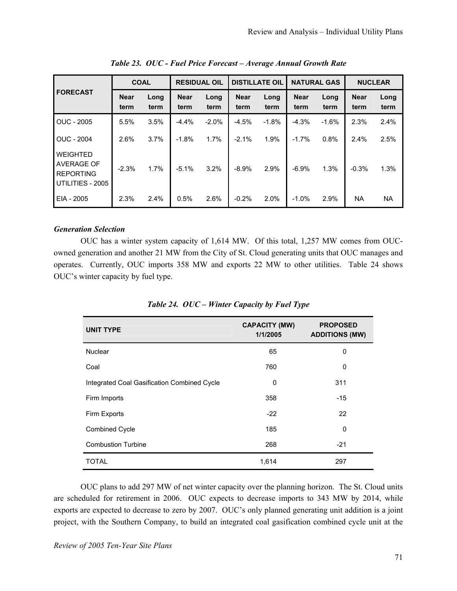|                                                                | <b>COAL</b>         |              | <b>RESIDUAL OIL</b> |              | <b>DISTILLATE OIL</b> |              | <b>NATURAL GAS</b>  |              | <b>NUCLEAR</b>      |              |
|----------------------------------------------------------------|---------------------|--------------|---------------------|--------------|-----------------------|--------------|---------------------|--------------|---------------------|--------------|
| <b>FORECAST</b>                                                | <b>Near</b><br>term | Long<br>term | <b>Near</b><br>term | Long<br>term | <b>Near</b><br>term   | Long<br>term | <b>Near</b><br>term | Long<br>term | <b>Near</b><br>term | Long<br>term |
| OUC - 2005                                                     | 5.5%                | 3.5%         | $-4.4%$             | $-2.0%$      | $-4.5%$               | $-1.8%$      | $-4.3%$             | $-1.6%$      | 2.3%                | 2.4%         |
| <b>OUC - 2004</b>                                              | 2.6%                | 3.7%         | $-1.8%$             | 1.7%         | $-2.1%$               | 1.9%         | $-1.7%$             | 0.8%         | 2.4%                | 2.5%         |
| WEIGHTED<br>AVERAGE OF<br><b>REPORTING</b><br>UTILITIES - 2005 | $-2.3%$             | 1.7%         | $-5.1%$             | 3.2%         | $-8.9%$               | 2.9%         | $-6.9%$             | 1.3%         | $-0.3%$             | 1.3%         |
| EIA - 2005                                                     | 2.3%                | 2.4%         | 0.5%                | 2.6%         | $-0.2%$               | 2.0%         | $-1.0%$             | 2.9%         | <b>NA</b>           | <b>NA</b>    |

*Table 23. OUC - Fuel Price Forecast – Average Annual Growth Rate* 

### *Generation Selection*

OUC has a winter system capacity of 1,614 MW. Of this total, 1,257 MW comes from OUCowned generation and another 21 MW from the City of St. Cloud generating units that OUC manages and operates. Currently, OUC imports 358 MW and exports 22 MW to other utilities. Table 24 shows OUC's winter capacity by fuel type.

| <b>UNIT TYPE</b>                            | <b>CAPACITY (MW)</b><br>1/1/2005 | <b>PROPOSED</b><br><b>ADDITIONS (MW)</b> |
|---------------------------------------------|----------------------------------|------------------------------------------|
| <b>Nuclear</b>                              | 65                               | 0                                        |
| Coal                                        | 760                              | $\Omega$                                 |
| Integrated Coal Gasification Combined Cycle | $\mathbf 0$                      | 311                                      |
| Firm Imports                                | 358                              | $-15$                                    |
| Firm Exports                                | $-22$                            | 22                                       |
| <b>Combined Cycle</b>                       | 185                              | $\Omega$                                 |
| <b>Combustion Turbine</b>                   | 268                              | $-21$                                    |
| <b>TOTAL</b>                                | 1,614                            | 297                                      |

*Table 24. OUC – Winter Capacity by Fuel Type* 

OUC plans to add 297 MW of net winter capacity over the planning horizon. The St. Cloud units are scheduled for retirement in 2006. OUC expects to decrease imports to 343 MW by 2014, while exports are expected to decrease to zero by 2007. OUC's only planned generating unit addition is a joint project, with the Southern Company, to build an integrated coal gasification combined cycle unit at the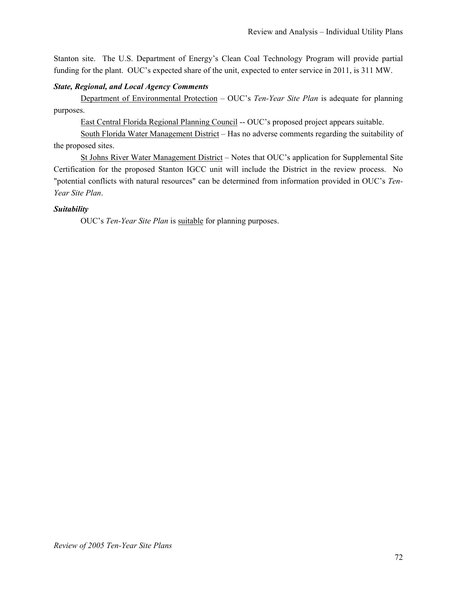Stanton site. The U.S. Department of Energy's Clean Coal Technology Program will provide partial funding for the plant. OUC's expected share of the unit, expected to enter service in 2011, is 311 MW.

### *State, Regional, and Local Agency Comments*

Department of Environmental Protection – OUC's *Ten-Year Site Plan* is adequate for planning purposes.

East Central Florida Regional Planning Council -- OUC's proposed project appears suitable.

South Florida Water Management District – Has no adverse comments regarding the suitability of the proposed sites.

St Johns River Water Management District – Notes that OUC's application for Supplemental Site Certification for the proposed Stanton IGCC unit will include the District in the review process. No "potential conflicts with natural resources" can be determined from information provided in OUC's *Ten-Year Site Plan*.

## *Suitability*

OUC's *Ten-Year Site Plan* is suitable for planning purposes.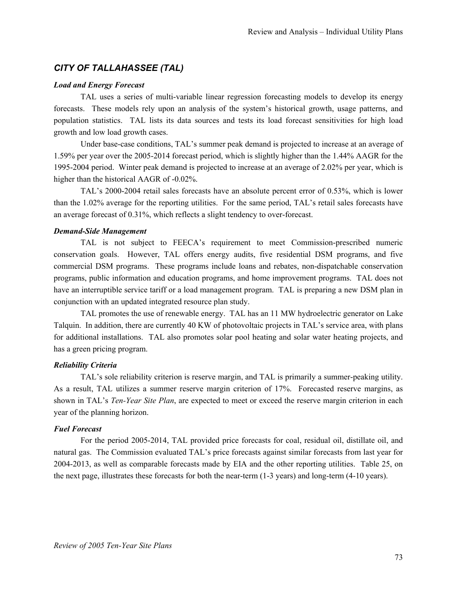# *CITY OF TALLAHASSEE (TAL)*

#### *Load and Energy Forecast*

TAL uses a series of multi-variable linear regression forecasting models to develop its energy forecasts. These models rely upon an analysis of the system's historical growth, usage patterns, and population statistics. TAL lists its data sources and tests its load forecast sensitivities for high load growth and low load growth cases.

Under base-case conditions, TAL's summer peak demand is projected to increase at an average of 1.59% per year over the 2005-2014 forecast period, which is slightly higher than the 1.44% AAGR for the 1995-2004 period. Winter peak demand is projected to increase at an average of 2.02% per year, which is higher than the historical AAGR of -0.02%.

TAL's 2000-2004 retail sales forecasts have an absolute percent error of 0.53%, which is lower than the 1.02% average for the reporting utilities. For the same period, TAL's retail sales forecasts have an average forecast of 0.31%, which reflects a slight tendency to over-forecast.

### *Demand-Side Management*

TAL is not subject to FEECA's requirement to meet Commission-prescribed numeric conservation goals. However, TAL offers energy audits, five residential DSM programs, and five commercial DSM programs. These programs include loans and rebates, non-dispatchable conservation programs, public information and education programs, and home improvement programs. TAL does not have an interruptible service tariff or a load management program. TAL is preparing a new DSM plan in conjunction with an updated integrated resource plan study.

TAL promotes the use of renewable energy. TAL has an 11 MW hydroelectric generator on Lake Talquin. In addition, there are currently 40 KW of photovoltaic projects in TAL's service area, with plans for additional installations. TAL also promotes solar pool heating and solar water heating projects, and has a green pricing program.

### *Reliability Criteria*

TAL's sole reliability criterion is reserve margin, and TAL is primarily a summer-peaking utility. As a result, TAL utilizes a summer reserve margin criterion of 17%. Forecasted reserve margins, as shown in TAL's *Ten-Year Site Plan*, are expected to meet or exceed the reserve margin criterion in each year of the planning horizon.

### *Fuel Forecast*

For the period 2005-2014, TAL provided price forecasts for coal, residual oil, distillate oil, and natural gas. The Commission evaluated TAL's price forecasts against similar forecasts from last year for 2004-2013, as well as comparable forecasts made by EIA and the other reporting utilities. Table 25, on the next page, illustrates these forecasts for both the near-term (1-3 years) and long-term (4-10 years).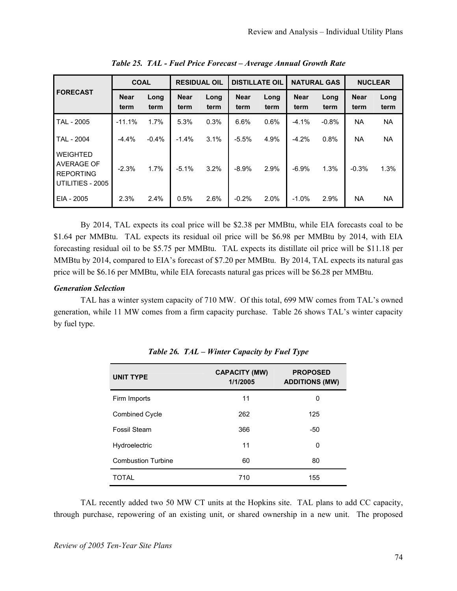|                                                                       | <b>COAL</b>         |              | <b>RESIDUAL OIL</b> |              | <b>DISTILLATE OIL</b> |              | <b>NATURAL GAS</b>  |              | <b>NUCLEAR</b>      |              |
|-----------------------------------------------------------------------|---------------------|--------------|---------------------|--------------|-----------------------|--------------|---------------------|--------------|---------------------|--------------|
| <b>FORECAST</b>                                                       | <b>Near</b><br>term | Long<br>term | <b>Near</b><br>term | Long<br>term | <b>Near</b><br>term   | Long<br>term | <b>Near</b><br>term | Long<br>term | <b>Near</b><br>term | Long<br>term |
| TAL - 2005                                                            | $-11.1%$            | 1.7%         | 5.3%                | 0.3%         | 6.6%                  | 0.6%         | $-4.1%$             | $-0.8%$      | <b>NA</b>           | <b>NA</b>    |
| TAL - 2004                                                            | $-4.4%$             | $-0.4%$      | $-1.4%$             | 3.1%         | $-5.5%$               | 4.9%         | $-4.2%$             | 0.8%         | NA                  | <b>NA</b>    |
| WEIGHTED<br><b>AVERAGE OF</b><br><b>REPORTING</b><br>UTILITIES - 2005 | $-2.3%$             | 1.7%         | $-5.1%$             | 3.2%         | $-8.9%$               | 2.9%         | $-6.9%$             | 1.3%         | $-0.3%$             | 1.3%         |
| EIA - 2005                                                            | 2.3%                | 2.4%         | 0.5%                | 2.6%         | $-0.2%$               | 2.0%         | $-1.0%$             | 2.9%         | <b>NA</b>           | <b>NA</b>    |

*Table 25. TAL - Fuel Price Forecast – Average Annual Growth Rate* 

By 2014, TAL expects its coal price will be \$2.38 per MMBtu, while EIA forecasts coal to be \$1.64 per MMBtu. TAL expects its residual oil price will be \$6.98 per MMBtu by 2014, with EIA forecasting residual oil to be \$5.75 per MMBtu. TAL expects its distillate oil price will be \$11.18 per MMBtu by 2014, compared to EIA's forecast of \$7.20 per MMBtu. By 2014, TAL expects its natural gas price will be \$6.16 per MMBtu, while EIA forecasts natural gas prices will be \$6.28 per MMBtu.

### *Generation Selection*

TAL has a winter system capacity of 710 MW. Of this total, 699 MW comes from TAL's owned generation, while 11 MW comes from a firm capacity purchase. Table 26 shows TAL's winter capacity by fuel type.

| <b>UNIT TYPE</b>          | <b>CAPACITY (MW)</b><br>1/1/2005 | <b>PROPOSED</b><br><b>ADDITIONS (MW)</b> |
|---------------------------|----------------------------------|------------------------------------------|
| Firm Imports              | 11                               | 0                                        |
| <b>Combined Cycle</b>     | 262                              | 125                                      |
| Fossil Steam              | 366                              | -50                                      |
| Hydroelectric             | 11                               | 0                                        |
| <b>Combustion Turbine</b> | 60                               | 80                                       |
| <b>TOTAL</b>              | 710                              | 155                                      |

*Table 26. TAL – Winter Capacity by Fuel Type* 

TAL recently added two 50 MW CT units at the Hopkins site. TAL plans to add CC capacity, through purchase, repowering of an existing unit, or shared ownership in a new unit. The proposed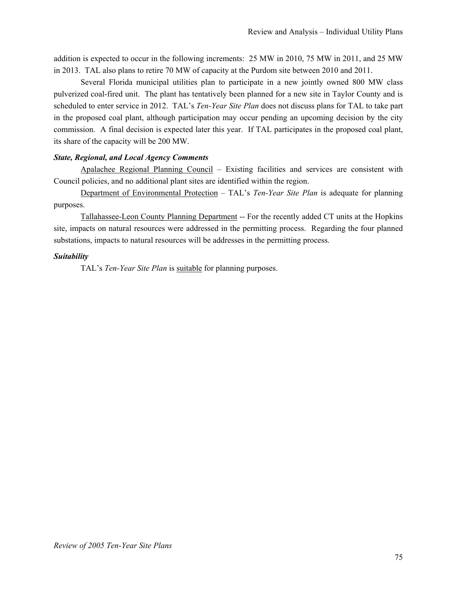addition is expected to occur in the following increments: 25 MW in 2010, 75 MW in 2011, and 25 MW in 2013. TAL also plans to retire 70 MW of capacity at the Purdom site between 2010 and 2011.

Several Florida municipal utilities plan to participate in a new jointly owned 800 MW class pulverized coal-fired unit. The plant has tentatively been planned for a new site in Taylor County and is scheduled to enter service in 2012. TAL's *Ten-Year Site Plan* does not discuss plans for TAL to take part in the proposed coal plant, although participation may occur pending an upcoming decision by the city commission. A final decision is expected later this year. If TAL participates in the proposed coal plant, its share of the capacity will be 200 MW.

## *State, Regional, and Local Agency Comments*

Apalachee Regional Planning Council – Existing facilities and services are consistent with Council policies, and no additional plant sites are identified within the region.

Department of Environmental Protection - TAL's *Ten-Year Site Plan* is adequate for planning purposes.

Tallahassee-Leon County Planning Department -- For the recently added CT units at the Hopkins site, impacts on natural resources were addressed in the permitting process. Regarding the four planned substations, impacts to natural resources will be addresses in the permitting process.

## *Suitability*

TAL's *Ten-Year Site Plan* is suitable for planning purposes.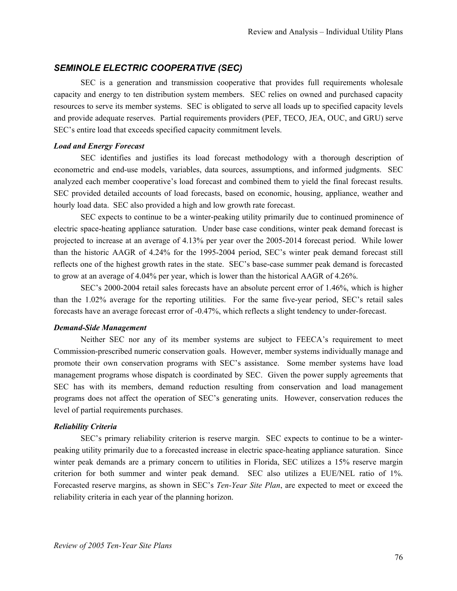# *SEMINOLE ELECTRIC COOPERATIVE (SEC)*

SEC is a generation and transmission cooperative that provides full requirements wholesale capacity and energy to ten distribution system members. SEC relies on owned and purchased capacity resources to serve its member systems. SEC is obligated to serve all loads up to specified capacity levels and provide adequate reserves. Partial requirements providers (PEF, TECO, JEA, OUC, and GRU) serve SEC's entire load that exceeds specified capacity commitment levels.

#### *Load and Energy Forecast*

SEC identifies and justifies its load forecast methodology with a thorough description of econometric and end-use models, variables, data sources, assumptions, and informed judgments. SEC analyzed each member cooperative's load forecast and combined them to yield the final forecast results. SEC provided detailed accounts of load forecasts, based on economic, housing, appliance, weather and hourly load data. SEC also provided a high and low growth rate forecast.

SEC expects to continue to be a winter-peaking utility primarily due to continued prominence of electric space-heating appliance saturation. Under base case conditions, winter peak demand forecast is projected to increase at an average of 4.13% per year over the 2005-2014 forecast period. While lower than the historic AAGR of 4.24% for the 1995-2004 period, SEC's winter peak demand forecast still reflects one of the highest growth rates in the state. SEC's base-case summer peak demand is forecasted to grow at an average of 4.04% per year, which is lower than the historical AAGR of 4.26%.

SEC's 2000-2004 retail sales forecasts have an absolute percent error of 1.46%, which is higher than the 1.02% average for the reporting utilities. For the same five-year period, SEC's retail sales forecasts have an average forecast error of -0.47%, which reflects a slight tendency to under-forecast.

#### *Demand-Side Management*

Neither SEC nor any of its member systems are subject to FEECA's requirement to meet Commission-prescribed numeric conservation goals. However, member systems individually manage and promote their own conservation programs with SEC's assistance. Some member systems have load management programs whose dispatch is coordinated by SEC. Given the power supply agreements that SEC has with its members, demand reduction resulting from conservation and load management programs does not affect the operation of SEC's generating units. However, conservation reduces the level of partial requirements purchases.

#### *Reliability Criteria*

SEC's primary reliability criterion is reserve margin. SEC expects to continue to be a winterpeaking utility primarily due to a forecasted increase in electric space-heating appliance saturation. Since winter peak demands are a primary concern to utilities in Florida, SEC utilizes a 15% reserve margin criterion for both summer and winter peak demand. SEC also utilizes a EUE/NEL ratio of 1%. Forecasted reserve margins, as shown in SEC's *Ten-Year Site Plan*, are expected to meet or exceed the reliability criteria in each year of the planning horizon.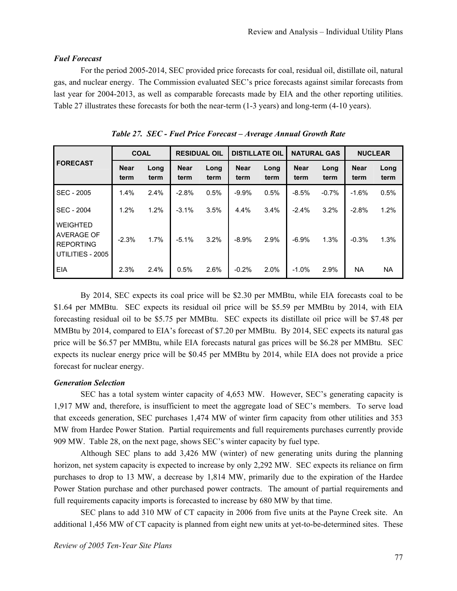#### *Fuel Forecast*

For the period 2005-2014, SEC provided price forecasts for coal, residual oil, distillate oil, natural gas, and nuclear energy. The Commission evaluated SEC's price forecasts against similar forecasts from last year for 2004-2013, as well as comparable forecasts made by EIA and the other reporting utilities. Table 27 illustrates these forecasts for both the near-term (1-3 years) and long-term (4-10 years).

|                                                                       | <b>COAL</b>         |              | <b>RESIDUAL OIL</b> |              | <b>DISTILLATE OIL</b> |              | <b>NATURAL GAS</b>  |              | <b>NUCLEAR</b>      |              |
|-----------------------------------------------------------------------|---------------------|--------------|---------------------|--------------|-----------------------|--------------|---------------------|--------------|---------------------|--------------|
| <b>FORECAST</b>                                                       | <b>Near</b><br>term | Long<br>term | <b>Near</b><br>term | Long<br>term | <b>Near</b><br>term   | Long<br>term | <b>Near</b><br>term | Long<br>term | <b>Near</b><br>term | Long<br>term |
| SEC - 2005                                                            | 1.4%                | 2.4%         | $-2.8%$             | 0.5%         | $-9.9%$               | 0.5%         | $-8.5%$             | $-0.7%$      | $-1.6%$             | 0.5%         |
| SEC - 2004                                                            | 1.2%                | 1.2%         | $-3.1%$             | 3.5%         | 4.4%                  | 3.4%         | $-2.4%$             | 3.2%         | $-2.8%$             | 1.2%         |
| <b>WEIGHTED</b><br>AVERAGE OF<br><b>REPORTING</b><br>UTILITIES - 2005 | $-2.3%$             | 1.7%         | $-5.1%$             | 3.2%         | $-8.9%$               | 2.9%         | $-6.9%$             | 1.3%         | $-0.3%$             | 1.3%         |
| <b>EIA</b>                                                            | 2.3%                | 2.4%         | 0.5%                | 2.6%         | $-0.2%$               | 2.0%         | $-1.0%$             | 2.9%         | <b>NA</b>           | <b>NA</b>    |

*Table 27. SEC - Fuel Price Forecast – Average Annual Growth Rate* 

By 2014, SEC expects its coal price will be \$2.30 per MMBtu, while EIA forecasts coal to be \$1.64 per MMBtu. SEC expects its residual oil price will be \$5.59 per MMBtu by 2014, with EIA forecasting residual oil to be \$5.75 per MMBtu. SEC expects its distillate oil price will be \$7.48 per MMBtu by 2014, compared to EIA's forecast of \$7.20 per MMBtu. By 2014, SEC expects its natural gas price will be \$6.57 per MMBtu, while EIA forecasts natural gas prices will be \$6.28 per MMBtu. SEC expects its nuclear energy price will be \$0.45 per MMBtu by 2014, while EIA does not provide a price forecast for nuclear energy.

### *Generation Selection*

SEC has a total system winter capacity of 4,653 MW. However, SEC's generating capacity is 1,917 MW and, therefore, is insufficient to meet the aggregate load of SEC's members. To serve load that exceeds generation, SEC purchases 1,474 MW of winter firm capacity from other utilities and 353 MW from Hardee Power Station. Partial requirements and full requirements purchases currently provide 909 MW. Table 28, on the next page, shows SEC's winter capacity by fuel type.

Although SEC plans to add 3,426 MW (winter) of new generating units during the planning horizon, net system capacity is expected to increase by only 2,292 MW. SEC expects its reliance on firm purchases to drop to 13 MW, a decrease by 1,814 MW, primarily due to the expiration of the Hardee Power Station purchase and other purchased power contracts. The amount of partial requirements and full requirements capacity imports is forecasted to increase by 680 MW by that time.

SEC plans to add 310 MW of CT capacity in 2006 from five units at the Payne Creek site. An additional 1,456 MW of CT capacity is planned from eight new units at yet-to-be-determined sites. These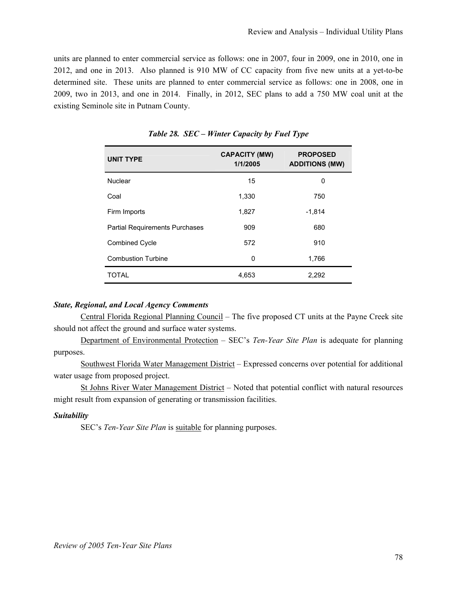units are planned to enter commercial service as follows: one in 2007, four in 2009, one in 2010, one in 2012, and one in 2013. Also planned is 910 MW of CC capacity from five new units at a yet-to-be determined site. These units are planned to enter commercial service as follows: one in 2008, one in 2009, two in 2013, and one in 2014. Finally, in 2012, SEC plans to add a 750 MW coal unit at the existing Seminole site in Putnam County.

| <b>UNIT TYPE</b>                      | <b>CAPACITY (MW)</b><br>1/1/2005 | <b>PROPOSED</b><br><b>ADDITIONS (MW)</b> |
|---------------------------------------|----------------------------------|------------------------------------------|
| Nuclear                               | 15                               | 0                                        |
| Coal                                  | 1,330                            | 750                                      |
| Firm Imports                          | 1,827                            | $-1,814$                                 |
| <b>Partial Requirements Purchases</b> | 909                              | 680                                      |
| <b>Combined Cycle</b>                 | 572                              | 910                                      |
| <b>Combustion Turbine</b>             | 0                                | 1,766                                    |
| <b>TOTAL</b>                          | 4,653                            | 2,292                                    |

*Table 28. SEC – Winter Capacity by Fuel Type* 

### *State, Regional, and Local Agency Comments*

Central Florida Regional Planning Council – The five proposed CT units at the Payne Creek site should not affect the ground and surface water systems.

Department of Environmental Protection – SEC's *Ten-Year Site Plan* is adequate for planning purposes.

Southwest Florida Water Management District – Expressed concerns over potential for additional water usage from proposed project.

St Johns River Water Management District – Noted that potential conflict with natural resources might result from expansion of generating or transmission facilities.

#### *Suitability*

SEC's *Ten-Year Site Plan* is suitable for planning purposes.